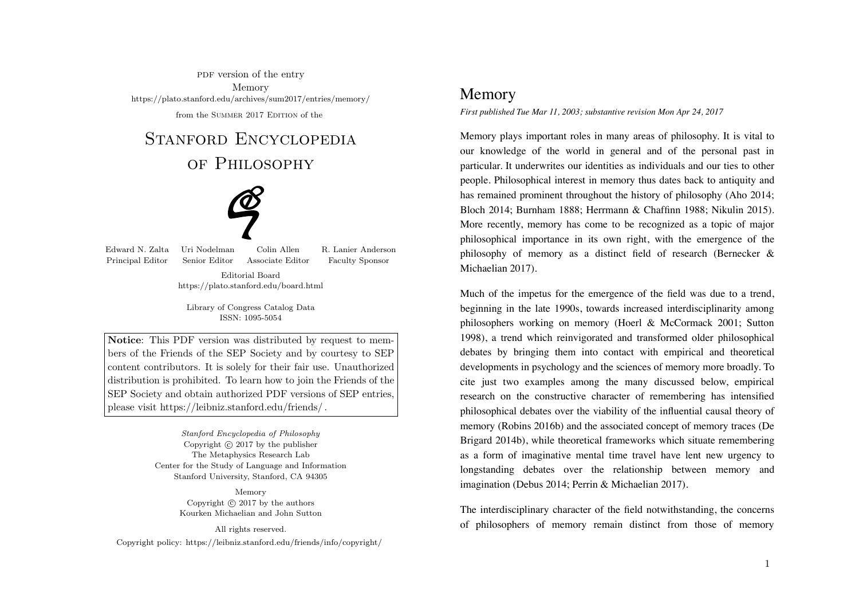PDF version of the entry Memory https://plato.stanford.edu/archives/sum2017/entries/memory/from the SUMMER 2017 EDITION of the

# STANFORD ENCYCLOPEDIA

# of Philosophy



Edward N. Zalta Uri Nodelman Colin Allen R. Lanier AndersonPrincipal Editor Senior Editor Associate Editor Faculty Sponsor

> Editorial Boardhttps://plato.stanford.edu/board.html

Library of Congress Catalog DataISSN: 1095-5054

Notice: This PDF version was distributed by request to members of the Friends of the SEP Society and by courtesy to SEP content contributors. It is solely for their fair use. Unauthorized distribution is prohibited. To learn how to join the Friends of the SEP Society and obtain authorized PDF versions of SEP entries,please visit https://leibniz.stanford.edu/friends/ .

> Stanford Encyclopedia of PhilosophyCopyright  $\odot$  2017 by the publisher The Metaphysics Research Lab Center for the Study of Language and InformationStanford University, Stanford, CA 94305

> > MemoryCopyright  $\odot$  2017 by the authors Kourken Michaelian and John Sutton

> > > All rights reserved.

Copyright policy: https://leibniz.stanford.edu/friends/info/copyright/

# Memory

*First published Tue Mar 11, 2003; substantive revision Mon Apr 24, 2017*

Memory plays important roles in many areas of philosophy. It is vital to our knowledge of the world in general and of the personal past in particular. It underwrites our identities as individuals and our ties to other people. Philosophical interest in memory thus dates back to antiquity and has remained prominent throughout the history of philosophy (Aho 2014; Bloch 2014; Burnham 1888; Herrmann & Chaffinn 1988; Nikulin 2015). More recently, memory has come to be recognized as a topic of major philosophical importance in its own right, with the emergence of the philosophy of memory as a distinct field of research (Bernecker & Michaelian 2017).

Much of the impetus for the emergence of the field was due to a trend, beginning in the late 1990s, towards increased interdisciplinarity among philosophers working on memory (Hoerl & McCormack 2001; Sutton 1998), a trend which reinvigorated and transformed older philosophical debates by bringing them into contact with empirical and theoretical developments in psychology and the sciences of memory more broadly. To cite just two examples among the many discussed below, empirical research on the constructive character of remembering has intensified philosophical debates over the viability of the influential causal theory of memory (Robins 2016b) and the associated concept of memory traces (De Brigard 2014b), while theoretical frameworks which situate remembering as a form of imaginative mental time travel have lent new urgency to longstanding debates over the relationship between memory and imagination (Debus 2014; Perrin & Michaelian 2017).

The interdisciplinary character of the field notwithstanding, the concerns of philosophers of memory remain distinct from those of memory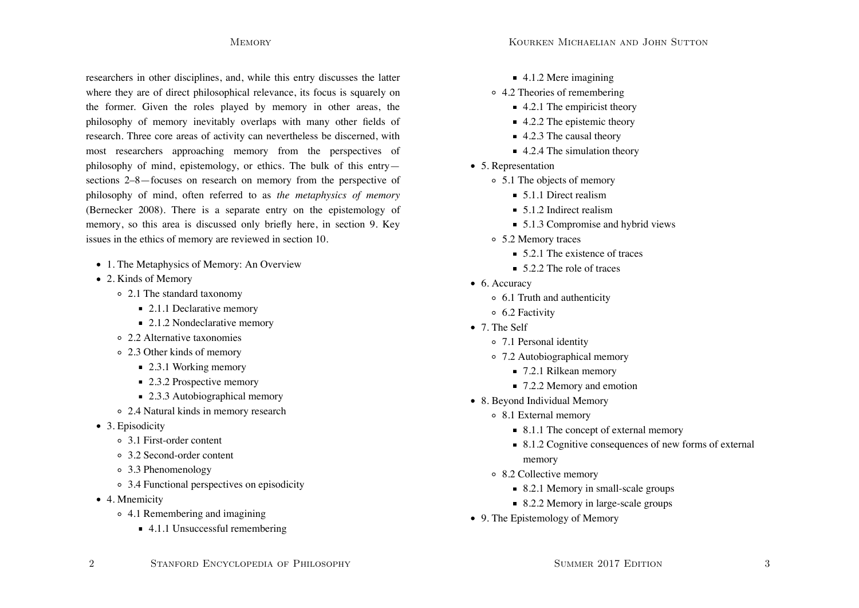researchers in other disciplines, and, while this entry discusses the latter where they are of direct philosophical relevance, its focus is squarely on the former. Given the roles played by memory in other areas, the philosophy of memory inevitably overlaps with many other fields of research. Three core areas of activity can nevertheless be discerned, with most researchers approaching memory from the perspectives of philosophy of mind, epistemology, or ethics. The bulk of this entry sections 2–8—focuses on research on memory from the perspective of philosophy of mind, often referred to as *the metaphysics of memory* (Bernecker 2008). There is a separate entry on the epistemology of memory, so this area is discussed only briefly here, in section 9. Key issues in the ethics of memory are reviewed in section 10.

- 1. The Metaphysics of Memory: An Overview
- 2. Kinds of Memory
	- 2.1 The standard taxonomy
		- 2.1.1 Declarative memory
		- 2.1.2 Nondeclarative memory
	- 2.2 Alternative taxonomies
	- 2.3 Other kinds of memory
		- 2.3.1 Working memory
		- $\blacksquare$  2.3.2 Prospective memory
		- 2.3.3 Autobiographical memory
	- 2.4 Natural kinds in memory research
- 3. Episodicity
	- 3.1 First-order content
	- 3.2 Second-order content
	- 3.3 Phenomenology
	- 3.4 Functional perspectives on episodicity
- 4. Mnemicity
	- 4.1 Remembering and imagining
		- $\blacksquare$  4.1.1 Unsuccessful remembering
- 4.1.2 Mere imagining
- 4.2 Theories of remembering
	- $\blacksquare$  4.2.1 The empiricist theory
	- $\blacksquare$  4.2.2 The epistemic theory
	- 4.2.3 The causal theory
	- $\blacksquare$  4.2.4 The simulation theory
- 5. Representation
	- 5.1 The objects of memory
		- 5.1.1 Direct realism
		- 5.1.2 Indirect realism
		- 5.1.3 Compromise and hybrid views
	- 5.2 Memory traces
		- $\overline{5}$ .2.1 The existence of traces
		- $\overline{52.2}$  The role of traces
- 6. Accuracy
	- 6.1 Truth and authenticity
	- 6.2 Factivity
- 7. The Self
	- 7.1 Personal identity
	- 7.2 Autobiographical memory
		- 7.2.1 Rilkean memory
		- 7.2.2 Memory and emotion
- 8. Beyond Individual Memory
	- 8.1 External memory
		- 8.1.1 The concept of external memory
		- 8.1.2 Cognitive consequences of new forms of external memory
	- 8.2 Collective memory
		- 8.2.1 Memory in small-scale groups
		- 8.2.2 Memory in large-scale groups
- 9. The Epistemology of Memory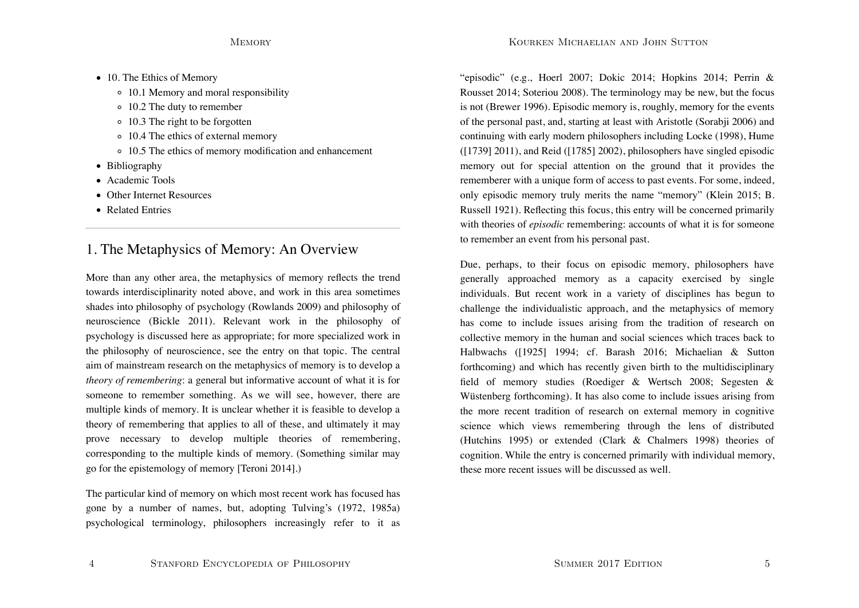- 10. The Ethics of Memory
	- 10.1 Memory and moral responsibility
	- 10.2 The duty to remember
	- 10.3 The right to be forgotten
	- 10.4 The ethics of external memory
	- 10.5 The ethics of memory modification and enhancement
- Bibliography
- Academic Tools
- **Other Internet Resources**
- Related Entries

# 1. The Metaphysics of Memory: An Overview

More than any other area, the metaphysics of memory reflects the trend towards interdisciplinarity noted above, and work in this area sometimes shades into philosophy of psychology (Rowlands 2009) and philosophy of neuroscience (Bickle 2011). Relevant work in the philosophy of psychology is discussed here as appropriate; for more specialized work in the philosophy of neuroscience, see the entry on that topic. The central aim of mainstream research on the metaphysics of memory is to develop a *theory of remembering*: a general but informative account of what it is for someone to remember something. As we will see, however, there are multiple kinds of memory. It is unclear whether it is feasible to develop a theory of remembering that applies to all of these, and ultimately it may prove necessary to develop multiple theories of remembering, corresponding to the multiple kinds of memory. (Something similar may go for the epistemology of memory [Teroni 2014].)

The particular kind of memory on which most recent work has focused has gone by a number of names, but, adopting Tulving's (1972, 1985a) psychological terminology, philosophers increasingly refer to it as

"episodic" (e.g., Hoerl 2007; Dokic 2014; Hopkins 2014; Perrin & Rousset 2014; Soteriou 2008). The terminology may be new, but the focus is not (Brewer 1996). Episodic memory is, roughly, memory for the events of the personal past, and, starting at least with Aristotle (Sorabji 2006) and continuing with early modern philosophers including Locke (1998), Hume  $(1739)$  2011), and Reid  $(1785)$  2002), philosophers have singled episodic memory out for special attention on the ground that it provides the rememberer with a unique form of access to past events. For some, indeed, only episodic memory truly merits the name "memory" (Klein 2015; B. Russell 1921). Reflecting this focus, this entry will be concerned primarily with theories of *episodic* remembering: accounts of what it is for someone to remember an event from his personal past.

Due, perhaps, to their focus on episodic memory, philosophers have generally approached memory as a capacity exercised by single individuals. But recent work in a variety of disciplines has begun to challenge the individualistic approach, and the metaphysics of memory has come to include issues arising from the tradition of research on collective memory in the human and social sciences which traces back to Halbwachs ([1925] 1994; cf. Barash 2016; Michaelian & Sutton forthcoming) and which has recently given birth to the multidisciplinary field of memory studies (Roediger & Wertsch 2008; Segesten & Wüstenberg forthcoming). It has also come to include issues arising from the more recent tradition of research on external memory in cognitive science which views remembering through the lens of distributed (Hutchins 1995) or extended (Clark & Chalmers 1998) theories of cognition. While the entry is concerned primarily with individual memory, these more recent issues will be discussed as well.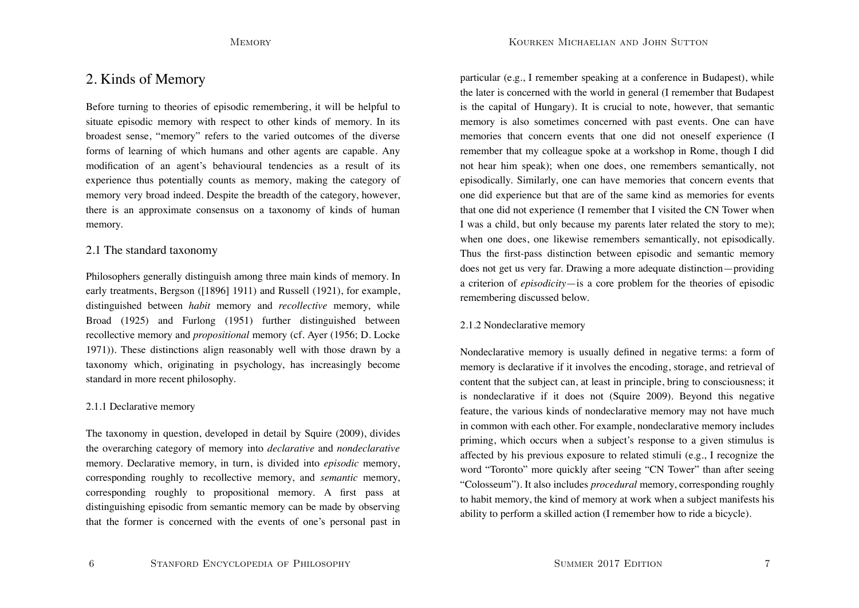# 2. Kinds of Memory

Before turning to theories of episodic remembering, it will be helpful to situate episodic memory with respect to other kinds of memory. In its broadest sense, "memory" refers to the varied outcomes of the diverse forms of learning of which humans and other agents are capable. Any modification of an agent's behavioural tendencies as a result of its experience thus potentially counts as memory, making the category of memory very broad indeed. Despite the breadth of the category, however, there is an approximate consensus on a taxonomy of kinds of human memory.

## 2.1 The standard taxonomy

Philosophers generally distinguish among three main kinds of memory. In early treatments, Bergson ([1896] 1911) and Russell (1921), for example, distinguished between *habit* memory and *recollective* memory, while Broad (1925) and Furlong (1951) further distinguished between recollective memory and *propositional* memory (cf. Ayer (1956; D. Locke 1971)). These distinctions align reasonably well with those drawn by a taxonomy which, originating in psychology, has increasingly become standard in more recent philosophy.

## 2.1.1 Declarative memory

6

The taxonomy in question, developed in detail by Squire (2009), divides the overarching category of memory into *declarative* and *nondeclarative* memory. Declarative memory, in turn, is divided into *episodic* memory, corresponding roughly to recollective memory, and *semantic* memory, corresponding roughly to propositional memory. A first pass at distinguishing episodic from semantic memory can be made by observing that the former is concerned with the events of one's personal past in

particular (e.g., I remember speaking at a conference in Budapest), while the later is concerned with the world in general (I remember that Budapest is the capital of Hungary). It is crucial to note, however, that semantic memory is also sometimes concerned with past events. One can have memories that concern events that one did not oneself experience (I remember that my colleague spoke at a workshop in Rome, though I did not hear him speak); when one does, one remembers semantically, not episodically. Similarly, one can have memories that concern events that one did experience but that are of the same kind as memories for events that one did not experience (I remember that I visited the CN Tower when I was a child, but only because my parents later related the story to me); when one does, one likewise remembers semantically, not episodically. Thus the first-pass distinction between episodic and semantic memory does not get us very far. Drawing a more adequate distinction—providing a criterion of *episodicity*—is a core problem for the theories of episodic remembering discussed below.

## 2.1.2 Nondeclarative memory

Nondeclarative memory is usually defined in negative terms: a form of memory is declarative if it involves the encoding, storage, and retrieval of content that the subject can, at least in principle, bring to consciousness; it is nondeclarative if it does not (Squire 2009). Beyond this negative feature, the various kinds of nondeclarative memory may not have much in common with each other. For example, nondeclarative memory includes priming, which occurs when a subject's response to a given stimulus is affected by his previous exposure to related stimuli (e.g., I recognize the word "Toronto" more quickly after seeing "CN Tower" than after seeing "Colosseum"). It also includes *procedural* memory, corresponding roughly to habit memory, the kind of memory at work when a subject manifests his ability to perform a skilled action (I remember how to ride a bicycle).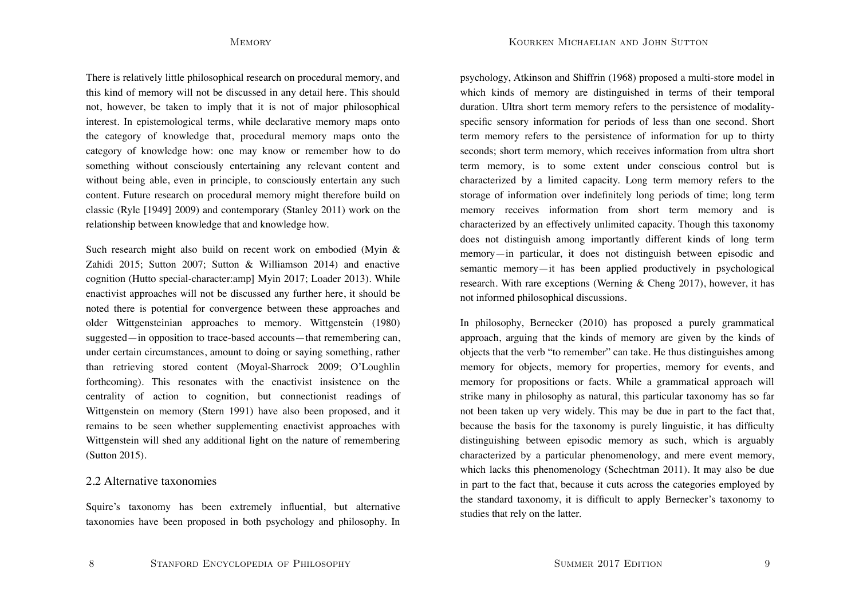There is relatively little philosophical research on procedural memory, and this kind of memory will not be discussed in any detail here. This should not, however, be taken to imply that it is not of major philosophical interest. In epistemological terms, while declarative memory maps onto the category of knowledge that, procedural memory maps onto the category of knowledge how: one may know or remember how to do something without consciously entertaining any relevant content and without being able, even in principle, to consciously entertain any such content. Future research on procedural memory might therefore build on classic (Ryle [1949] 2009) and contemporary (Stanley 2011) work on the relationship between knowledge that and knowledge how.

Such research might also build on recent work on embodied (Myin & Zahidi 2015; Sutton 2007; Sutton & Williamson 2014) and enactive cognition (Hutto special-character:amp] Myin 2017; Loader 2013). While enactivist approaches will not be discussed any further here, it should be noted there is potential for convergence between these approaches and older Wittgensteinian approaches to memory. Wittgenstein (1980) suggested—in opposition to trace-based accounts—that remembering can, under certain circumstances, amount to doing or saying something, rather than retrieving stored content (Moyal-Sharrock 2009; O'Loughlin forthcoming). This resonates with the enactivist insistence on the centrality of action to cognition, but connectionist readings of Wittgenstein on memory (Stern 1991) have also been proposed, and it remains to be seen whether supplementing enactivist approaches with Wittgenstein will shed any additional light on the nature of remembering (Sutton 2015).

## 2.2 Alternative taxonomies

Squire's taxonomy has been extremely influential, but alternative taxonomies have been proposed in both psychology and philosophy. In psychology, Atkinson and Shiffrin (1968) proposed a multi-store model in which kinds of memory are distinguished in terms of their temporal duration. Ultra short term memory refers to the persistence of modalityspecific sensory information for periods of less than one second. Short term memory refers to the persistence of information for up to thirty seconds; short term memory, which receives information from ultra short term memory, is to some extent under conscious control but is characterized by a limited capacity. Long term memory refers to the storage of information over indefinitely long periods of time; long term memory receives information from short term memory and is characterized by an effectively unlimited capacity. Though this taxonomy does not distinguish among importantly different kinds of long term memory—in particular, it does not distinguish between episodic and semantic memory—it has been applied productively in psychological research. With rare exceptions (Werning & Cheng 2017), however, it has not informed philosophical discussions.

In philosophy, Bernecker (2010) has proposed a purely grammatical approach, arguing that the kinds of memory are given by the kinds of objects that the verb "to remember" can take. He thus distinguishes among memory for objects, memory for properties, memory for events, and memory for propositions or facts. While a grammatical approach will strike many in philosophy as natural, this particular taxonomy has so far not been taken up very widely. This may be due in part to the fact that, because the basis for the taxonomy is purely linguistic, it has difficulty distinguishing between episodic memory as such, which is arguably characterized by a particular phenomenology, and mere event memory, which lacks this phenomenology (Schechtman 2011). It may also be due in part to the fact that, because it cuts across the categories employed by the standard taxonomy, it is difficult to apply Bernecker's taxonomy to studies that rely on the latter.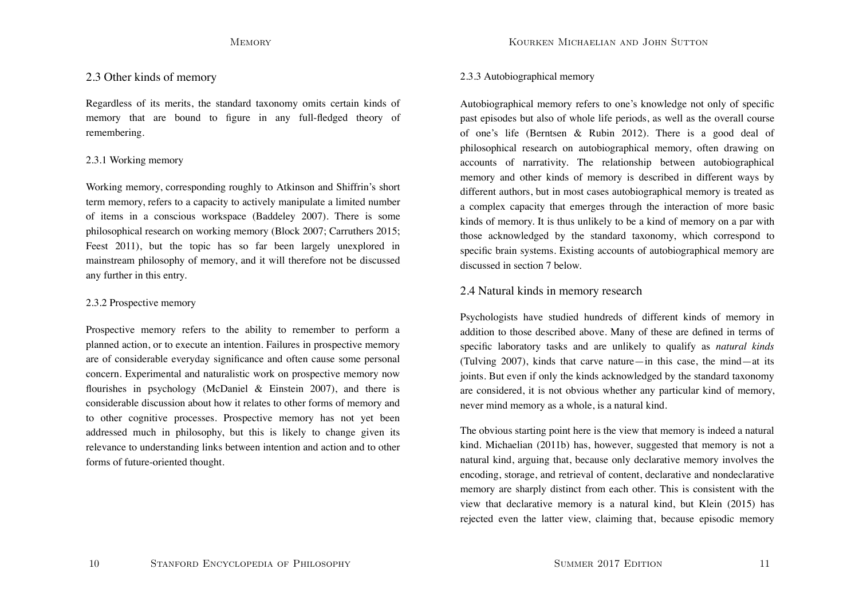## 2.3 Other kinds of memory

Regardless of its merits, the standard taxonomy omits certain kinds of memory that are bound to figure in any full-fledged theory of remembering.

## 2.3.1 Working memory

Working memory, corresponding roughly to Atkinson and Shiffrin's short term memory, refers to a capacity to actively manipulate a limited number of items in a conscious workspace (Baddeley 2007). There is some philosophical research on working memory (Block 2007; Carruthers 2015; Feest 2011), but the topic has so far been largely unexplored in mainstream philosophy of memory, and it will therefore not be discussed any further in this entry.

## 2.3.2 Prospective memory

Prospective memory refers to the ability to remember to perform a planned action, or to execute an intention. Failures in prospective memory are of considerable everyday significance and often cause some personal concern. Experimental and naturalistic work on prospective memory now flourishes in psychology (McDaniel & Einstein 2007), and there is considerable discussion about how it relates to other forms of memory and to other cognitive processes. Prospective memory has not yet been addressed much in philosophy, but this is likely to change given its relevance to understanding links between intention and action and to other forms of future-oriented thought.

## 2.3.3 Autobiographical memory

Autobiographical memory refers to one's knowledge not only of specific past episodes but also of whole life periods, as well as the overall course of one's life (Berntsen & Rubin 2012). There is a good deal of philosophical research on autobiographical memory, often drawing on accounts of narrativity. The relationship between autobiographical memory and other kinds of memory is described in different ways by different authors, but in most cases autobiographical memory is treated as a complex capacity that emerges through the interaction of more basic kinds of memory. It is thus unlikely to be a kind of memory on a par with those acknowledged by the standard taxonomy, which correspond to specific brain systems. Existing accounts of autobiographical memory are discussed in section 7 below.

## 2.4 Natural kinds in memory research

Psychologists have studied hundreds of different kinds of memory in addition to those described above. Many of these are defined in terms of specific laboratory tasks and are unlikely to qualify as *natural kinds* (Tulving 2007), kinds that carve nature—in this case, the mind—at its joints. But even if only the kinds acknowledged by the standard taxonomy are considered, it is not obvious whether any particular kind of memory, never mind memory as a whole, is a natural kind.

The obvious starting point here is the view that memory is indeed a natural kind. Michaelian (2011b) has, however, suggested that memory is not a natural kind, arguing that, because only declarative memory involves the encoding, storage, and retrieval of content, declarative and nondeclarative memory are sharply distinct from each other. This is consistent with the view that declarative memory is a natural kind, but Klein (2015) has rejected even the latter view, claiming that, because episodic memory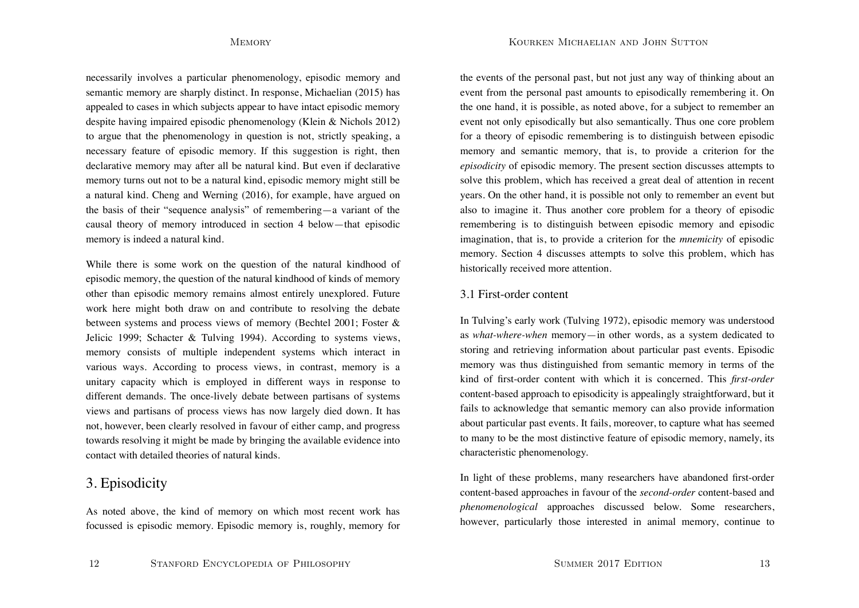Kourken Michaelian and John Sutton

necessarily involves a particular phenomenology, episodic memory and semantic memory are sharply distinct. In response, Michaelian (2015) has appealed to cases in which subjects appear to have intact episodic memory despite having impaired episodic phenomenology (Klein & Nichols 2012) to argue that the phenomenology in question is not, strictly speaking, a necessary feature of episodic memory. If this suggestion is right, then declarative memory may after all be natural kind. But even if declarative memory turns out not to be a natural kind, episodic memory might still be a natural kind. Cheng and Werning (2016), for example, have argued on the basis of their "sequence analysis" of remembering—a variant of the causal theory of memory introduced in section 4 below—that episodic memory is indeed a natural kind.

While there is some work on the question of the natural kindhood of episodic memory, the question of the natural kindhood of kinds of memory other than episodic memory remains almost entirely unexplored. Future work here might both draw on and contribute to resolving the debate between systems and process views of memory (Bechtel 2001; Foster & Jelicic 1999; Schacter & Tulving 1994). According to systems views, memory consists of multiple independent systems which interact in various ways. According to process views, in contrast, memory is a unitary capacity which is employed in different ways in response to different demands. The once-lively debate between partisans of systems views and partisans of process views has now largely died down. It has not, however, been clearly resolved in favour of either camp, and progress towards resolving it might be made by bringing the available evidence into contact with detailed theories of natural kinds.

# 3. Episodicity

As noted above, the kind of memory on which most recent work has focussed is episodic memory. Episodic memory is, roughly, memory for the events of the personal past, but not just any way of thinking about an event from the personal past amounts to episodically remembering it. On the one hand, it is possible, as noted above, for a subject to remember an event not only episodically but also semantically. Thus one core problem for a theory of episodic remembering is to distinguish between episodic memory and semantic memory, that is, to provide a criterion for the *episodicity* of episodic memory. The present section discusses attempts to solve this problem, which has received a great deal of attention in recent years. On the other hand, it is possible not only to remember an event but also to imagine it. Thus another core problem for a theory of episodic remembering is to distinguish between episodic memory and episodic imagination, that is, to provide a criterion for the *mnemicity* of episodic memory. Section 4 discusses attempts to solve this problem, which has historically received more attention.

## 3.1 First-order content

In Tulving's early work (Tulving 1972), episodic memory was understood as *what-where-when* memory—in other words, as a system dedicated to storing and retrieving information about particular past events. Episodic memory was thus distinguished from semantic memory in terms of the kind of first-order content with which it is concerned. This *first-order* content-based approach to episodicity is appealingly straightforward, but it fails to acknowledge that semantic memory can also provide information about particular past events. It fails, moreover, to capture what has seemed to many to be the most distinctive feature of episodic memory, namely, its characteristic phenomenology.

In light of these problems, many researchers have abandoned first-order content-based approaches in favour of the *second-order* content-based and *phenomenological* approaches discussed below. Some researchers, however, particularly those interested in animal memory, continue to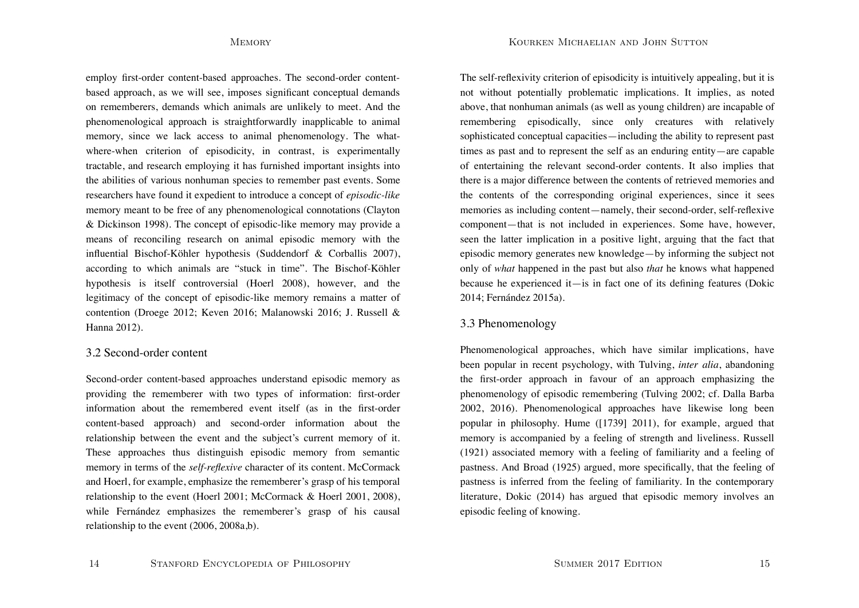Kourken Michaelian and John Sutton

employ first-order content-based approaches. The second-order contentbased approach, as we will see, imposes significant conceptual demands on rememberers, demands which animals are unlikely to meet. And the phenomenological approach is straightforwardly inapplicable to animal memory, since we lack access to animal phenomenology. The whatwhere-when criterion of episodicity, in contrast, is experimentally tractable, and research employing it has furnished important insights into the abilities of various nonhuman species to remember past events. Some researchers have found it expedient to introduce a concept of *episodic-like* memory meant to be free of any phenomenological connotations (Clayton & Dickinson 1998). The concept of episodic-like memory may provide a means of reconciling research on animal episodic memory with the influential Bischof-Köhler hypothesis (Suddendorf & Corballis 2007), according to which animals are "stuck in time". The Bischof-Köhler hypothesis is itself controversial (Hoerl 2008), however, and the legitimacy of the concept of episodic-like memory remains a matter of contention (Droege 2012; Keven 2016; Malanowski 2016; J. Russell & Hanna 2012).

## 3.2 Second-order content

Second-order content-based approaches understand episodic memory as providing the rememberer with two types of information: first-order information about the remembered event itself (as in the first-order content-based approach) and second-order information about the relationship between the event and the subject's current memory of it. These approaches thus distinguish episodic memory from semantic memory in terms of the *self-reflexive* character of its content. McCormack and Hoerl, for example, emphasize the rememberer's grasp of his temporal relationship to the event (Hoerl 2001; McCormack & Hoerl 2001, 2008), while Fernández emphasizes the rememberer's grasp of his causal relationship to the event (2006, 2008a,b).

The self-reflexivity criterion of episodicity is intuitively appealing, but it is not without potentially problematic implications. It implies, as noted above, that nonhuman animals (as well as young children) are incapable of remembering episodically, since only creatures with relatively sophisticated conceptual capacities—including the ability to represent past times as past and to represent the self as an enduring entity—are capable of entertaining the relevant second-order contents. It also implies that there is a major difference between the contents of retrieved memories and the contents of the corresponding original experiences, since it sees memories as including content—namely, their second-order, self-reflexive component—that is not included in experiences. Some have, however, seen the latter implication in a positive light, arguing that the fact that episodic memory generates new knowledge—by informing the subject not only of *what* happened in the past but also *that* he knows what happened because he experienced it—is in fact one of its defining features (Dokic 2014; Fernández 2015a).

## 3.3 Phenomenology

Phenomenological approaches, which have similar implications, have been popular in recent psychology, with Tulving, *inter alia*, abandoning the first-order approach in favour of an approach emphasizing the phenomenology of episodic remembering (Tulving 2002; cf. Dalla Barba 2002, 2016). Phenomenological approaches have likewise long been popular in philosophy. Hume ([1739] 2011), for example, argued that memory is accompanied by a feeling of strength and liveliness. Russell (1921) associated memory with a feeling of familiarity and a feeling of pastness. And Broad (1925) argued, more specifically, that the feeling of pastness is inferred from the feeling of familiarity. In the contemporary literature, Dokic (2014) has argued that episodic memory involves an episodic feeling of knowing.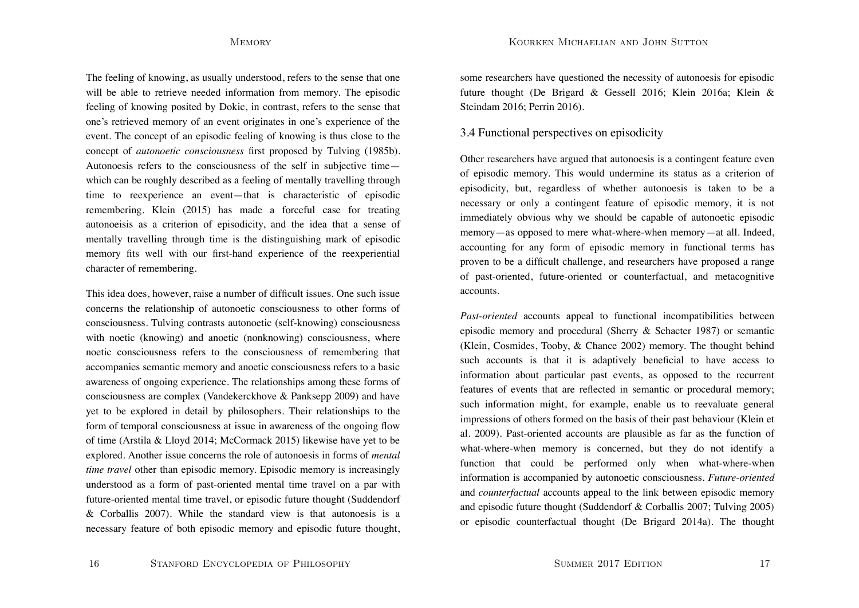Kourken Michaelian and John Sutton

The feeling of knowing, as usually understood, refers to the sense that one will be able to retrieve needed information from memory. The episodic feeling of knowing posited by Dokic, in contrast, refers to the sense that one's retrieved memory of an event originates in one's experience of the event. The concept of an episodic feeling of knowing is thus close to the concept of *autonoetic consciousness* first proposed by Tulving (1985b). Autonoesis refers to the consciousness of the self in subjective time which can be roughly described as a feeling of mentally travelling through time to reexperience an event—that is characteristic of episodic remembering. Klein (2015) has made a forceful case for treating autonoeisis as a criterion of episodicity, and the idea that a sense of mentally travelling through time is the distinguishing mark of episodic memory fits well with our first-hand experience of the reexperiential character of remembering.

This idea does, however, raise a number of difficult issues. One such issue concerns the relationship of autonoetic consciousness to other forms of consciousness. Tulving contrasts autonoetic (self-knowing) consciousness with noetic (knowing) and anoetic (nonknowing) consciousness, where noetic consciousness refers to the consciousness of remembering that accompanies semantic memory and anoetic consciousness refers to a basic awareness of ongoing experience. The relationships among these forms of consciousness are complex (Vandekerckhove & Panksepp 2009) and have yet to be explored in detail by philosophers. Their relationships to the form of temporal consciousness at issue in awareness of the ongoing flow of time (Arstila & Lloyd 2014; McCormack 2015) likewise have yet to be explored. Another issue concerns the role of autonoesis in forms of *mental time travel* other than episodic memory. Episodic memory is increasingly understood as a form of past-oriented mental time travel on a par with future-oriented mental time travel, or episodic future thought (Suddendorf & Corballis 2007). While the standard view is that autonoesis is a necessary feature of both episodic memory and episodic future thought,

some researchers have questioned the necessity of autonoesis for episodic future thought (De Brigard & Gessell 2016; Klein 2016a; Klein & Steindam 2016; Perrin 2016).

## 3.4 Functional perspectives on episodicity

Other researchers have argued that autonoesis is a contingent feature even of episodic memory. This would undermine its status as a criterion of episodicity, but, regardless of whether autonoesis is taken to be a necessary or only a contingent feature of episodic memory, it is not immediately obvious why we should be capable of autonoetic episodic memory—as opposed to mere what-where-when memory—at all. Indeed, accounting for any form of episodic memory in functional terms has proven to be a difficult challenge, and researchers have proposed a range of past-oriented, future-oriented or counterfactual, and metacognitive accounts.

*Past-oriented* accounts appeal to functional incompatibilities between episodic memory and procedural (Sherry & Schacter 1987) or semantic (Klein, Cosmides, Tooby, & Chance 2002) memory. The thought behind such accounts is that it is adaptively beneficial to have access to information about particular past events, as opposed to the recurrent features of events that are reflected in semantic or procedural memory; such information might, for example, enable us to reevaluate general impressions of others formed on the basis of their past behaviour (Klein et al. 2009). Past-oriented accounts are plausible as far as the function of what-where-when memory is concerned, but they do not identify a function that could be performed only when what-where-when information is accompanied by autonoetic consciousness. *Future-oriented* and *counterfactual* accounts appeal to the link between episodic memory and episodic future thought (Suddendorf & Corballis 2007; Tulving 2005) or episodic counterfactual thought (De Brigard 2014a). The thought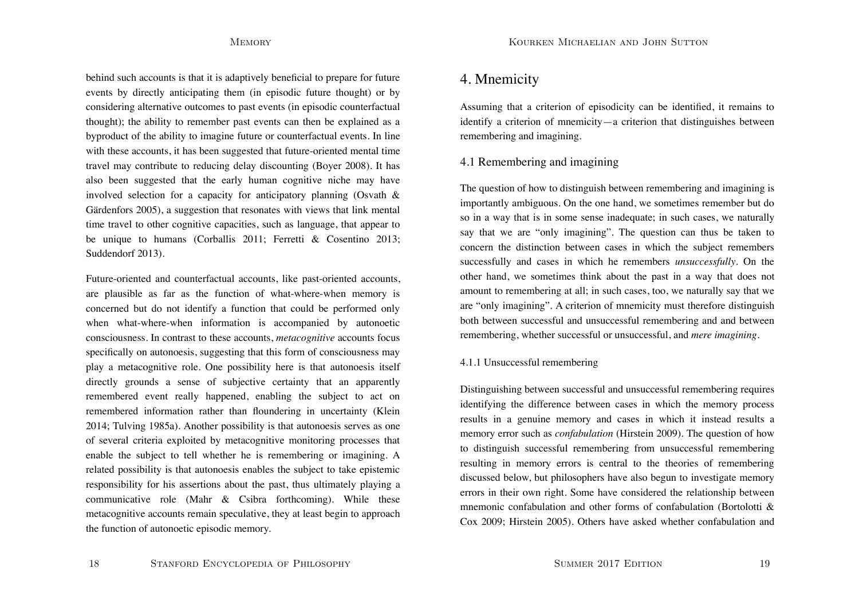behind such accounts is that it is adaptively beneficial to prepare for future events by directly anticipating them (in episodic future thought) or by considering alternative outcomes to past events (in episodic counterfactual thought); the ability to remember past events can then be explained as a byproduct of the ability to imagine future or counterfactual events. In line with these accounts, it has been suggested that future-oriented mental time travel may contribute to reducing delay discounting (Boyer 2008). It has also been suggested that the early human cognitive niche may have involved selection for a capacity for anticipatory planning (Osvath  $\&$ Gärdenfors 2005), a suggestion that resonates with views that link mental time travel to other cognitive capacities, such as language, that appear to be unique to humans (Corballis 2011; Ferretti & Cosentino 2013; Suddendorf 2013).

Future-oriented and counterfactual accounts, like past-oriented accounts, are plausible as far as the function of what-where-when memory is concerned but do not identify a function that could be performed only when what-where-when information is accompanied by autonoetic consciousness. In contrast to these accounts, *metacognitive* accounts focus specifically on autonoesis, suggesting that this form of consciousness may play a metacognitive role. One possibility here is that autonoesis itself directly grounds a sense of subjective certainty that an apparently remembered event really happened, enabling the subject to act on remembered information rather than floundering in uncertainty (Klein 2014; Tulving 1985a). Another possibility is that autonoesis serves as one of several criteria exploited by metacognitive monitoring processes that enable the subject to tell whether he is remembering or imagining. A related possibility is that autonoesis enables the subject to take epistemic responsibility for his assertions about the past, thus ultimately playing a communicative role (Mahr & Csibra forthcoming). While these metacognitive accounts remain speculative, they at least begin to approach the function of autonoetic episodic memory.

# 4. Mnemicity

Assuming that a criterion of episodicity can be identified, it remains to identify a criterion of mnemicity—a criterion that distinguishes between remembering and imagining.

# 4.1 Remembering and imagining

The question of how to distinguish between remembering and imagining is importantly ambiguous. On the one hand, we sometimes remember but do so in a way that is in some sense inadequate; in such cases, we naturally say that we are "only imagining". The question can thus be taken to concern the distinction between cases in which the subject remembers successfully and cases in which he remembers *unsuccessfully*. On the other hand, we sometimes think about the past in a way that does not amount to remembering at all; in such cases, too, we naturally say that we are "only imagining". A criterion of mnemicity must therefore distinguish both between successful and unsuccessful remembering and and between remembering, whether successful or unsuccessful, and *mere imagining*.

## 4.1.1 Unsuccessful remembering

Distinguishing between successful and unsuccessful remembering requires identifying the difference between cases in which the memory process results in a genuine memory and cases in which it instead results a memory error such as *confabulation* (Hirstein 2009). The question of how to distinguish successful remembering from unsuccessful remembering resulting in memory errors is central to the theories of remembering discussed below, but philosophers have also begun to investigate memory errors in their own right. Some have considered the relationship between mnemonic confabulation and other forms of confabulation (Bortolotti & Cox 2009; Hirstein 2005). Others have asked whether confabulation and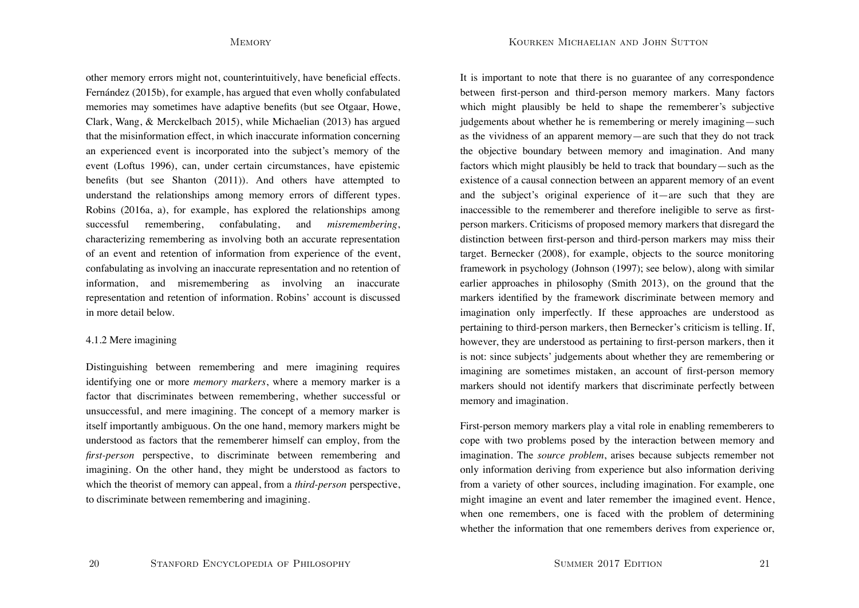Kourken Michaelian and John Sutton

other memory errors might not, counterintuitively, have beneficial effects. Fernández (2015b), for example, has argued that even wholly confabulated memories may sometimes have adaptive benefits (but see Otgaar, Howe, Clark, Wang, & Merckelbach 2015), while Michaelian (2013) has argued that the misinformation effect, in which inaccurate information concerning an experienced event is incorporated into the subject's memory of the event (Loftus 1996), can, under certain circumstances, have epistemic benefits (but see Shanton (2011)). And others have attempted to understand the relationships among memory errors of different types. Robins (2016a, a), for example, has explored the relationships among successful remembering, confabulating, and *misremembering*, characterizing remembering as involving both an accurate representation of an event and retention of information from experience of the event, confabulating as involving an inaccurate representation and no retention of information, and misremembering as involving an inaccurate representation and retention of information. Robins' account is discussed in more detail below.

### 4.1.2 Mere imagining

Distinguishing between remembering and mere imagining requires identifying one or more *memory markers*, where a memory marker is a factor that discriminates between remembering, whether successful or unsuccessful, and mere imagining. The concept of a memory marker is itself importantly ambiguous. On the one hand, memory markers might be understood as factors that the rememberer himself can employ, from the *first-person* perspective, to discriminate between remembering and imagining. On the other hand, they might be understood as factors to which the theorist of memory can appeal, from a *third-person* perspective, to discriminate between remembering and imagining.

It is important to note that there is no guarantee of any correspondence between first-person and third-person memory markers. Many factors which might plausibly be held to shape the rememberer's subjective judgements about whether he is remembering or merely imagining—such as the vividness of an apparent memory—are such that they do not track the objective boundary between memory and imagination. And many factors which might plausibly be held to track that boundary—such as the existence of a causal connection between an apparent memory of an event and the subject's original experience of it—are such that they are inaccessible to the rememberer and therefore ineligible to serve as firstperson markers. Criticisms of proposed memory markers that disregard the distinction between first-person and third-person markers may miss their target. Bernecker (2008), for example, objects to the source monitoring framework in psychology (Johnson (1997); see below), along with similar earlier approaches in philosophy (Smith 2013), on the ground that the markers identified by the framework discriminate between memory and imagination only imperfectly. If these approaches are understood as pertaining to third-person markers, then Bernecker's criticism is telling. If, however, they are understood as pertaining to first-person markers, then it is not: since subjects' judgements about whether they are remembering or imagining are sometimes mistaken, an account of first-person memory markers should not identify markers that discriminate perfectly between memory and imagination.

First-person memory markers play a vital role in enabling rememberers to cope with two problems posed by the interaction between memory and imagination. The *source problem*, arises because subjects remember not only information deriving from experience but also information deriving from a variety of other sources, including imagination. For example, one might imagine an event and later remember the imagined event. Hence, when one remembers, one is faced with the problem of determining whether the information that one remembers derives from experience or,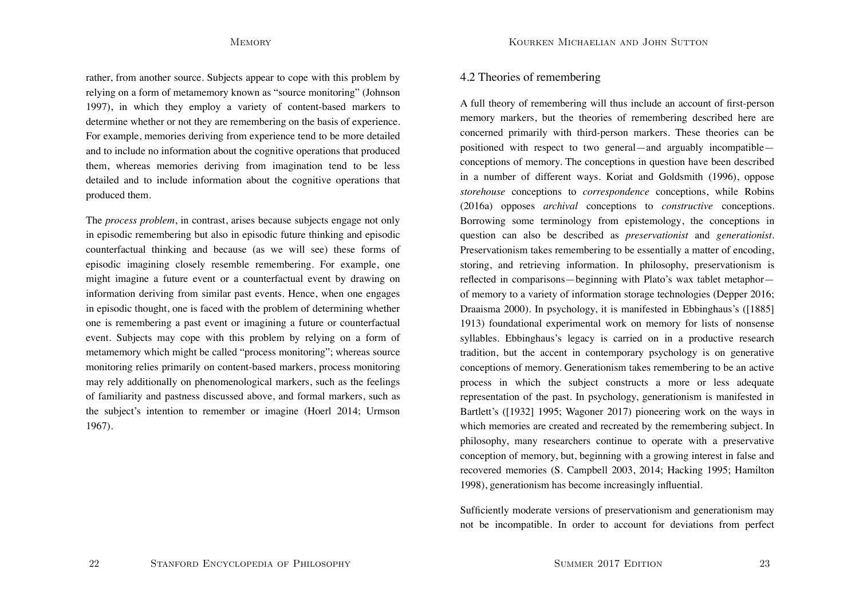rather, from another source. Subjects appear to cope with this problem by relying on a form of metamemory known as "source monitoring" (Johnson 1997), in which they employ a variety of content-based markers to determine whether or not they are remembering on the basis of experience. For example, memories deriving from experience tend to be more detailed and to include no information about the cognitive operations that produced them, whereas memories deriving from imagination tend to be less detailed and to include information about the cognitive operations that produced them.

The *process problem*, in contrast, arises because subjects engage not only in episodic remembering but also in episodic future thinking and episodic counterfactual thinking and because (as we will see) these forms of episodic imagining closely resemble remembering. For example, one might imagine a future event or a counterfactual event by drawing on information deriving from similar past events. Hence, when one engages in episodic thought, one is faced with the problem of determining whether one is remembering a past event or imagining a future or counterfactual event. Subjects may cope with this problem by relying on a form of metamemory which might be called "process monitoring"; whereas source monitoring relies primarily on content-based markers, process monitoring may rely additionally on phenomenological markers, such as the feelings of familiarity and pastness discussed above, and formal markers, such as the subject's intention to remember or imagine (Hoerl 2014; Urmson 1967).

## 4.2 Theories of remembering

A full theory of remembering will thus include an account of first-person memory markers, but the theories of remembering described here are concerned primarily with third-person markers. These theories can be positioned with respect to two general—and arguably incompatible conceptions of memory. The conceptions in question have been described in a number of different ways. Koriat and Goldsmith (1996), oppose *storehouse* conceptions to *correspondence* conceptions, while Robins (2016a) opposes *archival* conceptions to *constructive* conceptions. Borrowing some terminology from epistemology, the conceptions in question can also be described as *preservationist* and *generationist*. Preservationism takes remembering to be essentially a matter of encoding, storing, and retrieving information. In philosophy, preservationism is reflected in comparisons—beginning with Plato's wax tablet metaphor of memory to a variety of information storage technologies (Depper 2016; Draaisma 2000). In psychology, it is manifested in Ebbinghaus's ([1885] 1913) foundational experimental work on memory for lists of nonsense syllables. Ebbinghaus's legacy is carried on in a productive research tradition, but the accent in contemporary psychology is on generative conceptions of memory. Generationism takes remembering to be an active process in which the subject constructs a more or less adequate representation of the past. In psychology, generationism is manifested in Bartlett's ([1932] 1995; Wagoner 2017) pioneering work on the ways in which memories are created and recreated by the remembering subject. In philosophy, many researchers continue to operate with a preservative conception of memory, but, beginning with a growing interest in false and recovered memories (S. Campbell 2003, 2014; Hacking 1995; Hamilton 1998), generationism has become increasingly influential.

Sufficiently moderate versions of preservationism and generationism may not be incompatible. In order to account for deviations from perfect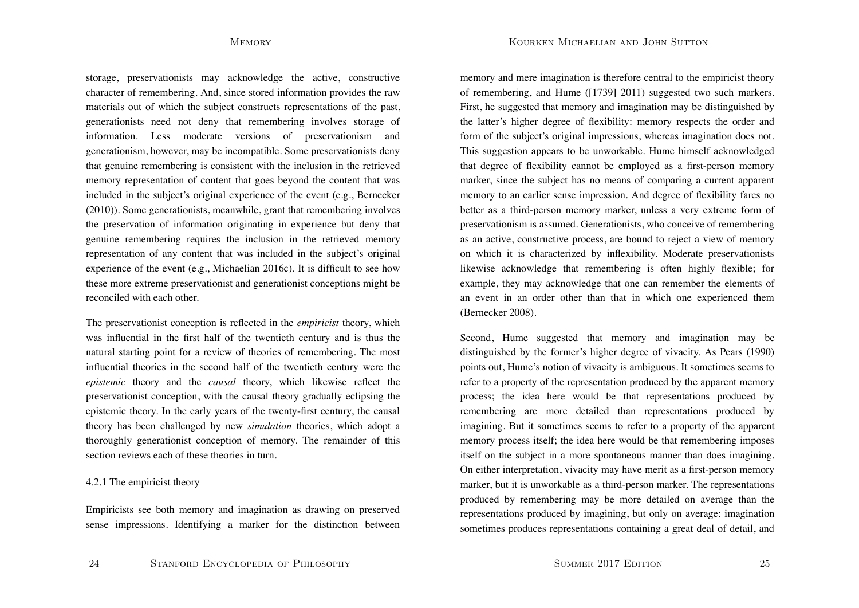Kourken Michaelian and John Sutton

storage, preservationists may acknowledge the active, constructive character of remembering. And, since stored information provides the raw materials out of which the subject constructs representations of the past, generationists need not deny that remembering involves storage of information. Less moderate versions of preservationism and generationism, however, may be incompatible. Some preservationists deny that genuine remembering is consistent with the inclusion in the retrieved memory representation of content that goes beyond the content that was included in the subject's original experience of the event (e.g., Bernecker (2010)). Some generationists, meanwhile, grant that remembering involves the preservation of information originating in experience but deny that genuine remembering requires the inclusion in the retrieved memory representation of any content that was included in the subject's original experience of the event (e.g., Michaelian 2016c). It is difficult to see how these more extreme preservationist and generationist conceptions might be reconciled with each other.

The preservationist conception is reflected in the *empiricist* theory, which was influential in the first half of the twentieth century and is thus the natural starting point for a review of theories of remembering. The most influential theories in the second half of the twentieth century were the *epistemic* theory and the *causal* theory, which likewise reflect the preservationist conception, with the causal theory gradually eclipsing the epistemic theory. In the early years of the twenty-first century, the causal theory has been challenged by new *simulation* theories, which adopt a thoroughly generationist conception of memory. The remainder of this section reviews each of these theories in turn.

### 4.2.1 The empiricist theory

Empiricists see both memory and imagination as drawing on preserved sense impressions. Identifying a marker for the distinction between memory and mere imagination is therefore central to the empiricist theory of remembering, and Hume ([1739] 2011) suggested two such markers. First, he suggested that memory and imagination may be distinguished by the latter's higher degree of flexibility: memory respects the order and form of the subject's original impressions, whereas imagination does not. This suggestion appears to be unworkable. Hume himself acknowledged that degree of flexibility cannot be employed as a first-person memory marker, since the subject has no means of comparing a current apparent memory to an earlier sense impression. And degree of flexibility fares no better as a third-person memory marker, unless a very extreme form of preservationism is assumed. Generationists, who conceive of remembering as an active, constructive process, are bound to reject a view of memory on which it is characterized by inflexibility. Moderate preservationists likewise acknowledge that remembering is often highly flexible; for example, they may acknowledge that one can remember the elements of an event in an order other than that in which one experienced them (Bernecker 2008).

Second, Hume suggested that memory and imagination may be distinguished by the former's higher degree of vivacity. As Pears (1990) points out, Hume's notion of vivacity is ambiguous. It sometimes seems to refer to a property of the representation produced by the apparent memory process; the idea here would be that representations produced by remembering are more detailed than representations produced by imagining. But it sometimes seems to refer to a property of the apparent memory process itself; the idea here would be that remembering imposes itself on the subject in a more spontaneous manner than does imagining. On either interpretation, vivacity may have merit as a first-person memory marker, but it is unworkable as a third-person marker. The representations produced by remembering may be more detailed on average than the representations produced by imagining, but only on average: imagination sometimes produces representations containing a great deal of detail, and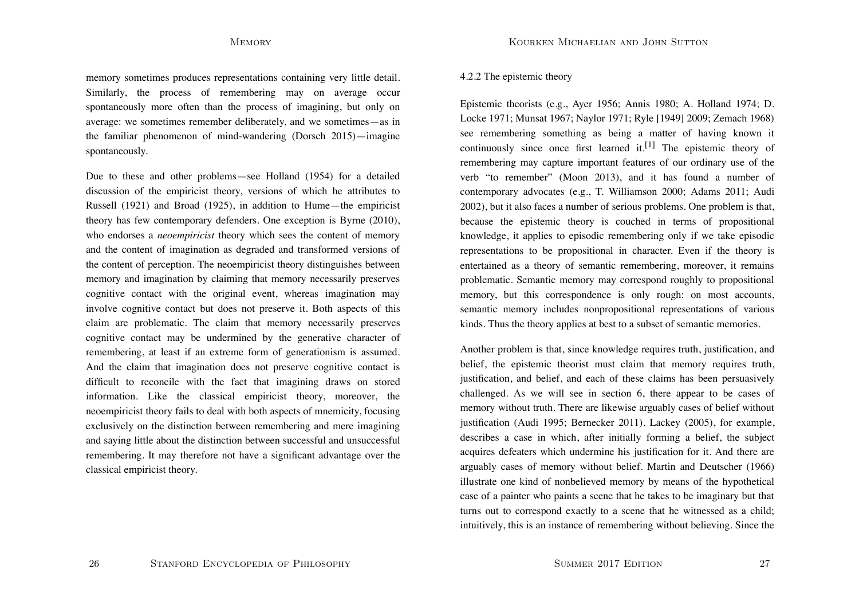memory sometimes produces representations containing very little detail. Similarly, the process of remembering may on average occur spontaneously more often than the process of imagining, but only on average: we sometimes remember deliberately, and we sometimes—as in the familiar phenomenon of mind-wandering (Dorsch 2015)—imagine spontaneously.

Due to these and other problems—see Holland (1954) for a detailed discussion of the empiricist theory, versions of which he attributes to Russell (1921) and Broad (1925), in addition to Hume—the empiricist theory has few contemporary defenders. One exception is Byrne (2010), who endorses a *neoempiricist* theory which sees the content of memory and the content of imagination as degraded and transformed versions of the content of perception. The neoempiricist theory distinguishes between memory and imagination by claiming that memory necessarily preserves cognitive contact with the original event, whereas imagination may involve cognitive contact but does not preserve it. Both aspects of this claim are problematic. The claim that memory necessarily preserves cognitive contact may be undermined by the generative character of remembering, at least if an extreme form of generationism is assumed. And the claim that imagination does not preserve cognitive contact is difficult to reconcile with the fact that imagining draws on stored information. Like the classical empiricist theory, moreover, the neoempiricist theory fails to deal with both aspects of mnemicity, focusing exclusively on the distinction between remembering and mere imagining and saying little about the distinction between successful and unsuccessful remembering. It may therefore not have a significant advantage over the classical empiricist theory.

### 4.2.2 The epistemic theory

Epistemic theorists (e.g., Ayer 1956; Annis 1980; A. Holland 1974; D. Locke 1971; Munsat 1967; Naylor 1971; Ryle [1949] 2009; Zemach 1968) see remembering something as being a matter of having known it continuously since once first learned it.<sup>[1]</sup> The epistemic theory of remembering may capture important features of our ordinary use of the verb "to remember" (Moon 2013), and it has found a number of contemporary advocates (e.g., T. Williamson 2000; Adams 2011; Audi 2002), but it also faces a number of serious problems. One problem is that, because the epistemic theory is couched in terms of propositional knowledge, it applies to episodic remembering only if we take episodic representations to be propositional in character. Even if the theory is entertained as a theory of semantic remembering, moreover, it remains problematic. Semantic memory may correspond roughly to propositional memory, but this correspondence is only rough: on most accounts, semantic memory includes nonpropositional representations of various kinds. Thus the theory applies at best to a subset of semantic memories.

Another problem is that, since knowledge requires truth, justification, and belief, the epistemic theorist must claim that memory requires truth, justification, and belief, and each of these claims has been persuasively challenged. As we will see in section 6, there appear to be cases of memory without truth. There are likewise arguably cases of belief without justification (Audi 1995; Bernecker 2011). Lackey (2005), for example, describes a case in which, after initially forming a belief, the subject acquires defeaters which undermine his justification for it. And there are arguably cases of memory without belief. Martin and Deutscher (1966) illustrate one kind of nonbelieved memory by means of the hypothetical case of a painter who paints a scene that he takes to be imaginary but that turns out to correspond exactly to a scene that he witnessed as a child; intuitively, this is an instance of remembering without believing. Since the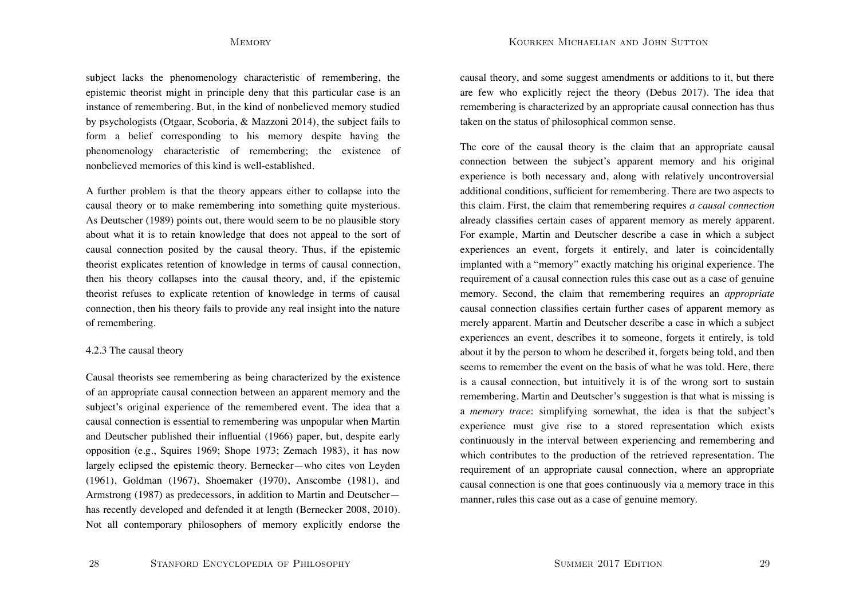subject lacks the phenomenology characteristic of remembering, the epistemic theorist might in principle deny that this particular case is an instance of remembering. But, in the kind of nonbelieved memory studied by psychologists (Otgaar, Scoboria, & Mazzoni 2014), the subject fails to form a belief corresponding to his memory despite having the phenomenology characteristic of remembering; the existence of nonbelieved memories of this kind is well-established.

A further problem is that the theory appears either to collapse into the causal theory or to make remembering into something quite mysterious. As Deutscher (1989) points out, there would seem to be no plausible story about what it is to retain knowledge that does not appeal to the sort of causal connection posited by the causal theory. Thus, if the epistemic theorist explicates retention of knowledge in terms of causal connection, then his theory collapses into the causal theory, and, if the epistemic theorist refuses to explicate retention of knowledge in terms of causal connection, then his theory fails to provide any real insight into the nature of remembering.

### 4.2.3 The causal theory

Causal theorists see remembering as being characterized by the existence of an appropriate causal connection between an apparent memory and the subject's original experience of the remembered event. The idea that a causal connection is essential to remembering was unpopular when Martin and Deutscher published their influential (1966) paper, but, despite early opposition (e.g., Squires 1969; Shope 1973; Zemach 1983), it has now largely eclipsed the epistemic theory. Bernecker—who cites von Leyden (1961), Goldman (1967), Shoemaker (1970), Anscombe (1981), and Armstrong (1987) as predecessors, in addition to Martin and Deutscher has recently developed and defended it at length (Bernecker 2008, 2010). Not all contemporary philosophers of memory explicitly endorse the causal theory, and some suggest amendments or additions to it, but there are few who explicitly reject the theory (Debus 2017). The idea that remembering is characterized by an appropriate causal connection has thus taken on the status of philosophical common sense.

The core of the causal theory is the claim that an appropriate causal connection between the subject's apparent memory and his original experience is both necessary and, along with relatively uncontroversial additional conditions, sufficient for remembering. There are two aspects to this claim. First, the claim that remembering requires *a causal connection* already classifies certain cases of apparent memory as merely apparent. For example, Martin and Deutscher describe a case in which a subject experiences an event, forgets it entirely, and later is coincidentally implanted with a "memory" exactly matching his original experience. The requirement of a causal connection rules this case out as a case of genuine memory. Second, the claim that remembering requires an *appropriate* causal connection classifies certain further cases of apparent memory as merely apparent. Martin and Deutscher describe a case in which a subject experiences an event, describes it to someone, forgets it entirely, is told about it by the person to whom he described it, forgets being told, and then seems to remember the event on the basis of what he was told. Here, there is a causal connection, but intuitively it is of the wrong sort to sustain remembering. Martin and Deutscher's suggestion is that what is missing is <sup>a</sup>*memory trace*: simplifying somewhat, the idea is that the subject's experience must give rise to a stored representation which exists continuously in the interval between experiencing and remembering and which contributes to the production of the retrieved representation. The requirement of an appropriate causal connection, where an appropriate causal connection is one that goes continuously via a memory trace in this manner, rules this case out as a case of genuine memory.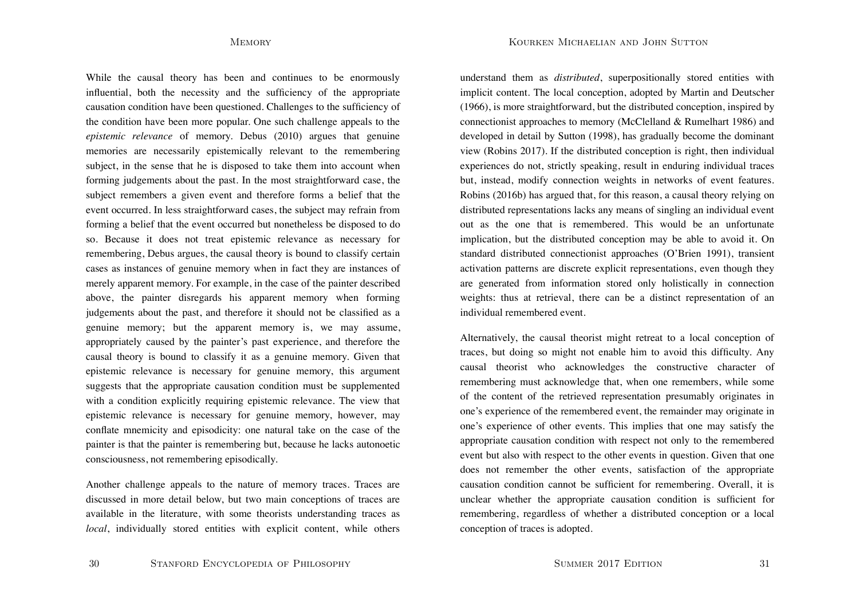Kourken Michaelian and John Sutton

While the causal theory has been and continues to be enormously influential, both the necessity and the sufficiency of the appropriate causation condition have been questioned. Challenges to the sufficiency of the condition have been more popular. One such challenge appeals to the *epistemic relevance* of memory. Debus (2010) argues that genuine memories are necessarily epistemically relevant to the remembering subject, in the sense that he is disposed to take them into account when forming judgements about the past. In the most straightforward case, the subject remembers a given event and therefore forms a belief that the event occurred. In less straightforward cases, the subject may refrain from forming a belief that the event occurred but nonetheless be disposed to do so. Because it does not treat epistemic relevance as necessary for remembering, Debus argues, the causal theory is bound to classify certain cases as instances of genuine memory when in fact they are instances of merely apparent memory. For example, in the case of the painter described above, the painter disregards his apparent memory when forming judgements about the past, and therefore it should not be classified as a genuine memory; but the apparent memory is, we may assume, appropriately caused by the painter's past experience, and therefore the causal theory is bound to classify it as a genuine memory. Given that epistemic relevance is necessary for genuine memory, this argument suggests that the appropriate causation condition must be supplemented with a condition explicitly requiring epistemic relevance. The view that epistemic relevance is necessary for genuine memory, however, may conflate mnemicity and episodicity: one natural take on the case of the painter is that the painter is remembering but, because he lacks autonoetic consciousness, not remembering episodically.

Another challenge appeals to the nature of memory traces. Traces are discussed in more detail below, but two main conceptions of traces are available in the literature, with some theorists understanding traces as *local*, individually stored entities with explicit content, while others understand them as *distributed*, superpositionally stored entities with implicit content. The local conception, adopted by Martin and Deutscher (1966), is more straightforward, but the distributed conception, inspired by connectionist approaches to memory (McClelland & Rumelhart 1986) and developed in detail by Sutton (1998), has gradually become the dominant view (Robins 2017). If the distributed conception is right, then individual experiences do not, strictly speaking, result in enduring individual traces but, instead, modify connection weights in networks of event features. Robins (2016b) has argued that, for this reason, a causal theory relying on distributed representations lacks any means of singling an individual event out as the one that is remembered. This would be an unfortunate implication, but the distributed conception may be able to avoid it. On standard distributed connectionist approaches (O'Brien 1991), transient activation patterns are discrete explicit representations, even though they are generated from information stored only holistically in connection weights: thus at retrieval, there can be a distinct representation of an individual remembered event.

Alternatively, the causal theorist might retreat to a local conception of traces, but doing so might not enable him to avoid this difficulty. Any causal theorist who acknowledges the constructive character of remembering must acknowledge that, when one remembers, while some of the content of the retrieved representation presumably originates in one's experience of the remembered event, the remainder may originate in one's experience of other events. This implies that one may satisfy the appropriate causation condition with respect not only to the remembered event but also with respect to the other events in question. Given that one does not remember the other events, satisfaction of the appropriate causation condition cannot be sufficient for remembering. Overall, it is unclear whether the appropriate causation condition is sufficient for remembering, regardless of whether a distributed conception or a local conception of traces is adopted.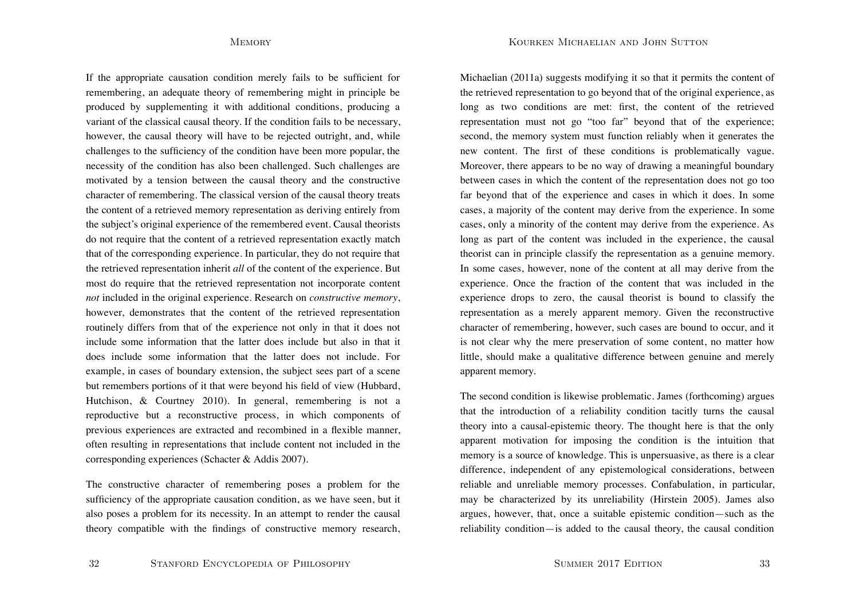Kourken Michaelian and John Sutton

If the appropriate causation condition merely fails to be sufficient for remembering, an adequate theory of remembering might in principle be produced by supplementing it with additional conditions, producing a variant of the classical causal theory. If the condition fails to be necessary, however, the causal theory will have to be rejected outright, and, while challenges to the sufficiency of the condition have been more popular, the necessity of the condition has also been challenged. Such challenges are motivated by a tension between the causal theory and the constructive character of remembering. The classical version of the causal theory treats the content of a retrieved memory representation as deriving entirely from the subject's original experience of the remembered event. Causal theorists do not require that the content of a retrieved representation exactly match that of the corresponding experience. In particular, they do not require that the retrieved representation inherit *all* of the content of the experience. But most do require that the retrieved representation not incorporate content *not* included in the original experience. Research on *constructive memory*, however, demonstrates that the content of the retrieved representation routinely differs from that of the experience not only in that it does not include some information that the latter does include but also in that itdoes include some information that the latter does not include. For example, in cases of boundary extension, the subject sees part of a scene but remembers portions of it that were beyond his field of view (Hubbard, Hutchison, & Courtney 2010). In general, remembering is not a reproductive but a reconstructive process, in which components of previous experiences are extracted and recombined in a flexible manner, often resulting in representations that include content not included in the corresponding experiences (Schacter & Addis 2007).

The constructive character of remembering poses a problem for the sufficiency of the appropriate causation condition, as we have seen, but it also poses a problem for its necessity. In an attempt to render the causal theory compatible with the findings of constructive memory research, Michaelian (2011a) suggests modifying it so that it permits the content of the retrieved representation to go beyond that of the original experience, as long as two conditions are met: first, the content of the retrieved representation must not go "too far" beyond that of the experience; second, the memory system must function reliably when it generates the new content. The first of these conditions is problematically vague. Moreover, there appears to be no way of drawing a meaningful boundary between cases in which the content of the representation does not go too far beyond that of the experience and cases in which it does. In some cases, a majority of the content may derive from the experience. In some cases, only a minority of the content may derive from the experience. As long as part of the content was included in the experience, the causal theorist can in principle classify the representation as a genuine memory. In some cases, however, none of the content at all may derive from the experience. Once the fraction of the content that was included in the experience drops to zero, the causal theorist is bound to classify the representation as a merely apparent memory. Given the reconstructive character of remembering, however, such cases are bound to occur, and it is not clear why the mere preservation of some content, no matter how little, should make a qualitative difference between genuine and merely apparent memory.

The second condition is likewise problematic. James (forthcoming) argues that the introduction of a reliability condition tacitly turns the causal theory into a causal-epistemic theory. The thought here is that the only apparent motivation for imposing the condition is the intuition that memory is a source of knowledge. This is unpersuasive, as there is a clear difference, independent of any epistemological considerations, between reliable and unreliable memory processes. Confabulation, in particular, may be characterized by its unreliability (Hirstein 2005). James also argues, however, that, once a suitable epistemic condition—such as the reliability condition—is added to the causal theory, the causal condition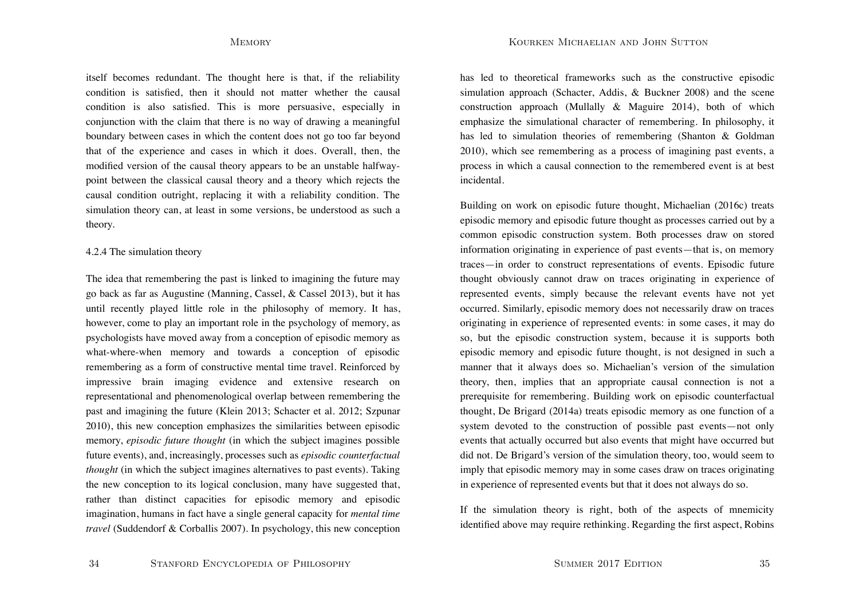itself becomes redundant. The thought here is that, if the reliability condition is satisfied, then it should not matter whether the causal condition is also satisfied. This is more persuasive, especially in conjunction with the claim that there is no way of drawing a meaningful boundary between cases in which the content does not go too far beyond that of the experience and cases in which it does. Overall, then, the modified version of the causal theory appears to be an unstable halfwaypoint between the classical causal theory and a theory which rejects the causal condition outright, replacing it with a reliability condition. The simulation theory can, at least in some versions, be understood as such a theory.

### 4.2.4 The simulation theory

The idea that remembering the past is linked to imagining the future may go back as far as Augustine (Manning, Cassel, & Cassel 2013), but it has until recently played little role in the philosophy of memory. It has, however, come to play an important role in the psychology of memory, as psychologists have moved away from a conception of episodic memory as what-where-when memory and towards a conception of episodic remembering as a form of constructive mental time travel. Reinforced by impressive brain imaging evidence and extensive research on representational and phenomenological overlap between remembering the past and imagining the future (Klein 2013; Schacter et al. 2012; Szpunar 2010), this new conception emphasizes the similarities between episodic memory, *episodic future thought* (in which the subject imagines possible future events), and, increasingly, processes such as *episodic counterfactual thought* (in which the subject imagines alternatives to past events). Taking the new conception to its logical conclusion, many have suggested that, rather than distinct capacities for episodic memory and episodic imagination, humans in fact have a single general capacity for *mental time travel* (Suddendorf & Corballis 2007). In psychology, this new conception has led to theoretical frameworks such as the constructive episodic simulation approach (Schacter, Addis, & Buckner 2008) and the scene construction approach (Mullally & Maguire 2014), both of which emphasize the simulational character of remembering. In philosophy, it has led to simulation theories of remembering (Shanton & Goldman 2010), which see remembering as a process of imagining past events, a process in which a causal connection to the remembered event is at best incidental.

Building on work on episodic future thought, Michaelian (2016c) treats episodic memory and episodic future thought as processes carried out by a common episodic construction system. Both processes draw on stored information originating in experience of past events—that is, on memory traces—in order to construct representations of events. Episodic future thought obviously cannot draw on traces originating in experience of represented events, simply because the relevant events have not yet occurred. Similarly, episodic memory does not necessarily draw on traces originating in experience of represented events: in some cases, it may do so, but the episodic construction system, because it is supports both episodic memory and episodic future thought, is not designed in such a manner that it always does so. Michaelian's version of the simulation theory, then, implies that an appropriate causal connection is not a prerequisite for remembering. Building work on episodic counterfactual thought, De Brigard (2014a) treats episodic memory as one function of a system devoted to the construction of possible past events—not only events that actually occurred but also events that might have occurred but did not. De Brigard's version of the simulation theory, too, would seem to imply that episodic memory may in some cases draw on traces originating in experience of represented events but that it does not always do so.

If the simulation theory is right, both of the aspects of mnemicity identified above may require rethinking. Regarding the first aspect, Robins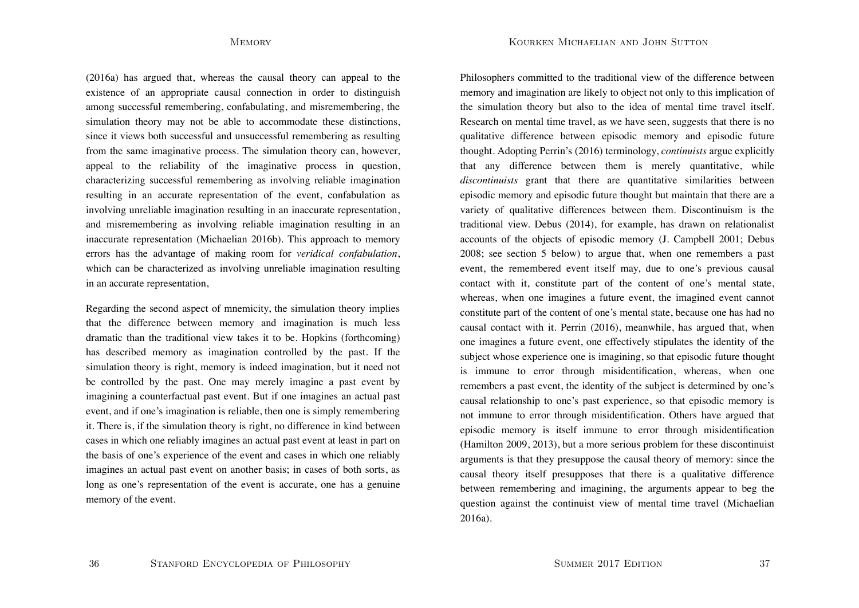Kourken Michaelian and John Sutton

(2016a) has argued that, whereas the causal theory can appeal to the existence of an appropriate causal connection in order to distinguish among successful remembering, confabulating, and misremembering, the simulation theory may not be able to accommodate these distinctions, since it views both successful and unsuccessful remembering as resulting from the same imaginative process. The simulation theory can, however, appeal to the reliability of the imaginative process in question, characterizing successful remembering as involving reliable imagination resulting in an accurate representation of the event, confabulation as involving unreliable imagination resulting in an inaccurate representation, and misremembering as involving reliable imagination resulting in an inaccurate representation (Michaelian 2016b). This approach to memory errors has the advantage of making room for *veridical confabulation*, which can be characterized as involving unreliable imagination resulting in an accurate representation,

Regarding the second aspect of mnemicity, the simulation theory implies that the difference between memory and imagination is much less dramatic than the traditional view takes it to be. Hopkins (forthcoming) has described memory as imagination controlled by the past. If the simulation theory is right, memory is indeed imagination, but it need not be controlled by the past. One may merely imagine a past event by imagining a counterfactual past event. But if one imagines an actual past event, and if one's imagination is reliable, then one is simply remembering it. There is, if the simulation theory is right, no difference in kind between cases in which one reliably imagines an actual past event at least in part on the basis of one's experience of the event and cases in which one reliably imagines an actual past event on another basis; in cases of both sorts, as long as one's representation of the event is accurate, one has a genuine memory of the event.

Philosophers committed to the traditional view of the difference between memory and imagination are likely to object not only to this implication of the simulation theory but also to the idea of mental time travel itself. Research on mental time travel, as we have seen, suggests that there is no qualitative difference between episodic memory and episodic future thought. Adopting Perrin's (2016) terminology, *continuists* argue explicitly that any difference between them is merely quantitative, while *discontinuists* grant that there are quantitative similarities between episodic memory and episodic future thought but maintain that there are a variety of qualitative differences between them. Discontinuism is the traditional view. Debus (2014), for example, has drawn on relationalist accounts of the objects of episodic memory (J. Campbell 2001; Debus 2008; see section 5 below) to argue that, when one remembers a past event, the remembered event itself may, due to one's previous causal contact with it, constitute part of the content of one's mental state, whereas, when one imagines a future event, the imagined event cannot constitute part of the content of one's mental state, because one has had no causal contact with it. Perrin (2016), meanwhile, has argued that, when one imagines a future event, one effectively stipulates the identity of the subject whose experience one is imagining, so that episodic future thought is immune to error through misidentification, whereas, when one remembers a past event, the identity of the subject is determined by one's causal relationship to one's past experience, so that episodic memory is not immune to error through misidentification. Others have argued that episodic memory is itself immune to error through misidentification (Hamilton 2009, 2013), but a more serious problem for these discontinuist arguments is that they presuppose the causal theory of memory: since the causal theory itself presupposes that there is a qualitative difference between remembering and imagining, the arguments appear to beg the question against the continuist view of mental time travel (Michaelian 2016a).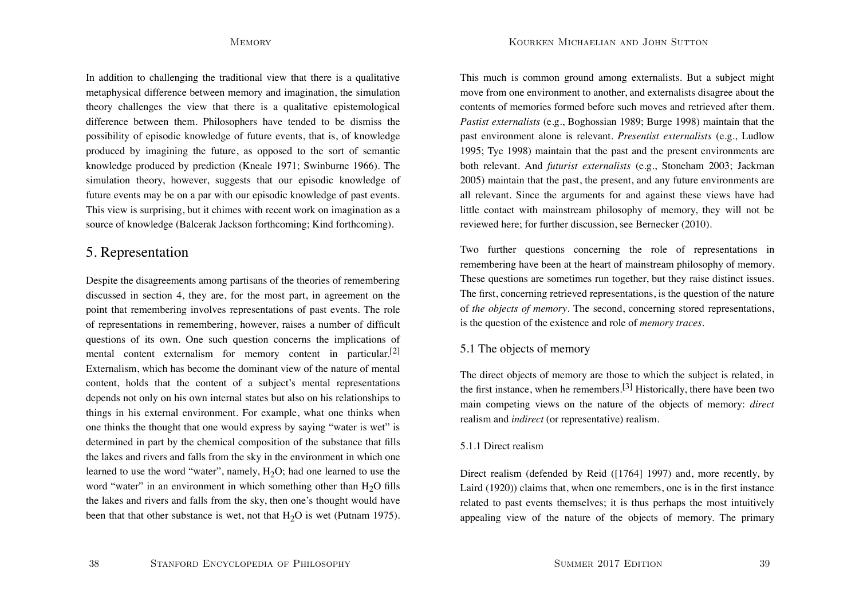In addition to challenging the traditional view that there is a qualitative metaphysical difference between memory and imagination, the simulation theory challenges the view that there is a qualitative epistemological difference between them. Philosophers have tended to be dismiss the possibility of episodic knowledge of future events, that is, of knowledge produced by imagining the future, as opposed to the sort of semantic knowledge produced by prediction (Kneale 1971; Swinburne 1966). The simulation theory, however, suggests that our episodic knowledge of future events may be on a par with our episodic knowledge of past events. This view is surprising, but it chimes with recent work on imagination as a source of knowledge (Balcerak Jackson forthcoming; Kind forthcoming).

# 5. Representation

Despite the disagreements among partisans of the theories of remembering discussed in section 4, they are, for the most part, in agreement on the point that remembering involves representations of past events. The role of representations in remembering, however, raises a number of difficult questions of its own. One such question concerns the implications of mental content externalism for memory content in particular.<sup>[2]</sup> Externalism, which has become the dominant view of the nature of mental content, holds that the content of a subject's mental representations depends not only on his own internal states but also on his relationships to things in his external environment. For example, what one thinks when one thinks the thought that one would express by saying "water is wet" is determined in part by the chemical composition of the substance that fills the lakes and rivers and falls from the sky in the environment in which one learned to use the word "water", namely,  $H_2O$ ; had one learned to use the word "water" in an environment in which something other than  $H_2O$  fills the lakes and rivers and falls from the sky, then one's thought would have been that that other substance is wet, not that  $H_2O$  is wet (Putnam 1975). This much is common ground among externalists. But a subject might move from one environment to another, and externalists disagree about the contents of memories formed before such moves and retrieved after them. *Pastist externalists* (e.g., Boghossian 1989; Burge 1998) maintain that the past environment alone is relevant. *Presentist externalists* (e.g., Ludlow 1995; Tye 1998) maintain that the past and the present environments are both relevant. And *futurist externalists* (e.g., Stoneham 2003; Jackman 2005) maintain that the past, the present, and any future environments are all relevant. Since the arguments for and against these views have had little contact with mainstream philosophy of memory, they will not be reviewed here; for further discussion, see Bernecker (2010).

Two further questions concerning the role of representations in remembering have been at the heart of mainstream philosophy of memory. These questions are sometimes run together, but they raise distinct issues. The first, concerning retrieved representations, is the question of the nature of *the objects of memory*. The second, concerning stored representations, is the question of the existence and role of *memory traces*.

## 5.1 The objects of memory

The direct objects of memory are those to which the subject is related, in the first instance, when he remembers.<sup>[3]</sup> Historically, there have been two main competing views on the nature of the objects of memory: *direct* realism and *indirect* (or representative) realism.

## 5.1.1 Direct realism

Direct realism (defended by Reid ([1764] 1997) and, more recently, by Laird (1920)) claims that, when one remembers, one is in the first instance related to past events themselves; it is thus perhaps the most intuitively appealing view of the nature of the objects of memory. The primary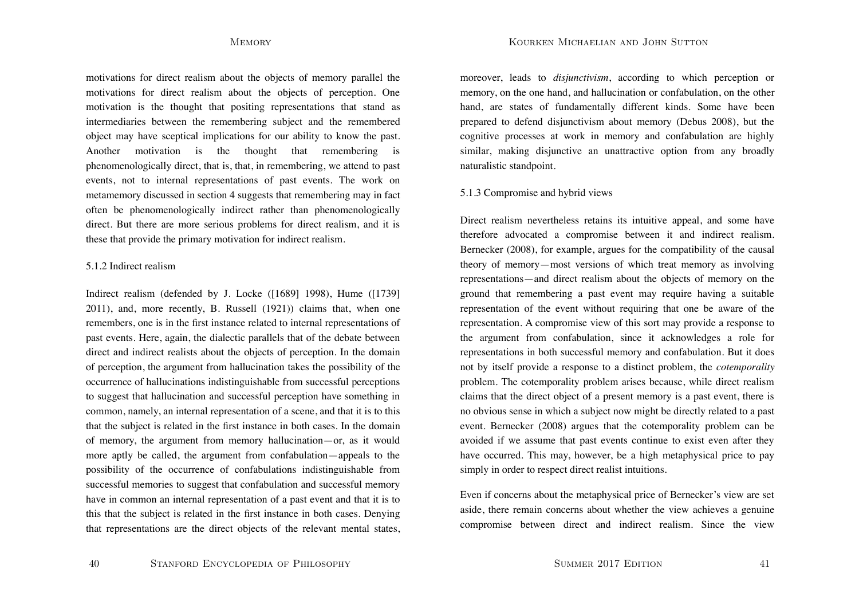Kourken Michaelian and John Sutton

motivations for direct realism about the objects of memory parallel the motivations for direct realism about the objects of perception. One motivation is the thought that positing representations that stand as intermediaries between the remembering subject and the remembered object may have sceptical implications for our ability to know the past. Another motivation is the thought that remembering is phenomenologically direct, that is, that, in remembering, we attend to past events, not to internal representations of past events. The work on metamemory discussed in section 4 suggests that remembering may in fact often be phenomenologically indirect rather than phenomenologically direct. But there are more serious problems for direct realism, and it is these that provide the primary motivation for indirect realism.

### 5.1.2 Indirect realism

Indirect realism (defended by J. Locke ([1689] 1998), Hume ([1739] 2011), and, more recently, B. Russell (1921)) claims that, when one remembers, one is in the first instance related to internal representations of past events. Here, again, the dialectic parallels that of the debate between direct and indirect realists about the objects of perception. In the domain of perception, the argument from hallucination takes the possibility of the occurrence of hallucinations indistinguishable from successful perceptions to suggest that hallucination and successful perception have something in common, namely, an internal representation of a scene, and that it is to this that the subject is related in the first instance in both cases. In the domain of memory, the argument from memory hallucination—or, as it would more aptly be called, the argument from confabulation—appeals to the possibility of the occurrence of confabulations indistinguishable from successful memories to suggest that confabulation and successful memory have in common an internal representation of a past event and that it is to this that the subject is related in the first instance in both cases. Denying that representations are the direct objects of the relevant mental states,

moreover, leads to *disjunctivism*, according to which perception or memory, on the one hand, and hallucination or confabulation, on the other hand, are states of fundamentally different kinds. Some have been prepared to defend disjunctivism about memory (Debus 2008), but the cognitive processes at work in memory and confabulation are highly similar, making disjunctive an unattractive option from any broadly naturalistic standpoint.

## 5.1.3 Compromise and hybrid views

Direct realism nevertheless retains its intuitive appeal, and some have therefore advocated a compromise between it and indirect realism. Bernecker (2008), for example, argues for the compatibility of the causal theory of memory—most versions of which treat memory as involving representations—and direct realism about the objects of memory on the ground that remembering a past event may require having a suitable representation of the event without requiring that one be aware of the representation. A compromise view of this sort may provide a response to the argument from confabulation, since it acknowledges a role for representations in both successful memory and confabulation. But it does not by itself provide a response to a distinct problem, the *cotemporality* problem. The cotemporality problem arises because, while direct realism claims that the direct object of a present memory is a past event, there is no obvious sense in which a subject now might be directly related to a past event. Bernecker (2008) argues that the cotemporality problem can be avoided if we assume that past events continue to exist even after they have occurred. This may, however, be a high metaphysical price to pay simply in order to respect direct realist intuitions.

Even if concerns about the metaphysical price of Bernecker's view are set aside, there remain concerns about whether the view achieves a genuine compromise between direct and indirect realism. Since the view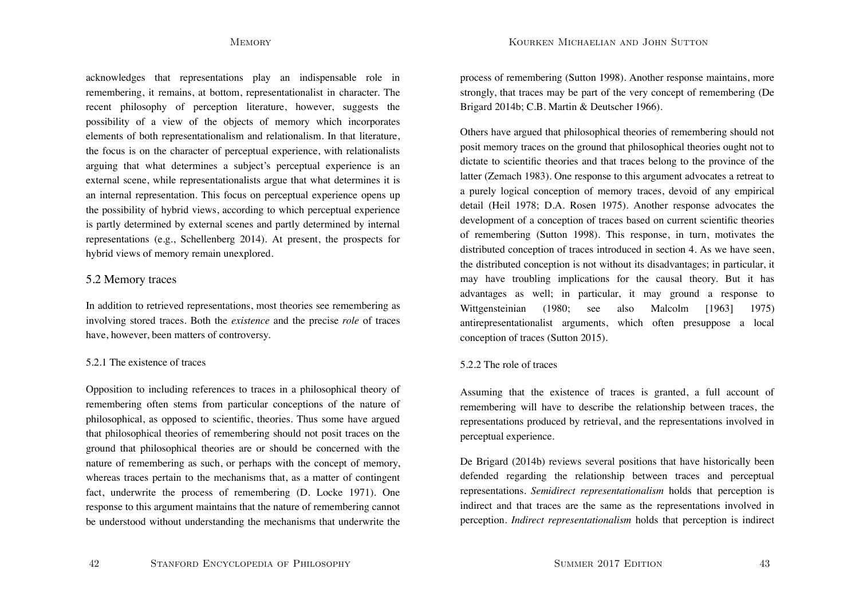acknowledges that representations play an indispensable role in remembering, it remains, at bottom, representationalist in character. The recent philosophy of perception literature, however, suggests the possibility of a view of the objects of memory which incorporates elements of both representationalism and relationalism. In that literature, the focus is on the character of perceptual experience, with relationalists arguing that what determines a subject's perceptual experience is an external scene, while representationalists argue that what determines it is an internal representation. This focus on perceptual experience opens up the possibility of hybrid views, according to which perceptual experience is partly determined by external scenes and partly determined by internal representations (e.g., Schellenberg 2014). At present, the prospects for hybrid views of memory remain unexplored.

## 5.2 Memory traces

In addition to retrieved representations, most theories see remembering as involving stored traces. Both the *existence* and the precise *role* of traces have, however, been matters of controversy.

### 5.2.1 The existence of traces

Opposition to including references to traces in a philosophical theory of remembering often stems from particular conceptions of the nature of philosophical, as opposed to scientific, theories. Thus some have argued that philosophical theories of remembering should not posit traces on the ground that philosophical theories are or should be concerned with the nature of remembering as such, or perhaps with the concept of memory, whereas traces pertain to the mechanisms that, as a matter of contingent fact, underwrite the process of remembering (D. Locke 1971). One response to this argument maintains that the nature of remembering cannot be understood without understanding the mechanisms that underwrite the process of remembering (Sutton 1998). Another response maintains, more strongly, that traces may be part of the very concept of remembering (De Brigard 2014b; C.B. Martin & Deutscher 1966).

Others have argued that philosophical theories of remembering should not posit memory traces on the ground that philosophical theories ought not to dictate to scientific theories and that traces belong to the province of the latter (Zemach 1983). One response to this argument advocates a retreat to a purely logical conception of memory traces, devoid of any empirical detail (Heil 1978; D.A. Rosen 1975). Another response advocates the development of a conception of traces based on current scientific theories of remembering (Sutton 1998). This response, in turn, motivates the distributed conception of traces introduced in section 4. As we have seen, the distributed conception is not without its disadvantages; in particular, it may have troubling implications for the causal theory. But it has advantages as well; in particular, it may ground a response to Wittgensteinian (1980; see also Malcolm [1963] 1975) antirepresentationalist arguments, which often presuppose a local conception of traces (Sutton 2015).

### 5.2.2 The role of traces

Assuming that the existence of traces is granted, a full account of remembering will have to describe the relationship between traces, the representations produced by retrieval, and the representations involved in perceptual experience.

De Brigard (2014b) reviews several positions that have historically been defended regarding the relationship between traces and perceptual representations. *Semidirect representationalism* holds that perception is indirect and that traces are the same as the representations involved in perception. *Indirect representationalism* holds that perception is indirect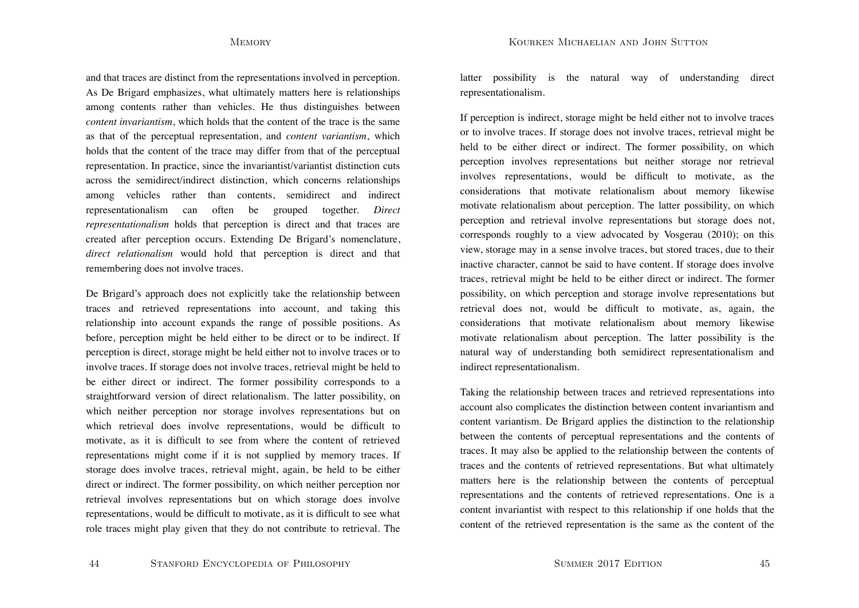and that traces are distinct from the representations involved in perception. As De Brigard emphasizes, what ultimately matters here is relationships among contents rather than vehicles. He thus distinguishes between *content invariantism*, which holds that the content of the trace is the same as that of the perceptual representation, and *content variantism*, which holds that the content of the trace may differ from that of the perceptual representation. In practice, since the invariantist/variantist distinction cuts across the semidirect/indirect distinction, which concerns relationships among vehicles rather than contents, semidirect and indirect representationalism can often be grouped together. *Direct representationalism* holds that perception is direct and that traces are created after perception occurs. Extending De Brigard's nomenclature, *direct relationalism* would hold that perception is direct and that remembering does not involve traces.

De Brigard's approach does not explicitly take the relationship between traces and retrieved representations into account, and taking this relationship into account expands the range of possible positions. As before, perception might be held either to be direct or to be indirect. If perception is direct, storage might be held either not to involve traces or to involve traces. If storage does not involve traces, retrieval might be held to be either direct or indirect. The former possibility corresponds to a straightforward version of direct relationalism. The latter possibility, on which neither perception nor storage involves representations but on which retrieval does involve representations, would be difficult to motivate, as it is difficult to see from where the content of retrieved representations might come if it is not supplied by memory traces. If storage does involve traces, retrieval might, again, be held to be either direct or indirect. The former possibility, on which neither perception nor retrieval involves representations but on which storage does involve representations, would be difficult to motivate, as it is difficult to see what role traces might play given that they do not contribute to retrieval. The

44STANFORD ENCYCLOPEDIA OF PHILOSOPHY latter possibility is the natural way of understanding direct representationalism.

If perception is indirect, storage might be held either not to involve traces or to involve traces. If storage does not involve traces, retrieval might be held to be either direct or indirect. The former possibility, on which perception involves representations but neither storage nor retrieval involves representations, would be difficult to motivate, as the considerations that motivate relationalism about memory likewise motivate relationalism about perception. The latter possibility, on which perception and retrieval involve representations but storage does not, corresponds roughly to a view advocated by Vosgerau (2010); on this view, storage may in a sense involve traces, but stored traces, due to their inactive character, cannot be said to have content. If storage does involve traces, retrieval might be held to be either direct or indirect. The former possibility, on which perception and storage involve representations but retrieval does not, would be difficult to motivate, as, again, the considerations that motivate relationalism about memory likewise motivate relationalism about perception. The latter possibility is the natural way of understanding both semidirect representationalism and indirect representationalism.

Taking the relationship between traces and retrieved representations into account also complicates the distinction between content invariantism and content variantism. De Brigard applies the distinction to the relationship between the contents of perceptual representations and the contents of traces. It may also be applied to the relationship between the contents of traces and the contents of retrieved representations. But what ultimately matters here is the relationship between the contents of perceptual representations and the contents of retrieved representations. One is a content invariantist with respect to this relationship if one holds that the content of the retrieved representation is the same as the content of the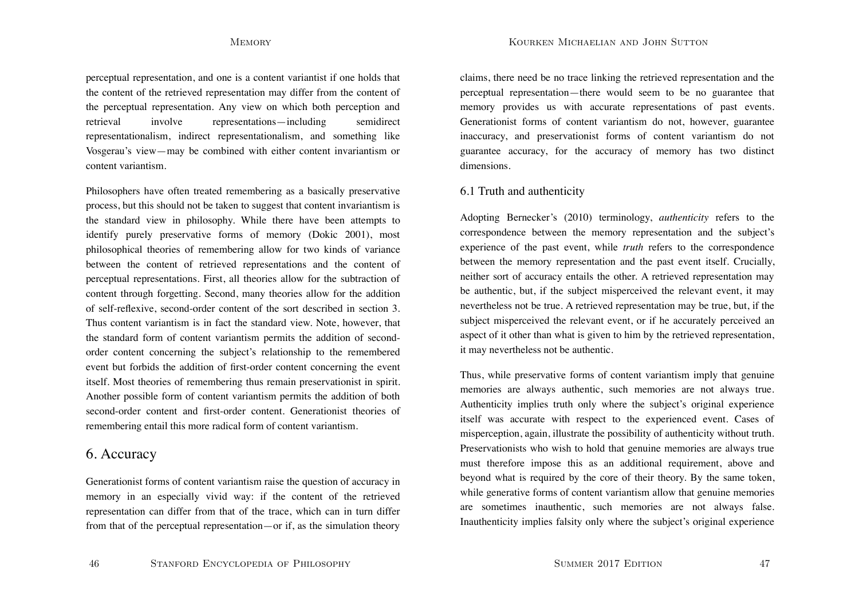perceptual representation, and one is a content variantist if one holds that the content of the retrieved representation may differ from the content of the perceptual representation. Any view on which both perception and retrieval involve representations—including semidirect representationalism, indirect representationalism, and something like Vosgerau's view—may be combined with either content invariantism or content variantism.

Philosophers have often treated remembering as a basically preservative process, but this should not be taken to suggest that content invariantism is the standard view in philosophy. While there have been attempts to identify purely preservative forms of memory (Dokic 2001), most philosophical theories of remembering allow for two kinds of variance between the content of retrieved representations and the content of perceptual representations. First, all theories allow for the subtraction of content through forgetting. Second, many theories allow for the addition of self-reflexive, second-order content of the sort described in section 3. Thus content variantism is in fact the standard view. Note, however, that the standard form of content variantism permits the addition of secondorder content concerning the subject's relationship to the remembered event but forbids the addition of first-order content concerning the event itself. Most theories of remembering thus remain preservationist in spirit. Another possible form of content variantism permits the addition of both second-order content and first-order content. Generationist theories of remembering entail this more radical form of content variantism.

# 6. Accuracy

Generationist forms of content variantism raise the question of accuracy in memory in an especially vivid way: if the content of the retrieved representation can differ from that of the trace, which can in turn differ from that of the perceptual representation—or if, as the simulation theory claims, there need be no trace linking the retrieved representation and the perceptual representation—there would seem to be no guarantee that memory provides us with accurate representations of past events. Generationist forms of content variantism do not, however, guarantee inaccuracy, and preservationist forms of content variantism do not guarantee accuracy, for the accuracy of memory has two distinct dimensions.

## 6.1 Truth and authenticity

Adopting Bernecker's (2010) terminology, *authenticity* refers to the correspondence between the memory representation and the subject's experience of the past event, while *truth* refers to the correspondence between the memory representation and the past event itself. Crucially, neither sort of accuracy entails the other. A retrieved representation may be authentic, but, if the subject misperceived the relevant event, it may nevertheless not be true. A retrieved representation may be true, but, if the subject misperceived the relevant event, or if he accurately perceived an aspect of it other than what is given to him by the retrieved representation, it may nevertheless not be authentic.

Thus, while preservative forms of content variantism imply that genuine memories are always authentic, such memories are not always true. Authenticity implies truth only where the subject's original experience itself was accurate with respect to the experienced event. Cases of misperception, again, illustrate the possibility of authenticity without truth. Preservationists who wish to hold that genuine memories are always true must therefore impose this as an additional requirement, above and beyond what is required by the core of their theory. By the same token, while generative forms of content variantism allow that genuine memories are sometimes inauthentic, such memories are not always false. Inauthenticity implies falsity only where the subject's original experience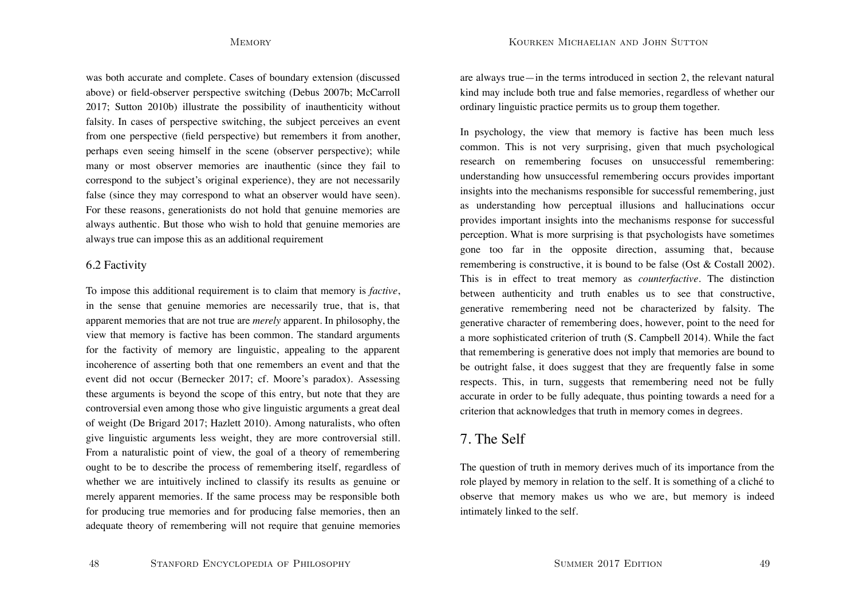was both accurate and complete. Cases of boundary extension (discussed above) or field-observer perspective switching (Debus 2007b; McCarroll 2017; Sutton 2010b) illustrate the possibility of inauthenticity without falsity. In cases of perspective switching, the subject perceives an event from one perspective (field perspective) but remembers it from another, perhaps even seeing himself in the scene (observer perspective); while many or most observer memories are inauthentic (since they fail to correspond to the subject's original experience), they are not necessarily false (since they may correspond to what an observer would have seen). For these reasons, generationists do not hold that genuine memories are always authentic. But those who wish to hold that genuine memories are always true can impose this as an additional requirement

## 6.2 Factivity

To impose this additional requirement is to claim that memory is *factive*, in the sense that genuine memories are necessarily true, that is, that apparent memories that are not true are *merely* apparent. In philosophy, the view that memory is factive has been common. The standard arguments for the factivity of memory are linguistic, appealing to the apparent incoherence of asserting both that one remembers an event and that the event did not occur (Bernecker 2017; cf. Moore's paradox). Assessing these arguments is beyond the scope of this entry, but note that they are controversial even among those who give linguistic arguments a great deal of weight (De Brigard 2017; Hazlett 2010). Among naturalists, who often give linguistic arguments less weight, they are more controversial still. From a naturalistic point of view, the goal of a theory of remembering ought to be to describe the process of remembering itself, regardless of whether we are intuitively inclined to classify its results as genuine or merely apparent memories. If the same process may be responsible both for producing true memories and for producing false memories, then an adequate theory of remembering will not require that genuine memories are always true—in the terms introduced in section 2, the relevant natural kind may include both true and false memories, regardless of whether our ordinary linguistic practice permits us to group them together.

In psychology, the view that memory is factive has been much less common. This is not very surprising, given that much psychological research on remembering focuses on unsuccessful remembering: understanding how unsuccessful remembering occurs provides important insights into the mechanisms responsible for successful remembering, just as understanding how perceptual illusions and hallucinations occur provides important insights into the mechanisms response for successful perception. What is more surprising is that psychologists have sometimes gone too far in the opposite direction, assuming that, because remembering is constructive, it is bound to be false (Ost & Costall 2002). This is in effect to treat memory as *counterfactive*. The distinction between authenticity and truth enables us to see that constructive, generative remembering need not be characterized by falsity. The generative character of remembering does, however, point to the need for a more sophisticated criterion of truth (S. Campbell 2014). While the fact that remembering is generative does not imply that memories are bound to be outright false, it does suggest that they are frequently false in some respects. This, in turn, suggests that remembering need not be fully accurate in order to be fully adequate, thus pointing towards a need for a criterion that acknowledges that truth in memory comes in degrees.

# 7. The Self

The question of truth in memory derives much of its importance from the role played by memory in relation to the self. It is something of a cliché to observe that memory makes us who we are, but memory is indeed intimately linked to the self.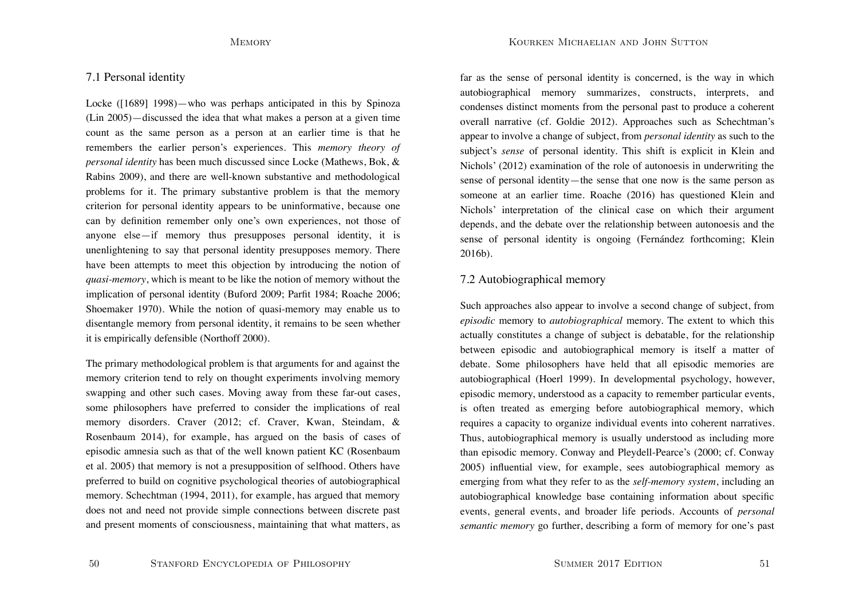## 7.1 Personal identity

Locke ([1689] 1998)—who was perhaps anticipated in this by Spinoza (Lin 2005)—discussed the idea that what makes a person at a given time count as the same person as a person at an earlier time is that he remembers the earlier person's experiences. This *memory theory of personal identity* has been much discussed since Locke (Mathews, Bok, & Rabins 2009), and there are well-known substantive and methodological problems for it. The primary substantive problem is that the memory criterion for personal identity appears to be uninformative, because one can by definition remember only one's own experiences, not those of anyone else—if memory thus presupposes personal identity, it is unenlightening to say that personal identity presupposes memory. There have been attempts to meet this objection by introducing the notion of *quasi-memory*, which is meant to be like the notion of memory without the implication of personal identity (Buford 2009; Parfit 1984; Roache 2006; Shoemaker 1970). While the notion of quasi-memory may enable us to disentangle memory from personal identity, it remains to be seen whether it is empirically defensible (Northoff 2000).

The primary methodological problem is that arguments for and against the memory criterion tend to rely on thought experiments involving memory swapping and other such cases. Moving away from these far-out cases, some philosophers have preferred to consider the implications of real memory disorders. Craver (2012; cf. Craver, Kwan, Steindam, & Rosenbaum 2014), for example, has argued on the basis of cases of episodic amnesia such as that of the well known patient KC (Rosenbaum et al. 2005) that memory is not a presupposition of selfhood. Others have preferred to build on cognitive psychological theories of autobiographical memory. Schechtman (1994, 2011), for example, has argued that memory does not and need not provide simple connections between discrete past and present moments of consciousness, maintaining that what matters, as far as the sense of personal identity is concerned, is the way in which autobiographical memory summarizes, constructs, interprets, and condenses distinct moments from the personal past to produce a coherent overall narrative (cf. Goldie 2012). Approaches such as Schechtman's appear to involve a change of subject, from *personal identity* as such to the subject's *sense* of personal identity. This shift is explicit in Klein and Nichols' (2012) examination of the role of autonoesis in underwriting the sense of personal identity—the sense that one now is the same person as someone at an earlier time. Roache (2016) has questioned Klein and Nichols' interpretation of the clinical case on which their argument depends, and the debate over the relationship between autonoesis and the sense of personal identity is ongoing (Fernández forthcoming; Klein 2016b).

## 7.2 Autobiographical memory

Such approaches also appear to involve a second change of subject, from *episodic* memory to *autobiographical* memory. The extent to which this actually constitutes a change of subject is debatable, for the relationship between episodic and autobiographical memory is itself a matter of debate. Some philosophers have held that all episodic memories are autobiographical (Hoerl 1999). In developmental psychology, however, episodic memory, understood as a capacity to remember particular events, is often treated as emerging before autobiographical memory, which requires a capacity to organize individual events into coherent narratives. Thus, autobiographical memory is usually understood as including more than episodic memory. Conway and Pleydell-Pearce's (2000; cf. Conway 2005) influential view, for example, sees autobiographical memory as emerging from what they refer to as the *self-memory system*, including an autobiographical knowledge base containing information about specific events, general events, and broader life periods. Accounts of *personal semantic memory* go further, describing a form of memory for one's past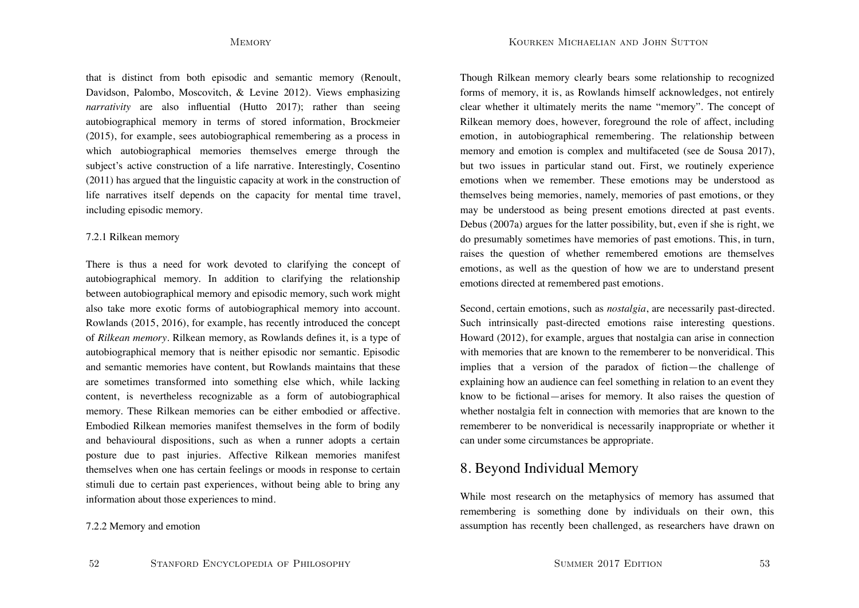that is distinct from both episodic and semantic memory (Renoult, Davidson, Palombo, Moscovitch, & Levine 2012). Views emphasizing *narrativity* are also influential (Hutto 2017); rather than seeing autobiographical memory in terms of stored information, Brockmeier (2015), for example, sees autobiographical remembering as a process in which autobiographical memories themselves emerge through the subject's active construction of a life narrative. Interestingly, Cosentino (2011) has argued that the linguistic capacity at work in the construction of life narratives itself depends on the capacity for mental time travel, including episodic memory.

### 7.2.1 Rilkean memory

There is thus a need for work devoted to clarifying the concept of autobiographical memory. In addition to clarifying the relationship between autobiographical memory and episodic memory, such work might also take more exotic forms of autobiographical memory into account. Rowlands (2015, 2016), for example, has recently introduced the concept of *Rilkean memory*. Rilkean memory, as Rowlands defines it, is a type of autobiographical memory that is neither episodic nor semantic. Episodic and semantic memories have content, but Rowlands maintains that these are sometimes transformed into something else which, while lacking content, is nevertheless recognizable as a form of autobiographical memory. These Rilkean memories can be either embodied or affective. Embodied Rilkean memories manifest themselves in the form of bodily and behavioural dispositions, such as when a runner adopts a certain posture due to past injuries. Affective Rilkean memories manifest themselves when one has certain feelings or moods in response to certain stimuli due to certain past experiences, without being able to bring any information about those experiences to mind.

7.2.2 Memory and emotion

Though Rilkean memory clearly bears some relationship to recognized forms of memory, it is, as Rowlands himself acknowledges, not entirely clear whether it ultimately merits the name "memory". The concept of Rilkean memory does, however, foreground the role of affect, including emotion, in autobiographical remembering. The relationship between memory and emotion is complex and multifaceted (see de Sousa 2017), but two issues in particular stand out. First, we routinely experience emotions when we remember. These emotions may be understood as themselves being memories, namely, memories of past emotions, or they may be understood as being present emotions directed at past events. Debus (2007a) argues for the latter possibility, but, even if she is right, we do presumably sometimes have memories of past emotions. This, in turn, raises the question of whether remembered emotions are themselves emotions, as well as the question of how we are to understand present emotions directed at remembered past emotions.

Second, certain emotions, such as *nostalgia*, are necessarily past-directed. Such intrinsically past-directed emotions raise interesting questions. Howard (2012), for example, argues that nostalgia can arise in connection with memories that are known to the rememberer to be nonveridical. This implies that a version of the paradox of fiction—the challenge of explaining how an audience can feel something in relation to an event they know to be fictional—arises for memory. It also raises the question of whether nostalgia felt in connection with memories that are known to the rememberer to be nonveridical is necessarily inappropriate or whether it can under some circumstances be appropriate.

# 8. Beyond Individual Memory

While most research on the metaphysics of memory has assumed that remembering is something done by individuals on their own, this assumption has recently been challenged, as researchers have drawn on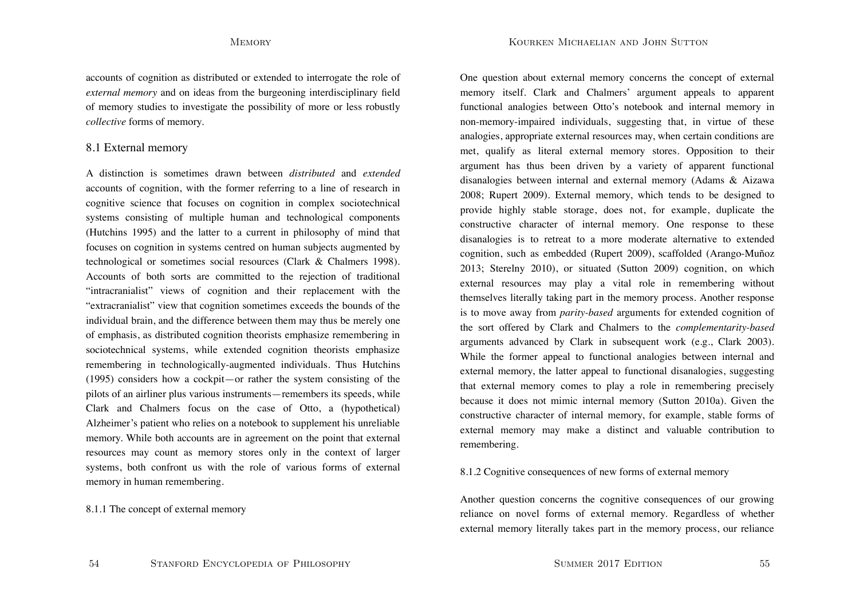accounts of cognition as distributed or extended to interrogate the role of *external memory* and on ideas from the burgeoning interdisciplinary field of memory studies to investigate the possibility of more or less robustly *collective* forms of memory.

## 8.1 External memory

A distinction is sometimes drawn between *distributed* and *extended* accounts of cognition, with the former referring to a line of research in cognitive science that focuses on cognition in complex sociotechnical systems consisting of multiple human and technological components (Hutchins 1995) and the latter to a current in philosophy of mind that focuses on cognition in systems centred on human subjects augmented by technological or sometimes social resources (Clark & Chalmers 1998). Accounts of both sorts are committed to the rejection of traditional "intracranialist" views of cognition and their replacement with the "extracranialist" view that cognition sometimes exceeds the bounds of the individual brain, and the difference between them may thus be merely one of emphasis, as distributed cognition theorists emphasize remembering in sociotechnical systems, while extended cognition theorists emphasize remembering in technologically-augmented individuals. Thus Hutchins (1995) considers how a cockpit—or rather the system consisting of the pilots of an airliner plus various instruments—remembers its speeds, while Clark and Chalmers focus on the case of Otto, a (hypothetical) Alzheimer's patient who relies on a notebook to supplement his unreliable memory. While both accounts are in agreement on the point that external resources may count as memory stores only in the context of larger systems, both confront us with the role of various forms of external memory in human remembering.

## 8.1.1 The concept of external memory

One question about external memory concerns the concept of external memory itself. Clark and Chalmers' argument appeals to apparent functional analogies between Otto's notebook and internal memory in non-memory-impaired individuals, suggesting that, in virtue of these analogies, appropriate external resources may, when certain conditions are met, qualify as literal external memory stores. Opposition to their argument has thus been driven by a variety of apparent functional disanalogies between internal and external memory (Adams & Aizawa 2008; Rupert 2009). External memory, which tends to be designed to provide highly stable storage, does not, for example, duplicate the constructive character of internal memory. One response to these disanalogies is to retreat to a more moderate alternative to extended cognition, such as embedded (Rupert 2009), scaffolded (Arango-Muñoz 2013; Sterelny 2010), or situated (Sutton 2009) cognition, on which external resources may play a vital role in remembering without themselves literally taking part in the memory process. Another response is to move away from *parity-based* arguments for extended cognition of the sort offered by Clark and Chalmers to the *complementarity-based* arguments advanced by Clark in subsequent work (e.g., Clark 2003). While the former appeal to functional analogies between internal and external memory, the latter appeal to functional disanalogies, suggesting that external memory comes to play a role in remembering precisely because it does not mimic internal memory (Sutton 2010a). Given the constructive character of internal memory, for example, stable forms of external memory may make a distinct and valuable contribution to remembering.

### 8.1.2 Cognitive consequences of new forms of external memory

Another question concerns the cognitive consequences of our growing reliance on novel forms of external memory. Regardless of whether external memory literally takes part in the memory process, our reliance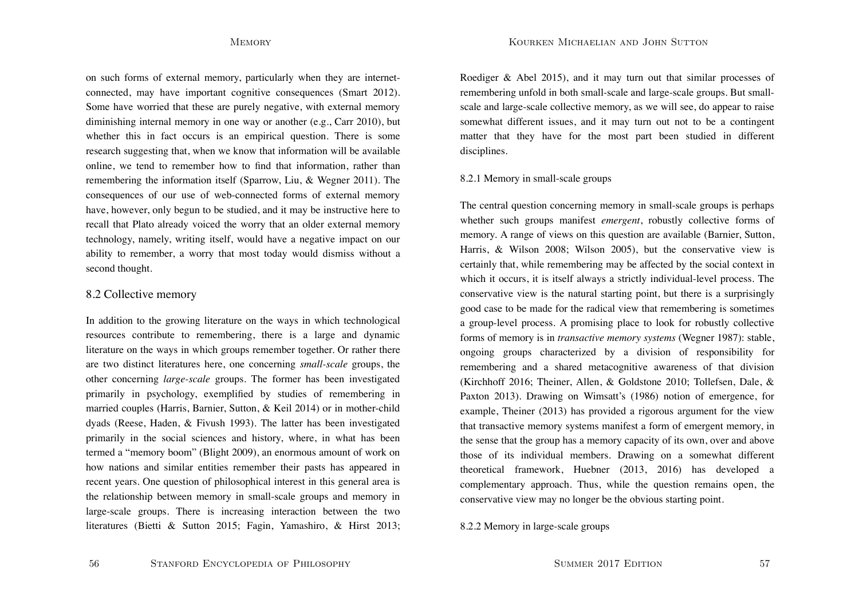on such forms of external memory, particularly when they are internetconnected, may have important cognitive consequences (Smart 2012). Some have worried that these are purely negative, with external memory diminishing internal memory in one way or another (e.g., Carr 2010), but whether this in fact occurs is an empirical question. There is some research suggesting that, when we know that information will be available online, we tend to remember how to find that information, rather than remembering the information itself (Sparrow, Liu, & Wegner 2011). The consequences of our use of web-connected forms of external memory have, however, only begun to be studied, and it may be instructive here to recall that Plato already voiced the worry that an older external memory technology, namely, writing itself, would have a negative impact on our ability to remember, a worry that most today would dismiss without a second thought.

## 8.2 Collective memory

In addition to the growing literature on the ways in which technological resources contribute to remembering, there is a large and dynamic literature on the ways in which groups remember together. Or rather there are two distinct literatures here, one concerning *small-scale* groups, the other concerning *large-scale* groups. The former has been investigated primarily in psychology, exemplified by studies of remembering in married couples (Harris, Barnier, Sutton, & Keil 2014) or in mother-child dyads (Reese, Haden, & Fivush 1993). The latter has been investigated primarily in the social sciences and history, where, in what has been termed a "memory boom" (Blight 2009), an enormous amount of work on how nations and similar entities remember their pasts has appeared in recent years. One question of philosophical interest in this general area is the relationship between memory in small-scale groups and memory in large-scale groups. There is increasing interaction between the two literatures (Bietti & Sutton 2015; Fagin, Yamashiro, & Hirst 2013; Roediger & Abel 2015), and it may turn out that similar processes of remembering unfold in both small-scale and large-scale groups. But smallscale and large-scale collective memory, as we will see, do appear to raise somewhat different issues, and it may turn out not to be a contingent matter that they have for the most part been studied in different disciplines.

### 8.2.1 Memory in small-scale groups

The central question concerning memory in small-scale groups is perhaps whether such groups manifest *emergent*, robustly collective forms of memory. A range of views on this question are available (Barnier, Sutton, Harris, & Wilson 2008; Wilson 2005), but the conservative view is certainly that, while remembering may be affected by the social context in which it occurs, it is itself always a strictly individual-level process. The conservative view is the natural starting point, but there is a surprisingly good case to be made for the radical view that remembering is sometimes a group-level process. A promising place to look for robustly collective forms of memory is in *transactive memory systems* (Wegner 1987): stable, ongoing groups characterized by a division of responsibility for remembering and a shared metacognitive awareness of that division (Kirchhoff 2016; Theiner, Allen, & Goldstone 2010; Tollefsen, Dale, & Paxton 2013). Drawing on Wimsatt's (1986) notion of emergence, for example, Theiner (2013) has provided a rigorous argument for the view that transactive memory systems manifest a form of emergent memory, in the sense that the group has a memory capacity of its own, over and above those of its individual members. Drawing on a somewhat different theoretical framework, Huebner (2013, 2016) has developed a complementary approach. Thus, while the question remains open, the conservative view may no longer be the obvious starting point.

8.2.2 Memory in large-scale groups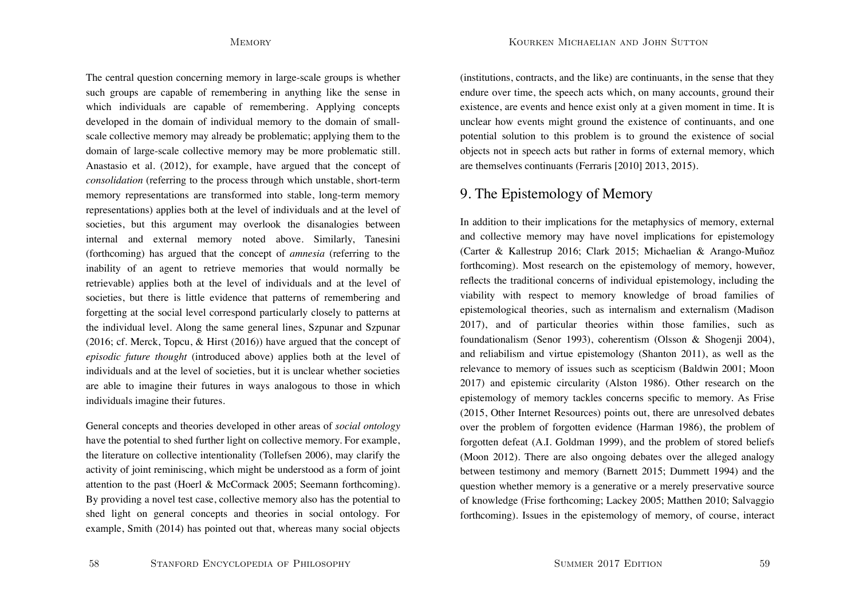Kourken Michaelian and John Sutton

The central question concerning memory in large-scale groups is whether such groups are capable of remembering in anything like the sense in which individuals are capable of remembering. Applying concepts developed in the domain of individual memory to the domain of smallscale collective memory may already be problematic; applying them to the domain of large-scale collective memory may be more problematic still. Anastasio et al. (2012), for example, have argued that the concept of *consolidation* (referring to the process through which unstable, short-term memory representations are transformed into stable, long-term memory representations) applies both at the level of individuals and at the level of societies, but this argument may overlook the disanalogies between internal and external memory noted above. Similarly, Tanesini (forthcoming) has argued that the concept of *amnesia* (referring to the inability of an agent to retrieve memories that would normally be retrievable) applies both at the level of individuals and at the level of societies, but there is little evidence that patterns of remembering and forgetting at the social level correspond particularly closely to patterns at the individual level. Along the same general lines, Szpunar and Szpunar (2016; cf. Merck, Topcu, & Hirst (2016)) have argued that the concept of *episodic future thought* (introduced above) applies both at the level of individuals and at the level of societies, but it is unclear whether societies are able to imagine their futures in ways analogous to those in which individuals imagine their futures.

General concepts and theories developed in other areas of *social ontology* have the potential to shed further light on collective memory. For example, the literature on collective intentionality (Tollefsen 2006), may clarify the activity of joint reminiscing, which might be understood as a form of joint attention to the past (Hoerl & McCormack 2005; Seemann forthcoming). By providing a novel test case, collective memory also has the potential to shed light on general concepts and theories in social ontology. For example, Smith (2014) has pointed out that, whereas many social objects (institutions, contracts, and the like) are continuants, in the sense that they endure over time, the speech acts which, on many accounts, ground their existence, are events and hence exist only at a given moment in time. It is unclear how events might ground the existence of continuants, and one potential solution to this problem is to ground the existence of social objects not in speech acts but rather in forms of external memory, which are themselves continuants (Ferraris [2010] 2013, 2015).

# 9. The Epistemology of Memory

In addition to their implications for the metaphysics of memory, external and collective memory may have novel implications for epistemology (Carter & Kallestrup 2016; Clark 2015; Michaelian & Arango-Muñoz forthcoming). Most research on the epistemology of memory, however, reflects the traditional concerns of individual epistemology, including the viability with respect to memory knowledge of broad families of epistemological theories, such as internalism and externalism (Madison 2017), and of particular theories within those families, such as foundationalism (Senor 1993), coherentism (Olsson & Shogenji 2004), and reliabilism and virtue epistemology (Shanton 2011), as well as the relevance to memory of issues such as scepticism (Baldwin 2001; Moon 2017) and epistemic circularity (Alston 1986). Other research on the epistemology of memory tackles concerns specific to memory. As Frise (2015, Other Internet Resources) points out, there are unresolved debates over the problem of forgotten evidence (Harman 1986), the problem of forgotten defeat (A.I. Goldman 1999), and the problem of stored beliefs (Moon 2012). There are also ongoing debates over the alleged analogy between testimony and memory (Barnett 2015; Dummett 1994) and the question whether memory is a generative or a merely preservative source of knowledge (Frise forthcoming; Lackey 2005; Matthen 2010; Salvaggio forthcoming). Issues in the epistemology of memory, of course, interact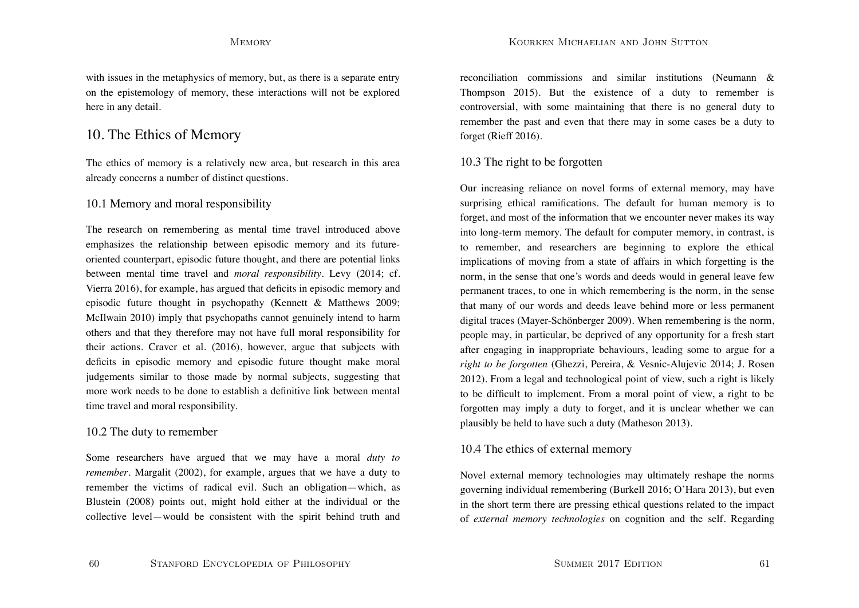with issues in the metaphysics of memory, but, as there is a separate entry on the epistemology of memory, these interactions will not be explored here in any detail.

# 10. The Ethics of Memory

The ethics of memory is a relatively new area, but research in this area already concerns a number of distinct questions.

## 10.1 Memory and moral responsibility

The research on remembering as mental time travel introduced above emphasizes the relationship between episodic memory and its futureoriented counterpart, episodic future thought, and there are potential links between mental time travel and *moral responsibility*. Levy (2014; cf. Vierra 2016), for example, has argued that deficits in episodic memory and episodic future thought in psychopathy (Kennett & Matthews 2009; McIlwain 2010) imply that psychopaths cannot genuinely intend to harm others and that they therefore may not have full moral responsibility for their actions. Craver et al. (2016), however, argue that subjects with deficits in episodic memory and episodic future thought make moral judgements similar to those made by normal subjects, suggesting that more work needs to be done to establish a definitive link between mental time travel and moral responsibility.

## 10.2 The duty to remember

Some researchers have argued that we may have a moral *duty to remember*. Margalit (2002), for example, argues that we have a duty to remember the victims of radical evil. Such an obligation—which, as Blustein (2008) points out, might hold either at the individual or the collective level—would be consistent with the spirit behind truth and reconciliation commissions and similar institutions (Neumann & Thompson 2015). But the existence of a duty to remember is controversial, with some maintaining that there is no general duty to remember the past and even that there may in some cases be a duty to forget (Rieff 2016).

## 10.3 The right to be forgotten

Our increasing reliance on novel forms of external memory, may have surprising ethical ramifications. The default for human memory is to forget, and most of the information that we encounter never makes its way into long-term memory. The default for computer memory, in contrast, is to remember, and researchers are beginning to explore the ethical implications of moving from a state of affairs in which forgetting is the norm, in the sense that one's words and deeds would in general leave few permanent traces, to one in which remembering is the norm, in the sense that many of our words and deeds leave behind more or less permanent digital traces (Mayer-Schönberger 2009). When remembering is the norm, people may, in particular, be deprived of any opportunity for a fresh start after engaging in inappropriate behaviours, leading some to argue for a *right to be forgotten* (Ghezzi, Pereira, & Vesnic-Alujevic 2014; J. Rosen 2012). From a legal and technological point of view, such a right is likely to be difficult to implement. From a moral point of view, a right to be forgotten may imply a duty to forget, and it is unclear whether we can plausibly be held to have such a duty (Matheson 2013).

## 10.4 The ethics of external memory

Novel external memory technologies may ultimately reshape the norms governing individual remembering (Burkell 2016; O'Hara 2013), but even in the short term there are pressing ethical questions related to the impact of *external memory technologies* on cognition and the self. Regarding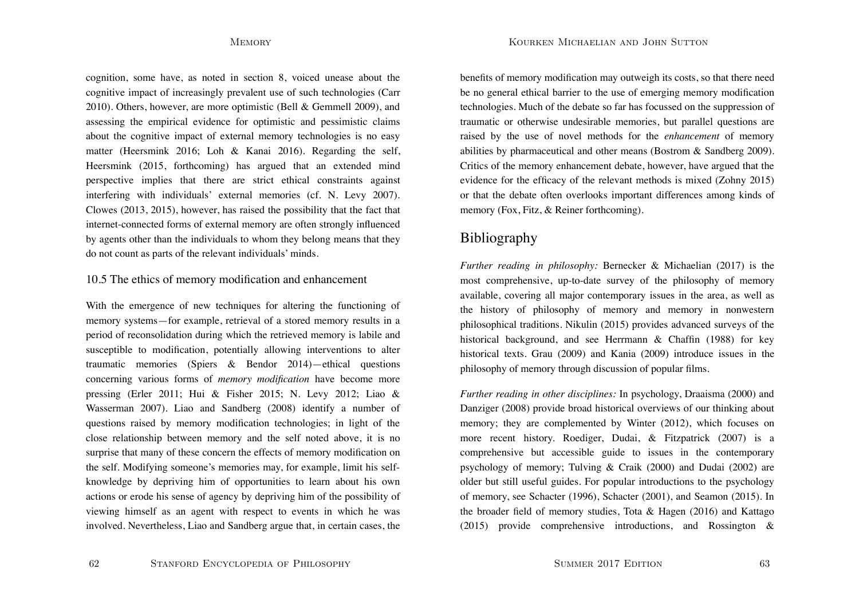cognition, some have, as noted in section 8, voiced unease about the cognitive impact of increasingly prevalent use of such technologies (Carr 2010). Others, however, are more optimistic (Bell & Gemmell 2009), and assessing the empirical evidence for optimistic and pessimistic claims about the cognitive impact of external memory technologies is no easy matter (Heersmink 2016; Loh & Kanai 2016). Regarding the self, Heersmink (2015, forthcoming) has argued that an extended mind perspective implies that there are strict ethical constraints against interfering with individuals' external memories (cf. N. Levy 2007). Clowes (2013, 2015), however, has raised the possibility that the fact that internet-connected forms of external memory are often strongly influenced by agents other than the individuals to whom they belong means that they do not count as parts of the relevant individuals' minds.

## 10.5 The ethics of memory modification and enhancement

With the emergence of new techniques for altering the functioning of memory systems—for example, retrieval of a stored memory results in a period of reconsolidation during which the retrieved memory is labile and susceptible to modification, potentially allowing interventions to alter traumatic memories (Spiers & Bendor 2014)—ethical questions concerning various forms of *memory modification* have become more pressing (Erler 2011; Hui & Fisher 2015; N. Levy 2012; Liao & Wasserman 2007). Liao and Sandberg (2008) identify a number of questions raised by memory modification technologies; in light of the close relationship between memory and the self noted above, it is no surprise that many of these concern the effects of memory modification on the self. Modifying someone's memories may, for example, limit his selfknowledge by depriving him of opportunities to learn about his own actions or erode his sense of agency by depriving him of the possibility of viewing himself as an agent with respect to events in which he was involved. Nevertheless, Liao and Sandberg argue that, in certain cases, the benefits of memory modification may outweigh its costs, so that there need be no general ethical barrier to the use of emerging memory modification technologies. Much of the debate so far has focussed on the suppression of traumatic or otherwise undesirable memories, but parallel questions are raised by the use of novel methods for the *enhancement* of memory abilities by pharmaceutical and other means (Bostrom & Sandberg 2009). Critics of the memory enhancement debate, however, have argued that the evidence for the efficacy of the relevant methods is mixed (Zohny 2015) or that the debate often overlooks important differences among kinds of memory (Fox, Fitz, & Reiner forthcoming).

# Bibliography

*Further reading in philosophy:* Bernecker & Michaelian (2017) is the most comprehensive, up-to-date survey of the philosophy of memory available, covering all major contemporary issues in the area, as well as the history of philosophy of memory and memory in nonwestern philosophical traditions. Nikulin (2015) provides advanced surveys of the historical background, and see Herrmann & Chaffin (1988) for key historical texts. Grau (2009) and Kania (2009) introduce issues in the philosophy of memory through discussion of popular films.

*Further reading in other disciplines:* In psychology, Draaisma (2000) and Danziger (2008) provide broad historical overviews of our thinking about memory; they are complemented by Winter (2012), which focuses on more recent history. Roediger, Dudai, & Fitzpatrick (2007) is a comprehensive but accessible guide to issues in the contemporary psychology of memory; Tulving & Craik (2000) and Dudai (2002) are older but still useful guides. For popular introductions to the psychology of memory, see Schacter (1996), Schacter (2001), and Seamon (2015). In the broader field of memory studies, Tota & Hagen (2016) and Kattago (2015) provide comprehensive introductions, and Rossington &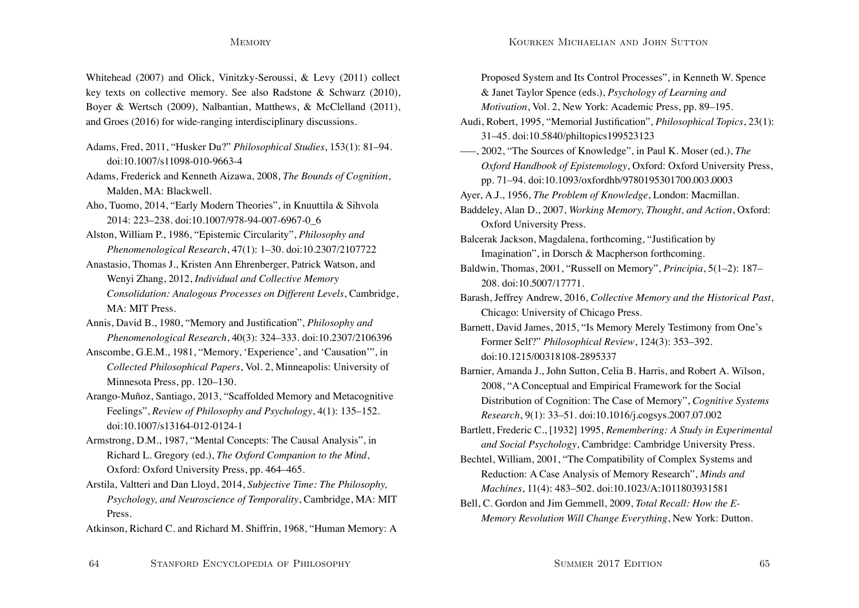Whitehead (2007) and Olick, Vinitzky-Seroussi, & Levy (2011) collect key texts on collective memory. See also Radstone & Schwarz (2010), Boyer & Wertsch (2009), Nalbantian, Matthews, & McClelland (2011), and Groes (2016) for wide-ranging interdisciplinary discussions.

Adams, Fred, 2011, "Husker Du?" *Philosophical Studies*, 153(1): 81–94. doi:10.1007/s11098-010-9663-4

Adams, Frederick and Kenneth Aizawa, 2008, *The Bounds of Cognition*, Malden, MA: Blackwell.

Aho, Tuomo, 2014, "Early Modern Theories", in Knuuttila & Sihvola 2014: 223–238. doi:10.1007/978-94-007-6967-0\_6

Alston, William P., 1986, "Epistemic Circularity", *Philosophy and Phenomenological Research*, 47(1): 1–30. doi:10.2307/2107722

Anastasio, Thomas J., Kristen Ann Ehrenberger, Patrick Watson, and Wenyi Zhang, 2012, *Individual and Collective Memory Consolidation: Analogous Processes on Different Levels*, Cambridge, MA: MIT Press.

Annis, David B., 1980, "Memory and Justification", *Philosophy and Phenomenological Research*, 40(3): 324–333. doi:10.2307/2106396

Anscombe, G.E.M., 1981, "Memory, 'Experience', and 'Causation'", in *Collected Philosophical Papers*, Vol. 2, Minneapolis: University of Minnesota Press, pp. 120–130.

Arango-Muñoz, Santiago, 2013, "Scaffolded Memory and Metacognitive Feelings", *Review of Philosophy and Psychology*, 4(1): 135–152. doi:10.1007/s13164-012-0124-1

Armstrong, D.M., 1987, "Mental Concepts: The Causal Analysis", in Richard L. Gregory (ed.), *The Oxford Companion to the Mind*, Oxford: Oxford University Press, pp. 464–465.

Arstila, Valtteri and Dan Lloyd, 2014, *Subjective Time: The Philosophy, Psychology, and Neuroscience of Temporality*, Cambridge, MA: MIT Press.

Atkinson, Richard C. and Richard M. Shiffrin, 1968, "Human Memory: A

Proposed System and Its Control Processes", in Kenneth W. Spence & Janet Taylor Spence (eds.), *Psychology of Learning and Motivation*, Vol. 2, New York: Academic Press, pp. 89–195. Audi, Robert, 1995, "Memorial Justification", *Philosophical Topics*, 23(1): 31–45. doi:10.5840/philtopics199523123 –––, 2002, "The Sources of Knowledge", in Paul K. Moser (ed.), *The Oxford Handbook of Epistemology*, Oxford: Oxford University Press, pp. 71–94. doi:10.1093/oxfordhb/9780195301700.003.0003 Ayer, A.J., 1956, *The Problem of Knowledge*, London: Macmillan. Baddeley, Alan D., 2007, *Working Memory, Thought, and Action*, Oxford: Oxford University Press. Balcerak Jackson, Magdalena, forthcoming, "Justification by Imagination", in Dorsch & Macpherson forthcoming. Baldwin, Thomas, 2001, "Russell on Memory", *Principia*, 5(1–2): 187– 208. doi:10.5007/17771. Barash, Jeffrey Andrew, 2016, *Collective Memory and the Historical Past*, Chicago: University of Chicago Press. Barnett, David James, 2015, "Is Memory Merely Testimony from One's Former Self?" *Philosophical Review*, 124(3): 353–392. doi:10.1215/00318108-2895337Barnier, Amanda J., John Sutton, Celia B. Harris, and Robert A. Wilson, 2008, "A Conceptual and Empirical Framework for the Social Distribution of Cognition: The Case of Memory", *Cognitive Systems Research*, 9(1): 33–51. doi:10.1016/j.cogsys.2007.07.002 Bartlett, Frederic C., [1932] 1995, *Remembering: A Study in Experimental and Social Psychology*, Cambridge: Cambridge University Press. Bechtel, William, 2001, "The Compatibility of Complex Systems and Reduction: A Case Analysis of Memory Research", *Minds and Machines*, 11(4): 483–502. doi:10.1023/A:1011803931581 Bell, C. Gordon and Jim Gemmell, 2009, *Total Recall: How the E-Memory Revolution Will Change Everything*, New York: Dutton.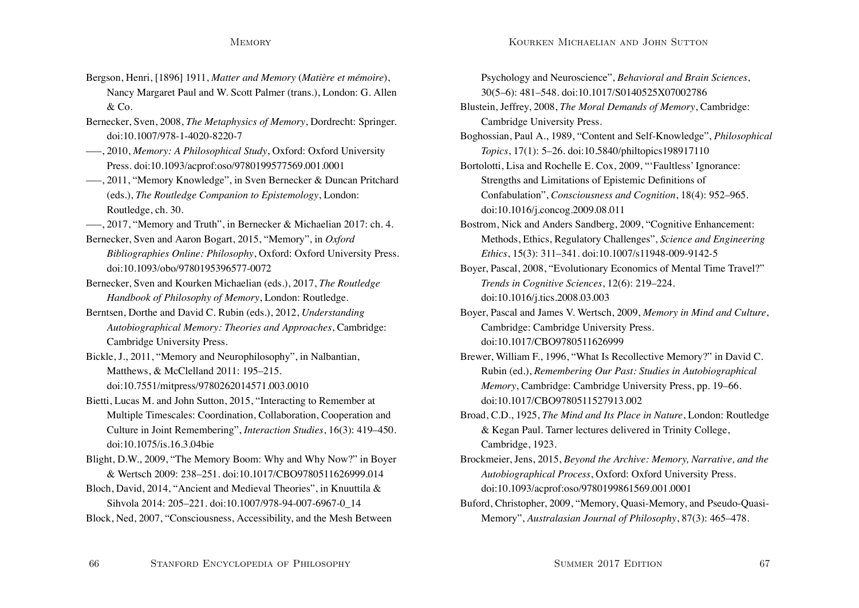- Bergson, Henri, [1896] 1911, *Matter and Memory* (*Matière et mémoire*), Nancy Margaret Paul and W. Scott Palmer (trans.), London: G. Allen  $&$  Co.
- Bernecker, Sven, 2008, *The Metaphysics of Memory*, Dordrecht: Springer. doi:10.1007/978-1-4020-8220-7
- –––, 2010, *Memory: A Philosophical Study*, Oxford: Oxford University Press. doi:10.1093/acprof:oso/9780199577569.001.0001
- –––, 2011, "Memory Knowledge", in Sven Bernecker & Duncan Pritchard (eds.), *The Routledge Companion to Epistemology*, London: Routledge, ch. 30.
- –––, 2017, "Memory and Truth", in Bernecker & Michaelian 2017: ch. 4.
- Bernecker, Sven and Aaron Bogart, 2015, "Memory", in *Oxford Bibliographies Online: Philosophy*, Oxford: Oxford University Press. doi:10.1093/obo/9780195396577-0072
- Bernecker, Sven and Kourken Michaelian (eds.), 2017, *The Routledge Handbook of Philosophy of Memory*, London: Routledge.
- Berntsen, Dorthe and David C. Rubin (eds.), 2012, *Understanding Autobiographical Memory: Theories and Approaches*, Cambridge: Cambridge University Press.
- Bickle, J., 2011, "Memory and Neurophilosophy", in Nalbantian, Matthews, & McClelland 2011: 195–215. doi:10.7551/mitpress/9780262014571.003.0010
- Bietti, Lucas M. and John Sutton, 2015, "Interacting to Remember at Multiple Timescales: Coordination, Collaboration, Cooperation and Culture in Joint Remembering", *Interaction Studies*, 16(3): 419–450. doi:10.1075/is.16.3.04bie
- Blight, D.W., 2009, "The Memory Boom: Why and Why Now?" in Boyer & Wertsch 2009: 238–251. doi:10.1017/CBO9780511626999.014
- Bloch, David, 2014, "Ancient and Medieval Theories", in Knuuttila & Sihvola 2014: 205–221. doi:10.1007/978-94-007-6967-0\_14
- Block, Ned, 2007, "Consciousness, Accessibility, and the Mesh Between

Psychology and Neuroscience", *Behavioral and Brain Sciences*, 30(5–6): 481–548. doi:10.1017/S0140525X07002786

- Blustein, Jeffrey, 2008, *The Moral Demands of Memory*, Cambridge: Cambridge University Press.
- Boghossian, Paul A., 1989, "Content and Self-Knowledge", *Philosophical Topics*, 17(1): 5–26. doi:10.5840/philtopics198917110
- Bortolotti, Lisa and Rochelle E. Cox, 2009, "'Faultless' Ignorance: Strengths and Limitations of Epistemic Definitions of Confabulation", *Consciousness and Cognition*, 18(4): 952–965. doi:10.1016/j.concog.2009.08.011
- Bostrom, Nick and Anders Sandberg, 2009, "Cognitive Enhancement: Methods, Ethics, Regulatory Challenges", *Science and Engineering Ethics*, 15(3): 311–341. doi:10.1007/s11948-009-9142-5
- Boyer, Pascal, 2008, "Evolutionary Economics of Mental Time Travel?" *Trends in Cognitive Sciences*, 12(6): 219–224. doi:10.1016/j.tics.2008.03.003
- Boyer, Pascal and James V. Wertsch, 2009, *Memory in Mind and Culture*, Cambridge: Cambridge University Press. doi:10.1017/CBO9780511626999
- Brewer, William F., 1996, "What Is Recollective Memory?" in David C. Rubin (ed.), *Remembering Our Past: Studies in Autobiographical Memory*, Cambridge: Cambridge University Press, pp. 19–66. doi:10.1017/CBO9780511527913.002
- Broad, C.D., 1925, *The Mind and Its Place in Nature*, London: Routledge & Kegan Paul. Tarner lectures delivered in Trinity College, Cambridge, 1923.
- Brockmeier, Jens, 2015, *Beyond the Archive: Memory, Narrative, and the Autobiographical Process*, Oxford: Oxford University Press. doi:10.1093/acprof:oso/9780199861569.001.0001
- Buford, Christopher, 2009, "Memory, Quasi-Memory, and Pseudo-Quasi-Memory", *Australasian Journal of Philosophy*, 87(3): 465–478.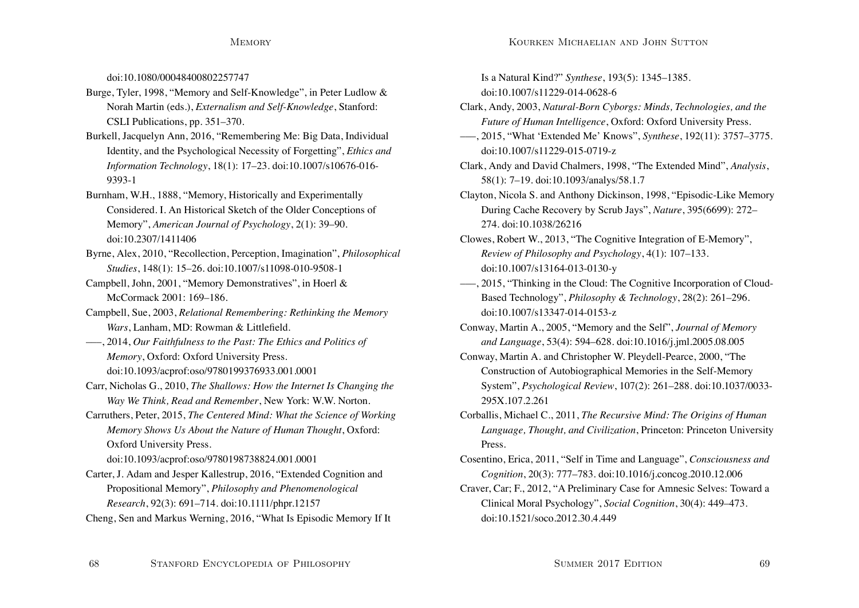doi:10.1080/00048400802257747

- Burge, Tyler, 1998, "Memory and Self-Knowledge", in Peter Ludlow & Norah Martin (eds.), *Externalism and Self-Knowledge*, Stanford: CSLI Publications, pp. 351–370.
- Burkell, Jacquelyn Ann, 2016, "Remembering Me: Big Data, Individual Identity, and the Psychological Necessity of Forgetting", *Ethics and Information Technology*, 18(1): 17–23. doi:10.1007/s10676-016- 9393-1
- Burnham, W.H., 1888, "Memory, Historically and Experimentally Considered. I. An Historical Sketch of the Older Conceptions of Memory", *American Journal of Psychology*, 2(1): 39–90. doi:10.2307/1411406
- Byrne, Alex, 2010, "Recollection, Perception, Imagination", *Philosophical Studies*, 148(1): 15–26. doi:10.1007/s11098-010-9508-1
- Campbell, John, 2001, "Memory Demonstratives", in Hoerl & McCormack 2001: 169–186.
- Campbell, Sue, 2003, *Relational Remembering: Rethinking the Memory Wars*, Lanham, MD: Rowman & Littlefield.
- –––, 2014, *Our Faithfulness to the Past: The Ethics and Politics of Memory*, Oxford: Oxford University Press. doi:10.1093/acprof:oso/9780199376933.001.0001
- Carr, Nicholas G., 2010, *The Shallows: How the Internet Is Changing the Way We Think, Read and Remember*, New York: W.W. Norton.
- Carruthers, Peter, 2015, *The Centered Mind: What the Science of Working Memory Shows Us About the Nature of Human Thought*, Oxford: Oxford University Press.

doi:10.1093/acprof:oso/9780198738824.001.0001

Carter, J. Adam and Jesper Kallestrup, 2016, "Extended Cognition and Propositional Memory", *Philosophy and Phenomenological Research*, 92(3): 691–714. doi:10.1111/phpr.12157

Cheng, Sen and Markus Werning, 2016, "What Is Episodic Memory If It

Is a Natural Kind?" *Synthese*, 193(5): 1345–1385. doi:10.1007/s11229-014-0628-6

- Clark, Andy, 2003, *Natural-Born Cyborgs: Minds, Technologies, and the Future of Human Intelligence*, Oxford: Oxford University Press.
- –––, 2015, "What 'Extended Me' Knows", *Synthese*, 192(11): 3757–3775. doi:10.1007/s11229-015-0719-z
- Clark, Andy and David Chalmers, 1998, "The Extended Mind", *Analysis*, 58(1): 7–19. doi:10.1093/analys/58.1.7
- Clayton, Nicola S. and Anthony Dickinson, 1998, "Episodic-Like Memory During Cache Recovery by Scrub Jays", *Nature*, 395(6699): 272– 274. doi:10.1038/26216
- Clowes, Robert W., 2013, "The Cognitive Integration of E-Memory", *Review of Philosophy and Psychology*, 4(1): 107–133. doi:10.1007/s13164-013-0130-y
- –––, 2015, "Thinking in the Cloud: The Cognitive Incorporation of Cloud-Based Technology", *Philosophy & Technology*, 28(2): 261–296. doi:10.1007/s13347-014-0153-z
- Conway, Martin A., 2005, "Memory and the Self", *Journal of Memory and Language*, 53(4): 594–628. doi:10.1016/j.jml.2005.08.005
- Conway, Martin A. and Christopher W. Pleydell-Pearce, 2000, "The Construction of Autobiographical Memories in the Self-Memory System", *Psychological Review*, 107(2): 261–288. doi:10.1037/0033- 295X.107.2.261
- Corballis, Michael C., 2011, *The Recursive Mind: The Origins of Human Language, Thought, and Civilization*, Princeton: Princeton University Press.
- Cosentino, Erica, 2011, "Self in Time and Language", *Consciousness and Cognition*, 20(3): 777–783. doi:10.1016/j.concog.2010.12.006
- Craver, Car; F., 2012, "A Preliminary Case for Amnesic Selves: Toward a Clinical Moral Psychology", *Social Cognition*, 30(4): 449–473. doi:10.1521/soco.2012.30.4.449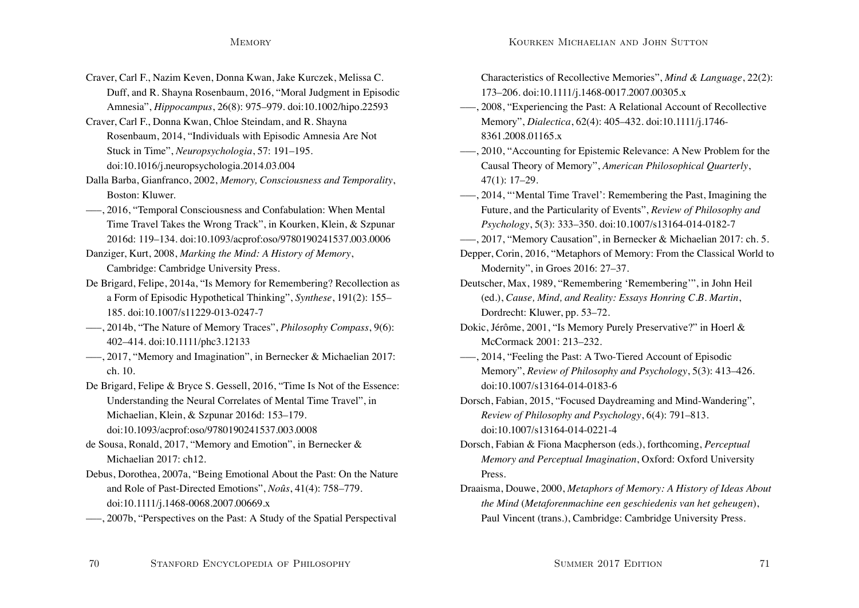- Craver, Carl F., Nazim Keven, Donna Kwan, Jake Kurczek, Melissa C. Duff, and R. Shayna Rosenbaum, 2016, "Moral Judgment in Episodic Amnesia", *Hippocampus*, 26(8): 975–979. doi:10.1002/hipo.22593
- Craver, Carl F., Donna Kwan, Chloe Steindam, and R. Shayna Rosenbaum, 2014, "Individuals with Episodic Amnesia Are Not Stuck in Time", *Neuropsychologia*, 57: 191–195. doi:10.1016/j.neuropsychologia.2014.03.004
- Dalla Barba, Gianfranco, 2002, *Memory, Consciousness and Temporality*, Boston: Kluwer.
- –––, 2016, "Temporal Consciousness and Confabulation: When Mental Time Travel Takes the Wrong Track", in Kourken, Klein, & Szpunar 2016d: 119–134. doi:10.1093/acprof:oso/9780190241537.003.0006
- Danziger, Kurt, 2008, *Marking the Mind: A History of Memory*, Cambridge: Cambridge University Press.
- De Brigard, Felipe, 2014a, "Is Memory for Remembering? Recollection as a Form of Episodic Hypothetical Thinking", *Synthese*, 191(2): 155– 185. doi:10.1007/s11229-013-0247-7
- –––, 2014b, "The Nature of Memory Traces", *Philosophy Compass*, 9(6): 402–414. doi:10.1111/phc3.12133
- –––, 2017, "Memory and Imagination", in Bernecker & Michaelian 2017: ch. 10.
- De Brigard, Felipe & Bryce S. Gessell, 2016, "Time Is Not of the Essence: Understanding the Neural Correlates of Mental Time Travel", in Michaelian, Klein, & Szpunar 2016d: 153–179. doi:10.1093/acprof:oso/9780190241537.003.0008
- de Sousa, Ronald, 2017, "Memory and Emotion", in Bernecker & Michaelian 2017: ch12.
- Debus, Dorothea, 2007a, "Being Emotional About the Past: On the Nature and Role of Past-Directed Emotions", *Noûs*, 41(4): 758–779. doi:10.1111/j.1468-0068.2007.00669.x
- –––, 2007b, "Perspectives on the Past: A Study of the Spatial Perspectival

Characteristics of Recollective Memories", *Mind & Language*, 22(2): 173–206. doi:10.1111/j.1468-0017.2007.00305.x

- –––, 2008, "Experiencing the Past: A Relational Account of Recollective Memory", *Dialectica*, 62(4): 405–432. doi:10.1111/j.1746- 8361.2008.01165.x
- –––, 2010, "Accounting for Epistemic Relevance: A New Problem for the Causal Theory of Memory", *American Philosophical Quarterly*, 47(1): 17–29.
- –––, 2014, "'Mental Time Travel': Remembering the Past, Imagining the Future, and the Particularity of Events", *Review of Philosophy and Psychology*, 5(3): 333–350. doi:10.1007/s13164-014-0182-7
- –––, 2017, "Memory Causation", in Bernecker & Michaelian 2017: ch. 5.
- Depper, Corin, 2016, "Metaphors of Memory: From the Classical World to Modernity", in Groes 2016: 27–37.
- Deutscher, Max, 1989, "Remembering 'Remembering'", in John Heil (ed.), *Cause, Mind, and Reality: Essays Honring C.B. Martin*, Dordrecht: Kluwer, pp. 53–72.
- Dokic, Jérôme, 2001, "Is Memory Purely Preservative?" in Hoerl & McCormack 2001: 213–232.
- –––, 2014, "Feeling the Past: A Two-Tiered Account of Episodic Memory", *Review of Philosophy and Psychology*, 5(3): 413–426. doi:10.1007/s13164-014-0183-6
- Dorsch, Fabian, 2015, "Focused Daydreaming and Mind-Wandering", *Review of Philosophy and Psychology*, 6(4): 791–813. doi:10.1007/s13164-014-0221-4
- Dorsch, Fabian & Fiona Macpherson (eds.), forthcoming, *Perceptual Memory and Perceptual Imagination*, Oxford: Oxford University Press.
- Draaisma, Douwe, 2000, *Metaphors of Memory: A History of Ideas About the Mind* (*Metaforenmachine een geschiedenis van het geheugen*), Paul Vincent (trans.), Cambridge: Cambridge University Press.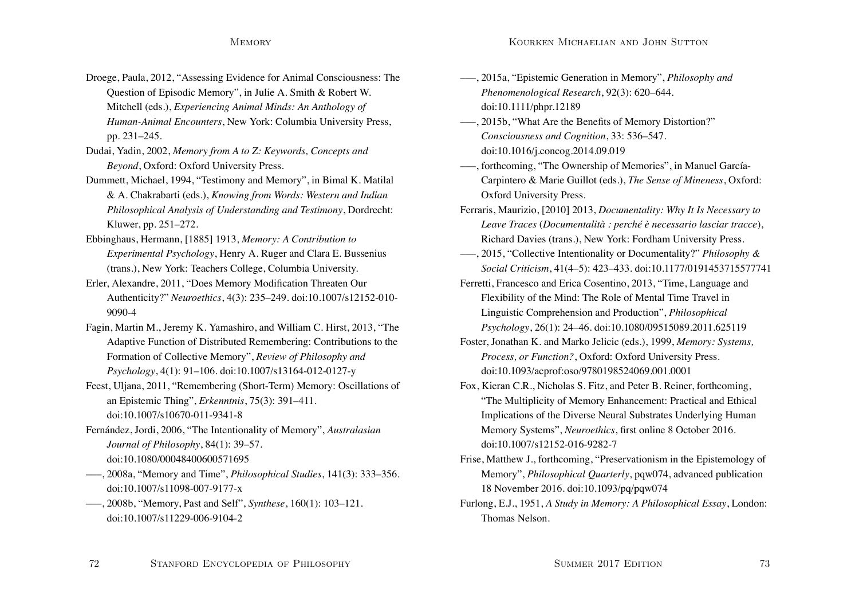- Droege, Paula, 2012, "Assessing Evidence for Animal Consciousness: The Question of Episodic Memory", in Julie A. Smith & Robert W. Mitchell (eds.), *Experiencing Animal Minds: An Anthology of Human-Animal Encounters*, New York: Columbia University Press, pp. 231–245.
- Dudai, Yadin, 2002, *Memory from A to Z: Keywords, Concepts and Beyond*, Oxford: Oxford University Press.
- Dummett, Michael, 1994, "Testimony and Memory", in Bimal K. Matilal & A. Chakrabarti (eds.), *Knowing from Words: Western and Indian Philosophical Analysis of Understanding and Testimony*, Dordrecht: Kluwer, pp. 251–272.
- Ebbinghaus, Hermann, [1885] 1913, *Memory: A Contribution to Experimental Psychology*, Henry A. Ruger and Clara E. Bussenius (trans.), New York: Teachers College, Columbia University.
- Erler, Alexandre, 2011, "Does Memory Modification Threaten Our Authenticity?" *Neuroethics*, 4(3): 235–249. doi:10.1007/s12152-010- 9090-4
- Fagin, Martin M., Jeremy K. Yamashiro, and William C. Hirst, 2013, "The Adaptive Function of Distributed Remembering: Contributions to the Formation of Collective Memory", *Review of Philosophy and Psychology*, 4(1): 91–106. doi:10.1007/s13164-012-0127-y
- Feest, Uljana, 2011, "Remembering (Short-Term) Memory: Oscillations of an Epistemic Thing", *Erkenntnis*, 75(3): 391–411. doi:10.1007/s10670-011-9341-8
- Fernández, Jordi, 2006, "The Intentionality of Memory", *Australasian Journal of Philosophy*, 84(1): 39–57. doi:10.1080/00048400600571695
- –––, 2008a, "Memory and Time", *Philosophical Studies*, 141(3): 333–356. doi:10.1007/s11098-007-9177-x
- –––, 2008b, "Memory, Past and Self", *Synthese*, 160(1): 103–121. doi:10.1007/s11229-006-9104-2
- –––, 2015a, "Epistemic Generation in Memory", *Philosophy and Phenomenological Research*, 92(3): 620–644. doi:10.1111/phpr.12189
- –––, 2015b, "What Are the Benefits of Memory Distortion?" *Consciousness and Cognition*, 33: 536–547. doi:10.1016/j.concog.2014.09.019
- –––, forthcoming, "The Ownership of Memories", in Manuel García-Carpintero & Marie Guillot (eds.), *The Sense of Mineness*, Oxford: Oxford University Press.
- Ferraris, Maurizio, [2010] 2013, *Documentality: Why It Is Necessary to Leave Traces* (*Documentalità : perché è necessario lasciar tracce*), Richard Davies (trans.), New York: Fordham University Press.
- –––, 2015, "Collective Intentionality or Documentality?" *Philosophy & Social Criticism*, 41(4–5): 423–433. doi:10.1177/0191453715577741
- Ferretti, Francesco and Erica Cosentino, 2013, "Time, Language and Flexibility of the Mind: The Role of Mental Time Travel in Linguistic Comprehension and Production", *Philosophical Psychology*, 26(1): 24–46. doi:10.1080/09515089.2011.625119
- Foster, Jonathan K. and Marko Jelicic (eds.), 1999, *Memory: Systems, Process, or Function?*, Oxford: Oxford University Press. doi:10.1093/acprof:oso/9780198524069.001.0001
- Fox, Kieran C.R., Nicholas S. Fitz, and Peter B. Reiner, forthcoming, "The Multiplicity of Memory Enhancement: Practical and Ethical Implications of the Diverse Neural Substrates Underlying Human Memory Systems", *Neuroethics*, first online 8 October 2016. doi:10.1007/s12152-016-9282-7
- Frise, Matthew J., forthcoming, "Preservationism in the Epistemology of Memory", *Philosophical Quarterly*, pqw074, advanced publication 18 November 2016. doi:10.1093/pq/pqw074
- Furlong, E.J., 1951, *A Study in Memory: A Philosophical Essay*, London: Thomas Nelson.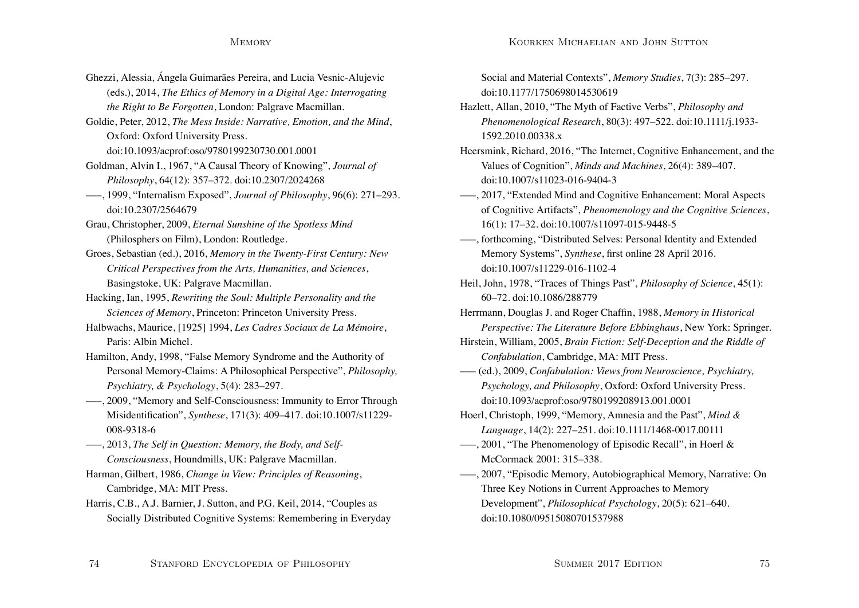- Ghezzi, Alessia, Ángela Guimarães Pereira, and Lucia Vesnic-Alujevic (eds.), 2014, *The Ethics of Memory in a Digital Age: Interrogating the Right to Be Forgotten*, London: Palgrave Macmillan.
- Goldie, Peter, 2012, *The Mess Inside: Narrative, Emotion, and the Mind*, Oxford: Oxford University Press.

doi:10.1093/acprof:oso/9780199230730.001.0001

- Goldman, Alvin I., 1967, "A Causal Theory of Knowing", *Journal of Philosophy*, 64(12): 357–372. doi:10.2307/2024268
- –––, 1999, "Internalism Exposed", *Journal of Philosophy*, 96(6): 271–293. doi:10.2307/2564679
- Grau, Christopher, 2009, *Eternal Sunshine of the Spotless Mind* (Philosphers on Film), London: Routledge.
- Groes, Sebastian (ed.), 2016, *Memory in the Twenty-First Century: New Critical Perspectives from the Arts, Humanities, and Sciences*, Basingstoke, UK: Palgrave Macmillan.
- Hacking, Ian, 1995, *Rewriting the Soul: Multiple Personality and the Sciences of Memory*, Princeton: Princeton University Press.
- Halbwachs, Maurice, [1925] 1994, *Les Cadres Sociaux de La Mémoire*, Paris: Albin Michel.
- Hamilton, Andy, 1998, "False Memory Syndrome and the Authority of Personal Memory-Claims: A Philosophical Perspective", *Philosophy, Psychiatry, & Psychology*, 5(4): 283–297.
- –––, 2009, "Memory and Self-Consciousness: Immunity to Error Through Misidentification", *Synthese*, 171(3): 409–417. doi:10.1007/s11229- 008-9318-6
- –––, 2013, *The Self in Question: Memory, the Body, and Self-Consciousness*, Houndmills, UK: Palgrave Macmillan.
- Harman, Gilbert, 1986, *Change in View: Principles of Reasoning*, Cambridge, MA: MIT Press.
- Harris, C.B., A.J. Barnier, J. Sutton, and P.G. Keil, 2014, "Couples as Socially Distributed Cognitive Systems: Remembering in Everyday

Social and Material Contexts", *Memory Studies*, 7(3): 285–297. doi:10.1177/1750698014530619

- Hazlett, Allan, 2010, "The Myth of Factive Verbs", *Philosophy and Phenomenological Research*, 80(3): 497–522. doi:10.1111/j.1933- 1592.2010.00338.x
- Heersmink, Richard, 2016, "The Internet, Cognitive Enhancement, and the Values of Cognition", *Minds and Machines*, 26(4): 389–407. doi:10.1007/s11023-016-9404-3
- –––, 2017, "Extended Mind and Cognitive Enhancement: Moral Aspects of Cognitive Artifacts", *Phenomenology and the Cognitive Sciences*, 16(1): 17–32. doi:10.1007/s11097-015-9448-5
- –––, forthcoming, "Distributed Selves: Personal Identity and Extended Memory Systems", *Synthese*, first online 28 April 2016. doi:10.1007/s11229-016-1102-4
- Heil, John, 1978, "Traces of Things Past", *Philosophy of Science*, 45(1): 60–72. doi:10.1086/288779

Herrmann, Douglas J. and Roger Chaffin, 1988, *Memory in Historical Perspective: The Literature Before Ebbinghaus*, New York: Springer.

- Hirstein, William, 2005, *Brain Fiction: Self-Deception and the Riddle of Confabulation*, Cambridge, MA: MIT Press.
- ––– (ed.), 2009, *Confabulation: Views from Neuroscience, Psychiatry, Psychology, and Philosophy*, Oxford: Oxford University Press. doi:10.1093/acprof:oso/9780199208913.001.0001
- Hoerl, Christoph, 1999, "Memory, Amnesia and the Past", *Mind & Language*, 14(2): 227–251. doi:10.1111/1468-0017.00111
- –––, 2001, "The Phenomenology of Episodic Recall", in Hoerl & McCormack 2001: 315–338.
- –––, 2007, "Episodic Memory, Autobiographical Memory, Narrative: On Three Key Notions in Current Approaches to Memory Development", *Philosophical Psychology*, 20(5): 621–640. doi:10.1080/09515080701537988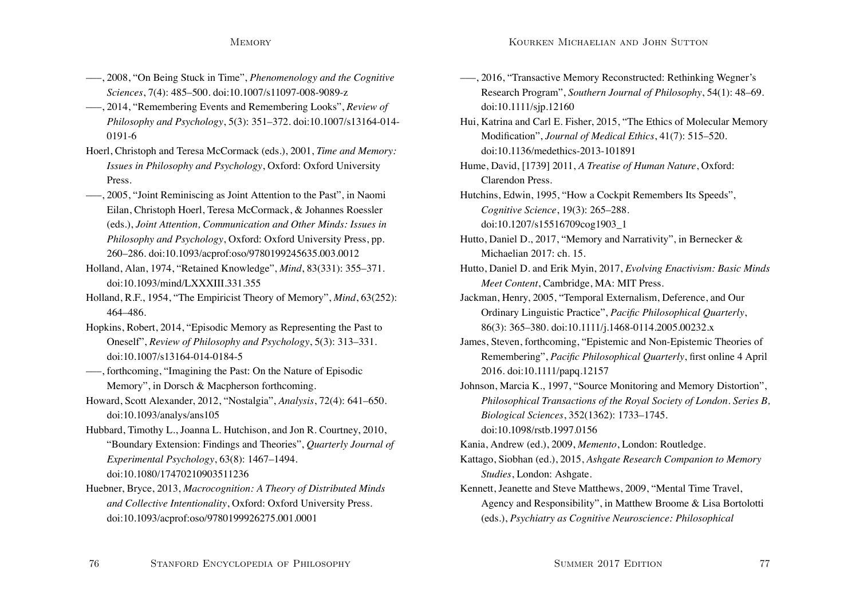- –––, 2008, "On Being Stuck in Time", *Phenomenology and the Cognitive Sciences*, 7(4): 485–500. doi:10.1007/s11097-008-9089-z
- –––, 2014, "Remembering Events and Remembering Looks", *Review of Philosophy and Psychology*, 5(3): 351–372. doi:10.1007/s13164-014- 0191-6
- Hoerl, Christoph and Teresa McCormack (eds.), 2001, *Time and Memory: Issues in Philosophy and Psychology*, Oxford: Oxford University Press.
- –––, 2005, "Joint Reminiscing as Joint Attention to the Past", in Naomi Eilan, Christoph Hoerl, Teresa McCormack, & Johannes Roessler (eds.), *Joint Attention, Communication and Other Minds: Issues in Philosophy and Psychology*, Oxford: Oxford University Press, pp. 260–286. doi:10.1093/acprof:oso/9780199245635.003.0012
- Holland, Alan, 1974, "Retained Knowledge", *Mind*, 83(331): 355–371. doi:10.1093/mind/LXXXIII.331.355
- Holland, R.F., 1954, "The Empiricist Theory of Memory", *Mind*, 63(252): 464–486.
- Hopkins, Robert, 2014, "Episodic Memory as Representing the Past to Oneself", *Review of Philosophy and Psychology*, 5(3): 313–331. doi:10.1007/s13164-014-0184-5
- –––, forthcoming, "Imagining the Past: On the Nature of Episodic Memory", in Dorsch & Macpherson forthcoming.
- Howard, Scott Alexander, 2012, "Nostalgia", *Analysis*, 72(4): 641–650. doi:10.1093/analys/ans105
- Hubbard, Timothy L., Joanna L. Hutchison, and Jon R. Courtney, 2010, "Boundary Extension: Findings and Theories", *Quarterly Journal of Experimental Psychology*, 63(8): 1467–1494. doi:10.1080/17470210903511236
- Huebner, Bryce, 2013, *Macrocognition: A Theory of Distributed Minds and Collective Intentionality*, Oxford: Oxford University Press. doi:10.1093/acprof:oso/9780199926275.001.0001
- –––, 2016, "Transactive Memory Reconstructed: Rethinking Wegner's Research Program", *Southern Journal of Philosophy*, 54(1): 48–69. doi:10.1111/sjp.12160
- Hui, Katrina and Carl E. Fisher, 2015, "The Ethics of Molecular Memory Modification", *Journal of Medical Ethics*, 41(7): 515–520. doi:10.1136/medethics-2013-101891
- Hume, David, [1739] 2011, *A Treatise of Human Nature*, Oxford: Clarendon Press.
- Hutchins, Edwin, 1995, "How a Cockpit Remembers Its Speeds", *Cognitive Science*, 19(3): 265–288. doi:10.1207/s15516709cog1903\_1
- Hutto, Daniel D., 2017, "Memory and Narrativity", in Bernecker & Michaelian 2017: ch. 15.
- Hutto, Daniel D. and Erik Myin, 2017, *Evolving Enactivism: Basic Minds Meet Content*, Cambridge, MA: MIT Press.
- Jackman, Henry, 2005, "Temporal Externalism, Deference, and Our Ordinary Linguistic Practice", *Pacific Philosophical Quarterly*, 86(3): 365–380. doi:10.1111/j.1468-0114.2005.00232.x
- James, Steven, forthcoming, "Epistemic and Non-Epistemic Theories of Remembering", *Pacific Philosophical Quarterly*, first online 4 April 2016. doi:10.1111/papq.12157
- Johnson, Marcia K., 1997, "Source Monitoring and Memory Distortion", *Philosophical Transactions of the Royal Society of London. Series B, Biological Sciences*, 352(1362): 1733–1745. doi:10.1098/rstb.1997.0156
- Kania, Andrew (ed.), 2009, *Memento*, London: Routledge.
- Kattago, Siobhan (ed.), 2015, *Ashgate Research Companion to Memory Studies*, London: Ashgate.
- Kennett, Jeanette and Steve Matthews, 2009, "Mental Time Travel, Agency and Responsibility", in Matthew Broome & Lisa Bortolotti (eds.), *Psychiatry as Cognitive Neuroscience: Philosophical*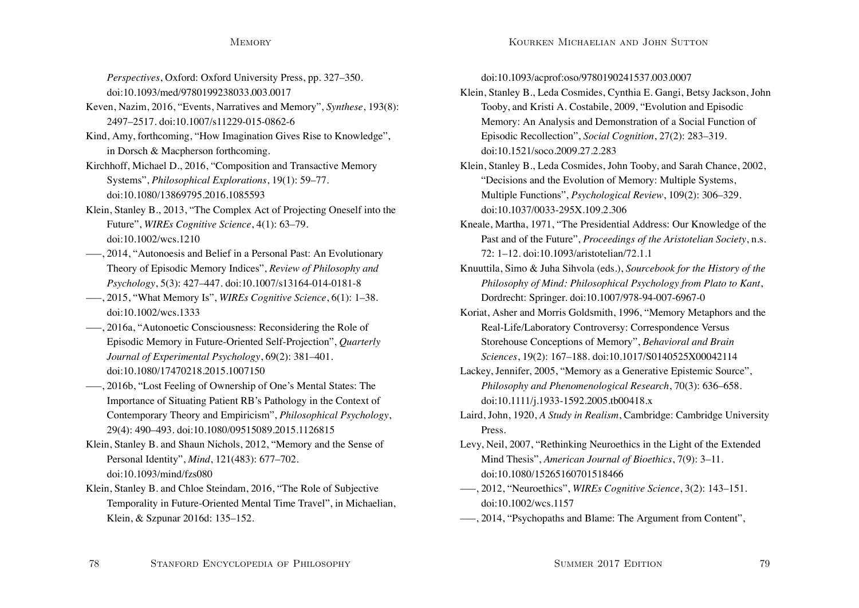*Perspectives*, Oxford: Oxford University Press, pp. 327–350. doi:10.1093/med/9780199238033.003.0017

- Keven, Nazim, 2016, "Events, Narratives and Memory", *Synthese*, 193(8): 2497–2517. doi:10.1007/s11229-015-0862-6
- Kind, Amy, forthcoming, "How Imagination Gives Rise to Knowledge", in Dorsch & Macpherson forthcoming.
- Kirchhoff, Michael D., 2016, "Composition and Transactive Memory Systems", *Philosophical Explorations*, 19(1): 59–77. doi:10.1080/13869795.2016.1085593
- Klein, Stanley B., 2013, "The Complex Act of Projecting Oneself into the Future", *WIREs Cognitive Science*, 4(1): 63–79. doi:10.1002/wcs.1210
- –––, 2014, "Autonoesis and Belief in a Personal Past: An Evolutionary Theory of Episodic Memory Indices", *Review of Philosophy and Psychology*, 5(3): 427–447. doi:10.1007/s13164-014-0181-8
- –––, 2015, "What Memory Is", *WIREs Cognitive Science*, 6(1): 1–38. doi:10.1002/wcs.1333
- –––, 2016a, "Autonoetic Consciousness: Reconsidering the Role of Episodic Memory in Future-Oriented Self-Projection", *Quarterly Journal of Experimental Psychology*, 69(2): 381–401. doi:10.1080/17470218.2015.1007150
- –––, 2016b, "Lost Feeling of Ownership of One's Mental States: The Importance of Situating Patient RB's Pathology in the Context of Contemporary Theory and Empiricism", *Philosophical Psychology*, 29(4): 490–493. doi:10.1080/09515089.2015.1126815
- Klein, Stanley B. and Shaun Nichols, 2012, "Memory and the Sense of Personal Identity", *Mind*, 121(483): 677–702. doi:10.1093/mind/fzs080
- Klein, Stanley B. and Chloe Steindam, 2016, "The Role of Subjective Temporality in Future-Oriented Mental Time Travel", in Michaelian, Klein, & Szpunar 2016d: 135–152.

doi:10.1093/acprof:oso/9780190241537.003.0007

- Klein, Stanley B., Leda Cosmides, Cynthia E. Gangi, Betsy Jackson, John Tooby, and Kristi A. Costabile, 2009, "Evolution and Episodic Memory: An Analysis and Demonstration of a Social Function of Episodic Recollection", *Social Cognition*, 27(2): 283–319. doi:10.1521/soco.2009.27.2.283
- Klein, Stanley B., Leda Cosmides, John Tooby, and Sarah Chance, 2002, "Decisions and the Evolution of Memory: Multiple Systems, Multiple Functions", *Psychological Review*, 109(2): 306–329. doi:10.1037/0033-295X.109.2.306
- Kneale, Martha, 1971, "The Presidential Address: Our Knowledge of the Past and of the Future", *Proceedings of the Aristotelian Society*, n.s. 72: 1–12. doi:10.1093/aristotelian/72.1.1
- Knuuttila, Simo & Juha Sihvola (eds.), *Sourcebook for the History of the Philosophy of Mind: Philosophical Psychology from Plato to Kant*, Dordrecht: Springer. doi:10.1007/978-94-007-6967-0
- Koriat, Asher and Morris Goldsmith, 1996, "Memory Metaphors and the Real-Life/Laboratory Controversy: Correspondence Versus Storehouse Conceptions of Memory", *Behavioral and Brain Sciences*, 19(2): 167–188. doi:10.1017/S0140525X00042114
- Lackey, Jennifer, 2005, "Memory as a Generative Epistemic Source", *Philosophy and Phenomenological Research*, 70(3): 636–658. doi:10.1111/j.1933-1592.2005.tb00418.x
- Laird, John, 1920, *A Study in Realism*, Cambridge: Cambridge University Press.
- Levy, Neil, 2007, "Rethinking Neuroethics in the Light of the Extended Mind Thesis", *American Journal of Bioethics*, 7(9): 3–11. doi:10.1080/15265160701518466
- –––, 2012, "Neuroethics", *WIREs Cognitive Science*, 3(2): 143–151. doi:10.1002/wcs.1157
- –––, 2014, "Psychopaths and Blame: The Argument from Content",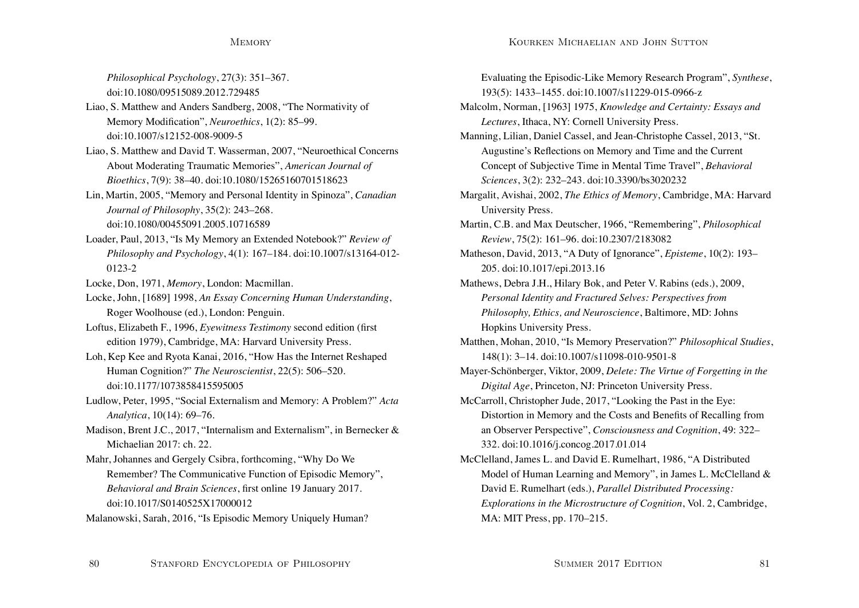*Philosophical Psychology*, 27(3): 351–367. doi:10.1080/09515089.2012.729485

- Liao, S. Matthew and Anders Sandberg, 2008, "The Normativity of Memory Modification", *Neuroethics*, 1(2): 85–99. doi:10.1007/s12152-008-9009-5
- Liao, S. Matthew and David T. Wasserman, 2007, "Neuroethical Concerns About Moderating Traumatic Memories", *American Journal of Bioethics*, 7(9): 38–40. doi:10.1080/15265160701518623
- Lin, Martin, 2005, "Memory and Personal Identity in Spinoza", *Canadian Journal of Philosophy*, 35(2): 243–268. doi:10.1080/00455091.2005.10716589
- Loader, Paul, 2013, "Is My Memory an Extended Notebook?" *Review of Philosophy and Psychology*, 4(1): 167–184. doi:10.1007/s13164-012- 0123-2

Locke, Don, 1971, *Memory*, London: Macmillan.

- Locke, John, [1689] 1998, *An Essay Concerning Human Understanding*, Roger Woolhouse (ed.), London: Penguin.
- Loftus, Elizabeth F., 1996, *Eyewitness Testimony* second edition (first edition 1979), Cambridge, MA: Harvard University Press.
- Loh, Kep Kee and Ryota Kanai, 2016, "How Has the Internet Reshaped Human Cognition?" *The Neuroscientist*, 22(5): 506–520. doi:10.1177/1073858415595005
- Ludlow, Peter, 1995, "Social Externalism and Memory: A Problem?" *Acta Analytica*, 10(14): 69–76.
- Madison, Brent J.C., 2017, "Internalism and Externalism", in Bernecker & Michaelian 2017: ch. 22.
- Mahr, Johannes and Gergely Csibra, forthcoming, "Why Do We Remember? The Communicative Function of Episodic Memory", *Behavioral and Brain Sciences*, first online 19 January 2017. doi:10.1017/S0140525X17000012

Malanowski, Sarah, 2016, "Is Episodic Memory Uniquely Human?

Evaluating the Episodic-Like Memory Research Program", *Synthese*, 193(5): 1433–1455. doi:10.1007/s11229-015-0966-z Malcolm, Norman, [1963] 1975, *Knowledge and Certainty: Essays and Lectures*, Ithaca, NY: Cornell University Press. Manning, Lilian, Daniel Cassel, and Jean-Christophe Cassel, 2013, "St. Augustine's Reflections on Memory and Time and the Current Concept of Subjective Time in Mental Time Travel", *Behavioral Sciences*, 3(2): 232–243. doi:10.3390/bs3020232 Margalit, Avishai, 2002, *The Ethics of Memory*, Cambridge, MA: Harvard University Press. Martin, C.B. and Max Deutscher, 1966, "Remembering", *Philosophical Review*, 75(2): 161–96. doi:10.2307/2183082 Matheson, David, 2013, "A Duty of Ignorance", *Episteme*, 10(2): 193– 205. doi:10.1017/epi.2013.16 Mathews, Debra J.H., Hilary Bok, and Peter V. Rabins (eds.), 2009, *Personal Identity and Fractured Selves: Perspectives from Philosophy, Ethics, and Neuroscience*, Baltimore, MD: Johns Hopkins University Press. Matthen, Mohan, 2010, "Is Memory Preservation?" *Philosophical Studies*, 148(1): 3–14. doi:10.1007/s11098-010-9501-8 Mayer-Schönberger, Viktor, 2009, *Delete: The Virtue of Forgetting in the Digital Age*, Princeton, NJ: Princeton University Press. McCarroll, Christopher Jude, 2017, "Looking the Past in the Eye: Distortion in Memory and the Costs and Benefits of Recalling from an Observer Perspective", *Consciousness and Cognition*, 49: 322– 332. doi:10.1016/j.concog.2017.01.014 McClelland, James L. and David E. Rumelhart, 1986, "A Distributed Model of Human Learning and Memory", in James L. McClelland & David E. Rumelhart (eds.), *Parallel Distributed Processing:*

*Explorations in the Microstructure of Cognition*, Vol. 2, Cambridge, MA: MIT Press, pp. 170–215.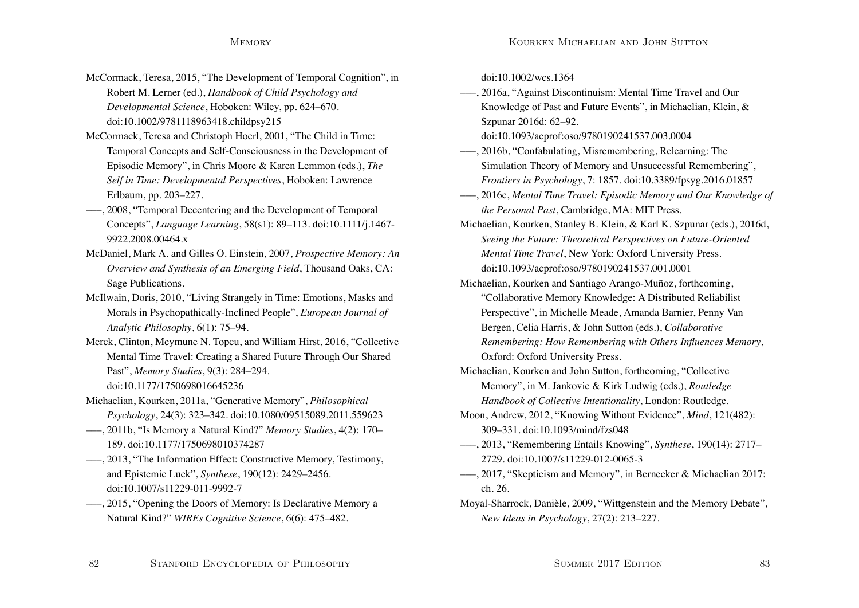- McCormack, Teresa, 2015, "The Development of Temporal Cognition", in Robert M. Lerner (ed.), *Handbook of Child Psychology and Developmental Science*, Hoboken: Wiley, pp. 624–670. doi:10.1002/9781118963418.childpsy215
- McCormack, Teresa and Christoph Hoerl, 2001, "The Child in Time: Temporal Concepts and Self-Consciousness in the Development of Episodic Memory", in Chris Moore & Karen Lemmon (eds.), *The Self in Time: Developmental Perspectives*, Hoboken: Lawrence Erlbaum, pp. 203–227.
- –––, 2008, "Temporal Decentering and the Development of Temporal Concepts", *Language Learning*, 58(s1): 89–113. doi:10.1111/j.1467- 9922.2008.00464 x
- McDaniel, Mark A. and Gilles O. Einstein, 2007, *Prospective Memory: An Overview and Synthesis of an Emerging Field*, Thousand Oaks, CA: Sage Publications.
- McIlwain, Doris, 2010, "Living Strangely in Time: Emotions, Masks and Morals in Psychopathically-Inclined People", *European Journal of Analytic Philosophy*, 6(1): 75–94.
- Merck, Clinton, Meymune N. Topcu, and William Hirst, 2016, "Collective Mental Time Travel: Creating a Shared Future Through Our Shared Past", *Memory Studies*, 9(3): 284–294. doi:10.1177/1750698016645236
- Michaelian, Kourken, 2011a, "Generative Memory", *Philosophical Psychology*, 24(3): 323–342. doi:10.1080/09515089.2011.559623
- –––, 2011b, "Is Memory a Natural Kind?" *Memory Studies*, 4(2): 170– 189. doi:10.1177/1750698010374287
- –––, 2013, "The Information Effect: Constructive Memory, Testimony, and Epistemic Luck", *Synthese*, 190(12): 2429–2456. doi:10.1007/s11229-011-9992-7
- –––, 2015, "Opening the Doors of Memory: Is Declarative Memory a Natural Kind?" *WIREs Cognitive Science*, 6(6): 475–482.

doi:10.1002/wcs.1364

–––, 2016a, "Against Discontinuism: Mental Time Travel and Our Knowledge of Past and Future Events", in Michaelian, Klein, & Szpunar 2016d: 62–92.

doi:10.1093/acprof:oso/9780190241537.003.0004

- –––, 2016b, "Confabulating, Misremembering, Relearning: The Simulation Theory of Memory and Unsuccessful Remembering", *Frontiers in Psychology*, 7: 1857. doi:10.3389/fpsyg.2016.01857
- –––, 2016c, *Mental Time Travel: Episodic Memory and Our Knowledge of the Personal Past*, Cambridge, MA: MIT Press.
- Michaelian, Kourken, Stanley B. Klein, & Karl K. Szpunar (eds.), 2016d, *Seeing the Future: Theoretical Perspectives on Future-Oriented Mental Time Travel*, New York: Oxford University Press. doi:10.1093/acprof:oso/9780190241537.001.0001
- Michaelian, Kourken and Santiago Arango-Muñoz, forthcoming, "Collaborative Memory Knowledge: A Distributed Reliabilist Perspective", in Michelle Meade, Amanda Barnier, Penny Van Bergen, Celia Harris, & John Sutton (eds.), *Collaborative Remembering: How Remembering with Others Influences Memory*, Oxford: Oxford University Press.
- Michaelian, Kourken and John Sutton, forthcoming, "Collective Memory", in M. Jankovic & Kirk Ludwig (eds.), *Routledge Handbook of Collective Intentionality*, London: Routledge.
- Moon, Andrew, 2012, "Knowing Without Evidence", *Mind*, 121(482): 309–331. doi:10.1093/mind/fzs048
- –––, 2013, "Remembering Entails Knowing", *Synthese*, 190(14): 2717– 2729. doi:10.1007/s11229-012-0065-3
- –––, 2017, "Skepticism and Memory", in Bernecker & Michaelian 2017: ch. 26.
- Moyal-Sharrock, Danièle, 2009, "Wittgenstein and the Memory Debate", *New Ideas in Psychology*, 27(2): 213–227.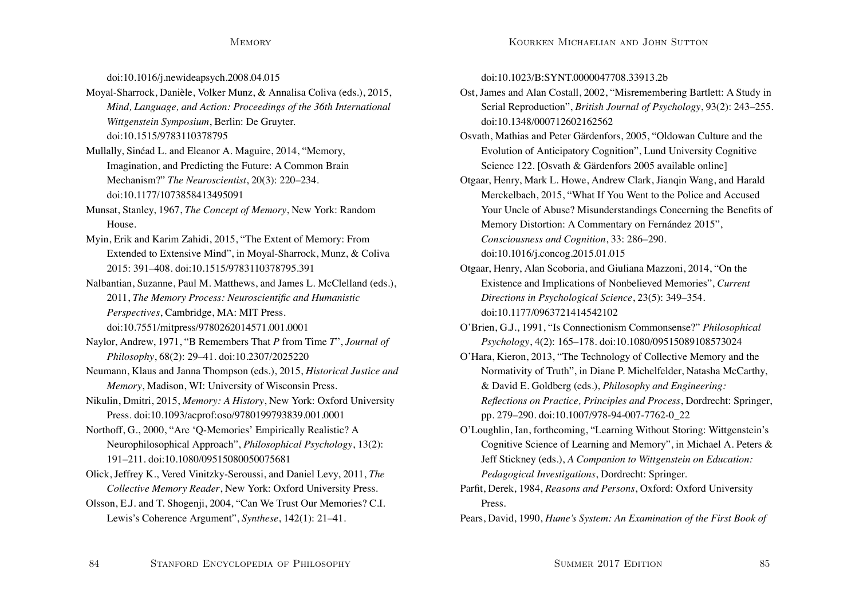doi:10.1016/j.newideapsych.2008.04.015

Moyal-Sharrock, Danièle, Volker Munz, & Annalisa Coliva (eds.), 2015, *Mind, Language, and Action: Proceedings of the 36th International Wittgenstein Symposium*, Berlin: De Gruyter. doi:10.1515/9783110378795

Mullally, Sinéad L. and Eleanor A. Maguire, 2014, "Memory, Imagination, and Predicting the Future: A Common Brain Mechanism?" *The Neuroscientist*, 20(3): 220–234. doi:10.1177/1073858413495091

Munsat, Stanley, 1967, *The Concept of Memory*, New York: Random House.

Myin, Erik and Karim Zahidi, 2015, "The Extent of Memory: From Extended to Extensive Mind", in Moyal-Sharrock, Munz, & Coliva 2015: 391–408. doi:10.1515/9783110378795.391

Nalbantian, Suzanne, Paul M. Matthews, and James L. McClelland (eds.), 2011, *The Memory Process: Neuroscientific and Humanistic Perspectives*, Cambridge, MA: MIT Press. doi:10.7551/mitpress/9780262014571.001.0001

- Naylor, Andrew, 1971, "B Remembers That *P* from Time *T*", *Journal of Philosophy*, 68(2): 29–41. doi:10.2307/2025220
- Neumann, Klaus and Janna Thompson (eds.), 2015, *Historical Justice and Memory*, Madison, WI: University of Wisconsin Press.

Nikulin, Dmitri, 2015, *Memory: A History*, New York: Oxford University Press. doi:10.1093/acprof:oso/9780199793839.001.0001

- Northoff, G., 2000, "Are 'Q-Memories' Empirically Realistic? A Neurophilosophical Approach", *Philosophical Psychology*, 13(2): 191–211. doi:10.1080/09515080050075681
- Olick, Jeffrey K., Vered Vinitzky-Seroussi, and Daniel Levy, 2011, *The Collective Memory Reader*, New York: Oxford University Press.
- Olsson, E.J. and T. Shogenji, 2004, "Can We Trust Our Memories? C.I. Lewis's Coherence Argument", *Synthese*, 142(1): 21–41.

doi:10.1023/B:SYNT.0000047708.33913.2b

- Ost, James and Alan Costall, 2002, "Misremembering Bartlett: A Study in Serial Reproduction", *British Journal of Psychology*, 93(2): 243–255. doi:10.1348/000712602162562
- Osvath, Mathias and Peter Gärdenfors, 2005, "Oldowan Culture and the Evolution of Anticipatory Cognition", Lund University Cognitive Science 122. [Osvath & Gärdenfors 2005 available online]
- Otgaar, Henry, Mark L. Howe, Andrew Clark, Jianqin Wang, and Harald Merckelbach, 2015, "What If You Went to the Police and Accused Your Uncle of Abuse? Misunderstandings Concerning the Benefits of Memory Distortion: A Commentary on Fernández 2015", *Consciousness and Cognition*, 33: 286–290. doi:10.1016/j.concog.2015.01.015
- Otgaar, Henry, Alan Scoboria, and Giuliana Mazzoni, 2014, "On the Existence and Implications of Nonbelieved Memories", *Current Directions in Psychological Science*, 23(5): 349–354. doi:10.1177/0963721414542102
- O'Brien, G.J., 1991, "Is Connectionism Commonsense?" *Philosophical Psychology*, 4(2): 165–178. doi:10.1080/09515089108573024
- O'Hara, Kieron, 2013, "The Technology of Collective Memory and the Normativity of Truth", in Diane P. Michelfelder, Natasha McCarthy, & David E. Goldberg (eds.), *Philosophy and Engineering: Reflections on Practice, Principles and Process*, Dordrecht: Springer, pp. 279–290. doi:10.1007/978-94-007-7762-0\_22
- O'Loughlin, Ian, forthcoming, "Learning Without Storing: Wittgenstein's Cognitive Science of Learning and Memory", in Michael A. Peters & Jeff Stickney (eds.), *A Companion to Wittgenstein on Education: Pedagogical Investigations*, Dordrecht: Springer.
- Parfit, Derek, 1984, *Reasons and Persons*, Oxford: Oxford University Press.
- Pears, David, 1990, *Hume's System: An Examination of the First Book of*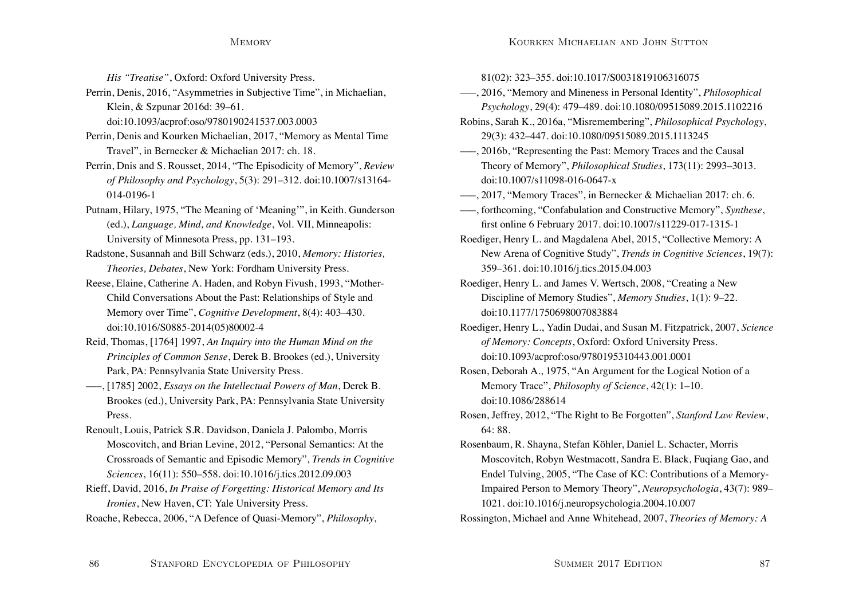*His "Treatise"*, Oxford: Oxford University Press.

Perrin, Denis, 2016, "Asymmetries in Subjective Time", in Michaelian, Klein, & Szpunar 2016d: 39–61.

doi:10.1093/acprof:oso/9780190241537.003.0003

Perrin, Denis and Kourken Michaelian, 2017, "Memory as Mental Time Travel", in Bernecker & Michaelian 2017: ch. 18.

Perrin, Dnis and S. Rousset, 2014, "The Episodicity of Memory", *Review of Philosophy and Psychology*, 5(3): 291–312. doi:10.1007/s13164- 014-0196-1

Putnam, Hilary, 1975, "The Meaning of 'Meaning'", in Keith. Gunderson (ed.), *Language, Mind, and Knowledge*, Vol. VII, Minneapolis: University of Minnesota Press, pp. 131–193.

Radstone, Susannah and Bill Schwarz (eds.), 2010, *Memory: Histories, Theories, Debates*, New York: Fordham University Press.

Reese, Elaine, Catherine A. Haden, and Robyn Fivush, 1993, "Mother-Child Conversations About the Past: Relationships of Style and Memory over Time", *Cognitive Development*, 8(4): 403–430. doi:10.1016/S0885-2014(05)80002-4

Reid, Thomas, [1764] 1997, *An Inquiry into the Human Mind on the Principles of Common Sense*, Derek B. Brookes (ed.), University Park, PA: Pennsylvania State University Press.

–––, [1785] 2002, *Essays on the Intellectual Powers of Man*, Derek B. Brookes (ed.), University Park, PA: Pennsylvania State University Press.

Renoult, Louis, Patrick S.R. Davidson, Daniela J. Palombo, Morris Moscovitch, and Brian Levine, 2012, "Personal Semantics: At the Crossroads of Semantic and Episodic Memory", *Trends in Cognitive Sciences*, 16(11): 550–558. doi:10.1016/j.tics.2012.09.003

Rieff, David, 2016, *In Praise of Forgetting: Historical Memory and Its Ironies*, New Haven, CT: Yale University Press.

Roache, Rebecca, 2006, "A Defence of Quasi-Memory", *Philosophy*,

81(02): 323–355. doi:10.1017/S0031819106316075

–––, 2016, "Memory and Mineness in Personal Identity", *Philosophical Psychology*, 29(4): 479–489. doi:10.1080/09515089.2015.1102216

Robins, Sarah K., 2016a, "Misremembering", *Philosophical Psychology*, 29(3): 432–447. doi:10.1080/09515089.2015.1113245

–––, 2016b, "Representing the Past: Memory Traces and the Causal Theory of Memory", *Philosophical Studies*, 173(11): 2993–3013. doi:10.1007/s11098-016-0647-x

–––, 2017, "Memory Traces", in Bernecker & Michaelian 2017: ch. 6.

–––, forthcoming, "Confabulation and Constructive Memory", *Synthese*, first online 6 February 2017. doi:10.1007/s11229-017-1315-1

Roediger, Henry L. and Magdalena Abel, 2015, "Collective Memory: A New Arena of Cognitive Study", *Trends in Cognitive Sciences*, 19(7): 359–361. doi:10.1016/j.tics.2015.04.003

Roediger, Henry L. and James V. Wertsch, 2008, "Creating a New Discipline of Memory Studies", *Memory Studies*, 1(1): 9–22. doi:10.1177/1750698007083884

Roediger, Henry L., Yadin Dudai, and Susan M. Fitzpatrick, 2007, *Science of Memory: Concepts*, Oxford: Oxford University Press. doi:10.1093/acprof:oso/9780195310443.001.0001

Rosen, Deborah A., 1975, "An Argument for the Logical Notion of a Memory Trace", *Philosophy of Science*, 42(1): 1–10. doi:10.1086/288614

Rosen, Jeffrey, 2012, "The Right to Be Forgotten", *Stanford Law Review*, 64: 88.

Rosenbaum, R. Shayna, Stefan Köhler, Daniel L. Schacter, Morris Moscovitch, Robyn Westmacott, Sandra E. Black, Fuqiang Gao, and Endel Tulving, 2005, "The Case of KC: Contributions of a Memory-Impaired Person to Memory Theory", *Neuropsychologia*, 43(7): 989– 1021. doi:10.1016/j.neuropsychologia.2004.10.007

Rossington, Michael and Anne Whitehead, 2007, *Theories of Memory: A*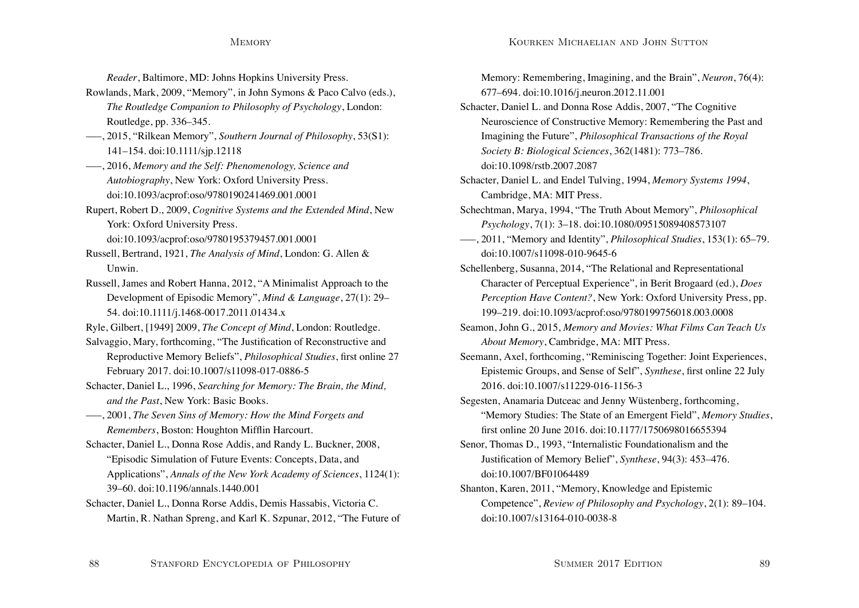*Reader*, Baltimore, MD: Johns Hopkins University Press.

- Rowlands, Mark, 2009, "Memory", in John Symons & Paco Calvo (eds.), *The Routledge Companion to Philosophy of Psychology*, London: Routledge, pp. 336–345.
- –––, 2015, "Rilkean Memory", *Southern Journal of Philosophy*, 53(S1): 141–154. doi:10.1111/sjp.12118
- –––, 2016, *Memory and the Self: Phenomenology, Science and Autobiography*, New York: Oxford University Press. doi:10.1093/acprof:oso/9780190241469.001.0001
- Rupert, Robert D., 2009, *Cognitive Systems and the Extended Mind*, New York: Oxford University Press.

doi:10.1093/acprof:oso/9780195379457.001.0001

- Russell, Bertrand, 1921, *The Analysis of Mind*, London: G. Allen & Unwin.
- Russell, James and Robert Hanna, 2012, "A Minimalist Approach to the Development of Episodic Memory", *Mind & Language*, 27(1): 29– 54. doi:10.1111/j.1468-0017.2011.01434.x
- Ryle, Gilbert, [1949] 2009, *The Concept of Mind*, London: Routledge.
- Salvaggio, Mary, forthcoming, "The Justification of Reconstructive and Reproductive Memory Beliefs", *Philosophical Studies*, first online 27 February 2017. doi:10.1007/s11098-017-0886-5
- Schacter, Daniel L., 1996, *Searching for Memory: The Brain, the Mind, and the Past*, New York: Basic Books.
- –––, 2001, *The Seven Sins of Memory: How the Mind Forgets and Remembers*, Boston: Houghton Mifflin Harcourt.
- Schacter, Daniel L., Donna Rose Addis, and Randy L. Buckner, 2008, "Episodic Simulation of Future Events: Concepts, Data, and Applications", *Annals of the New York Academy of Sciences*, 1124(1): 39–60. doi:10.1196/annals.1440.001
- Schacter, Daniel L., Donna Rorse Addis, Demis Hassabis, Victoria C. Martin, R. Nathan Spreng, and Karl K. Szpunar, 2012, "The Future of

Memory: Remembering, Imagining, and the Brain", *Neuron*, 76(4): 677–694. doi:10.1016/j.neuron.2012.11.001

- Schacter, Daniel L. and Donna Rose Addis, 2007, "The Cognitive Neuroscience of Constructive Memory: Remembering the Past and Imagining the Future", *Philosophical Transactions of the Royal Society B: Biological Sciences*, 362(1481): 773–786. doi:10.1098/rstb.2007.2087
- Schacter, Daniel L. and Endel Tulving, 1994, *Memory Systems 1994*, Cambridge, MA: MIT Press.
- Schechtman, Marya, 1994, "The Truth About Memory", *Philosophical Psychology*, 7(1): 3–18. doi:10.1080/09515089408573107
- –––, 2011, "Memory and Identity", *Philosophical Studies*, 153(1): 65–79. doi:10.1007/s11098-010-9645-6
- Schellenberg, Susanna, 2014, "The Relational and Representational Character of Perceptual Experience", in Berit Brogaard (ed.), *Does Perception Have Content?*, New York: Oxford University Press, pp. 199–219. doi:10.1093/acprof:oso/9780199756018.003.0008
- Seamon, John G., 2015, *Memory and Movies: What Films Can Teach Us About Memory*, Cambridge, MA: MIT Press.
- Seemann, Axel, forthcoming, "Reminiscing Together: Joint Experiences, Epistemic Groups, and Sense of Self", *Synthese*, first online 22 July 2016. doi:10.1007/s11229-016-1156-3
- Segesten, Anamaria Dutceac and Jenny Wüstenberg, forthcoming, "Memory Studies: The State of an Emergent Field", *Memory Studies*, first online 20 June 2016. doi:10.1177/1750698016655394
- Senor, Thomas D., 1993, "Internalistic Foundationalism and the Justification of Memory Belief", *Synthese*, 94(3): 453–476. doi:10.1007/BF01064489
- Shanton, Karen, 2011, "Memory, Knowledge and Epistemic Competence", *Review of Philosophy and Psychology*, 2(1): 89–104. doi:10.1007/s13164-010-0038-8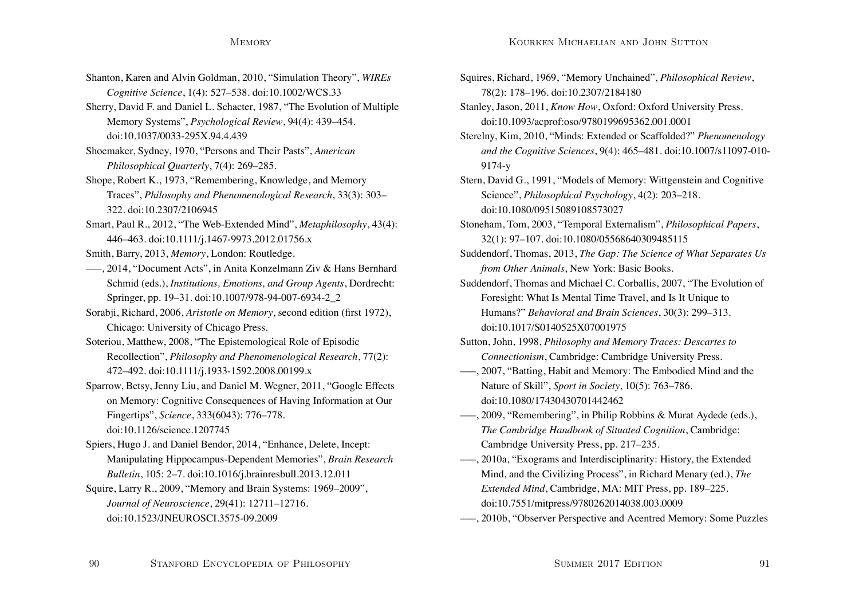- Shanton, Karen and Alvin Goldman, 2010, "Simulation Theory", *WIREs Cognitive Science*, 1(4): 527–538. doi:10.1002/WCS.33
- Sherry, David F. and Daniel L. Schacter, 1987, "The Evolution of Multiple Memory Systems", *Psychological Review*, 94(4): 439–454. doi:10.1037/0033-295X.94.4.439
- Shoemaker, Sydney, 1970, "Persons and Their Pasts", *American Philosophical Quarterly*, 7(4): 269–285.
- Shope, Robert K., 1973, "Remembering, Knowledge, and Memory Traces", *Philosophy and Phenomenological Research*, 33(3): 303– 322. doi:10.2307/2106945
- Smart, Paul R., 2012, "The Web-Extended Mind", *Metaphilosophy*, 43(4): 446–463. doi:10.1111/j.1467-9973.2012.01756.x
- Smith, Barry, 2013, *Memory*, London: Routledge.
- –––, 2014, "Document Acts", in Anita Konzelmann Ziv & Hans Bernhard Schmid (eds.), *Institutions, Emotions, and Group Agents*, Dordrecht: Springer, pp. 19–31. doi:10.1007/978-94-007-6934-2\_2
- Sorabji, Richard, 2006, *Aristotle on Memory*, second edition (first 1972), Chicago: University of Chicago Press.
- Soteriou, Matthew, 2008, "The Epistemological Role of Episodic Recollection", *Philosophy and Phenomenological Research*, 77(2): 472–492. doi:10.1111/j.1933-1592.2008.00199.x
- Sparrow, Betsy, Jenny Liu, and Daniel M. Wegner, 2011, "Google Effects on Memory: Cognitive Consequences of Having Information at Our Fingertips", *Science*, 333(6043): 776–778. doi:10.1126/science.1207745
- Spiers, Hugo J. and Daniel Bendor, 2014, "Enhance, Delete, Incept: Manipulating Hippocampus-Dependent Memories", *Brain Research Bulletin*, 105: 2–7. doi:10.1016/j.brainresbull.2013.12.011
- Squire, Larry R., 2009, "Memory and Brain Systems: 1969–2009", *Journal of Neuroscience*, 29(41): 12711–12716. doi:10.1523/JNEUROSCI.3575-09.2009
- Squires, Richard, 1969, "Memory Unchained", *Philosophical Review*, 78(2): 178–196. doi:10.2307/2184180
- Stanley, Jason, 2011, *Know How*, Oxford: Oxford University Press. doi:10.1093/acprof:oso/9780199695362.001.0001
- Sterelny, Kim, 2010, "Minds: Extended or Scaffolded?" *Phenomenology and the Cognitive Sciences*, 9(4): 465–481. doi:10.1007/s11097-010- 9174-y
- Stern, David G., 1991, "Models of Memory: Wittgenstein and Cognitive Science", *Philosophical Psychology*, 4(2): 203–218. doi:10.1080/09515089108573027
- Stoneham, Tom, 2003, "Temporal Externalism", *Philosophical Papers*, 32(1): 97–107. doi:10.1080/05568640309485115
- Suddendorf, Thomas, 2013, *The Gap: The Science of What Separates Us from Other Animals*, New York: Basic Books.
- Suddendorf, Thomas and Michael C. Corballis, 2007, "The Evolution of Foresight: What Is Mental Time Travel, and Is It Unique to Humans?" *Behavioral and Brain Sciences*, 30(3): 299–313. doi:10.1017/S0140525X07001975
- Sutton, John, 1998, *Philosophy and Memory Traces: Descartes to Connectionism*, Cambridge: Cambridge University Press.
- –––, 2007, "Batting, Habit and Memory: The Embodied Mind and the Nature of Skill", *Sport in Society*, 10(5): 763–786. doi:10.1080/17430430701442462
- –––, 2009, "Remembering", in Philip Robbins & Murat Aydede (eds.), *The Cambridge Handbook of Situated Cognition*, Cambridge: Cambridge University Press, pp. 217–235.
- –––, 2010a, "Exograms and Interdisciplinarity: History, the Extended Mind, and the Civilizing Process", in Richard Menary (ed.), *The Extended Mind*, Cambridge, MA: MIT Press, pp. 189–225. doi:10.7551/mitpress/9780262014038.003.0009
- –––, 2010b, "Observer Perspective and Acentred Memory: Some Puzzles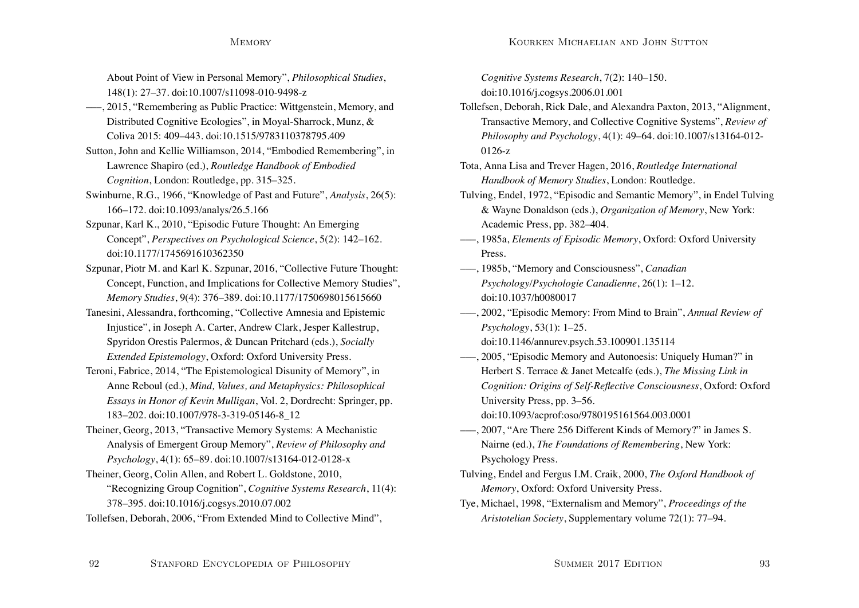About Point of View in Personal Memory", *Philosophical Studies*, 148(1): 27–37. doi:10.1007/s11098-010-9498-z

- –––, 2015, "Remembering as Public Practice: Wittgenstein, Memory, and Distributed Cognitive Ecologies", in Moyal-Sharrock, Munz, & Coliva 2015: 409–443. doi:10.1515/9783110378795.409
- Sutton, John and Kellie Williamson, 2014, "Embodied Remembering", in Lawrence Shapiro (ed.), *Routledge Handbook of Embodied Cognition*, London: Routledge, pp. 315–325.
- Swinburne, R.G., 1966, "Knowledge of Past and Future", *Analysis*, 26(5): 166–172. doi:10.1093/analys/26.5.166
- Szpunar, Karl K., 2010, "Episodic Future Thought: An Emerging Concept", *Perspectives on Psychological Science*, 5(2): 142–162. doi:10.1177/1745691610362350
- Szpunar, Piotr M. and Karl K. Szpunar, 2016, "Collective Future Thought: Concept, Function, and Implications for Collective Memory Studies", *Memory Studies*, 9(4): 376–389. doi:10.1177/1750698015615660
- Tanesini, Alessandra, forthcoming, "Collective Amnesia and Epistemic Injustice", in Joseph A. Carter, Andrew Clark, Jesper Kallestrup, Spyridon Orestis Palermos, & Duncan Pritchard (eds.), *Socially Extended Epistemology*, Oxford: Oxford University Press.
- Teroni, Fabrice, 2014, "The Epistemological Disunity of Memory", in Anne Reboul (ed.), *Mind, Values, and Metaphysics: Philosophical Essays in Honor of Kevin Mulligan*, Vol. 2, Dordrecht: Springer, pp. 183–202. doi:10.1007/978-3-319-05146-8\_12
- Theiner, Georg, 2013, "Transactive Memory Systems: A Mechanistic Analysis of Emergent Group Memory", *Review of Philosophy and Psychology*, 4(1): 65–89. doi:10.1007/s13164-012-0128-x
- Theiner, Georg, Colin Allen, and Robert L. Goldstone, 2010, "Recognizing Group Cognition", *Cognitive Systems Research*, 11(4): 378–395. doi:10.1016/j.cogsys.2010.07.002
- Tollefsen, Deborah, 2006, "From Extended Mind to Collective Mind",

*Cognitive Systems Research*, 7(2): 140–150. doi:10.1016/j.cogsys.2006.01.001

- Tollefsen, Deborah, Rick Dale, and Alexandra Paxton, 2013, "Alignment, Transactive Memory, and Collective Cognitive Systems", *Review of Philosophy and Psychology*, 4(1): 49–64. doi:10.1007/s13164-012- 0126-z
- Tota, Anna Lisa and Trever Hagen, 2016, *Routledge International Handbook of Memory Studies*, London: Routledge.
- Tulving, Endel, 1972, "Episodic and Semantic Memory", in Endel Tulving & Wayne Donaldson (eds.), *Organization of Memory*, New York: Academic Press, pp. 382–404.
- –––, 1985a, *Elements of Episodic Memory*, Oxford: Oxford University Press.
- –––, 1985b, "Memory and Consciousness", *Canadian Psychology/Psychologie Canadienne*, 26(1): 1–12. doi:10.1037/h0080017
- –––, 2002, "Episodic Memory: From Mind to Brain", *Annual Review of Psychology*, 53(1): 1–25.
	- doi:10.1146/annurev.psych.53.100901.135114
- –––, 2005, "Episodic Memory and Autonoesis: Uniquely Human?" in Herbert S. Terrace & Janet Metcalfe (eds.), *The Missing Link in Cognition: Origins of Self-Reflective Consciousness*, Oxford: Oxford University Press, pp. 3–56. doi:10.1093/acprof:oso/9780195161564.003.0001
- –––, 2007, "Are There 256 Different Kinds of Memory?" in James S. Nairne (ed.), *The Foundations of Remembering*, New York: Psychology Press.
- Tulving, Endel and Fergus I.M. Craik, 2000, *The Oxford Handbook of Memory*, Oxford: Oxford University Press.
- Tye, Michael, 1998, "Externalism and Memory", *Proceedings of the Aristotelian Society*, Supplementary volume 72(1): 77–94.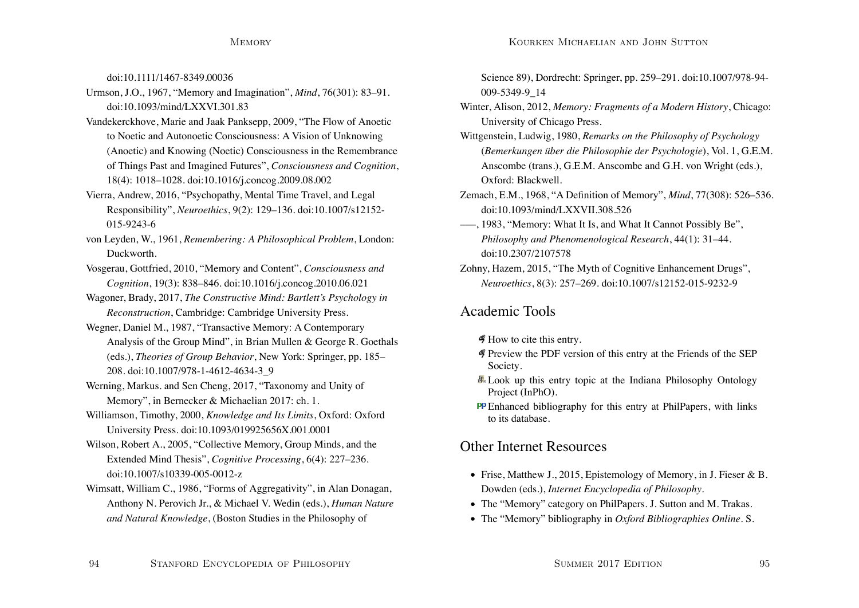doi:10.1111/1467-8349.00036

- Urmson, J.O., 1967, "Memory and Imagination", *Mind*, 76(301): 83–91. doi:10.1093/mind/LXXVI.301.83
- Vandekerckhove, Marie and Jaak Panksepp, 2009, "The Flow of Anoetic to Noetic and Autonoetic Consciousness: A Vision of Unknowing (Anoetic) and Knowing (Noetic) Consciousness in the Remembrance of Things Past and Imagined Futures", *Consciousness and Cognition*, 18(4): 1018–1028. doi:10.1016/j.concog.2009.08.002
- Vierra, Andrew, 2016, "Psychopathy, Mental Time Travel, and Legal Responsibility", *Neuroethics*, 9(2): 129–136. doi:10.1007/s12152- 015-9243-6
- von Leyden, W., 1961, *Remembering: A Philosophical Problem*, London: Duckworth.
- Vosgerau, Gottfried, 2010, "Memory and Content", *Consciousness and Cognition*, 19(3): 838–846. doi:10.1016/j.concog.2010.06.021
- Wagoner, Brady, 2017, *The Constructive Mind: Bartlett's Psychology in Reconstruction*, Cambridge: Cambridge University Press.
- Wegner, Daniel M., 1987, "Transactive Memory: A Contemporary Analysis of the Group Mind", in Brian Mullen & George R. Goethals (eds.), *Theories of Group Behavior*, New York: Springer, pp. 185– 208. doi:10.1007/978-1-4612-4634-3\_9
- Werning, Markus. and Sen Cheng, 2017, "Taxonomy and Unity of Memory", in Bernecker & Michaelian 2017: ch. 1.
- Williamson, Timothy, 2000, *Knowledge and Its Limits*, Oxford: Oxford University Press. doi:10.1093/019925656X.001.0001
- Wilson, Robert A., 2005, "Collective Memory, Group Minds, and the Extended Mind Thesis", *Cognitive Processing*, 6(4): 227–236. doi:10.1007/s10339-005-0012-z
- Wimsatt, William C., 1986, "Forms of Aggregativity", in Alan Donagan, Anthony N. Perovich Jr., & Michael V. Wedin (eds.), *Human Nature and Natural Knowledge*, (Boston Studies in the Philosophy of

Science 89), Dordrecht: Springer, pp. 259–291. doi:10.1007/978-94- 009-5349-9\_14

- Winter, Alison, 2012, *Memory: Fragments of a Modern History*, Chicago: University of Chicago Press.
- Wittgenstein, Ludwig, 1980, *Remarks on the Philosophy of Psychology* (*Bemerkungen über die Philosophie der Psychologie*), Vol. 1, G.E.M. Anscombe (trans.), G.E.M. Anscombe and G.H. von Wright (eds.), Oxford: Blackwell.
- Zemach, E.M., 1968, "A Definition of Memory", *Mind*, 77(308): 526–536. doi:10.1093/mind/LXXVII.308.526
- –––, 1983, "Memory: What It Is, and What It Cannot Possibly Be", *Philosophy and Phenomenological Research*, 44(1): 31–44. doi:10.2307/2107578
- Zohny, Hazem, 2015, "The Myth of Cognitive Enhancement Drugs", *Neuroethics*, 8(3): 257–269. doi:10.1007/s12152-015-9232-9

# Academic Tools

- $\mathcal I$  How to cite this entry.
- Preview the PDF version of this entry at the Friends of the SEP Society.
- **Look** up this entry topic at the Indiana Philosophy Ontology Project (InPhO).
- **PP** Enhanced bibliography for this entry at PhilPapers, with links to its database.

# Other Internet Resources

- Frise, Matthew J., 2015, Epistemology of Memory, in J. Fieser & B. Dowden (eds.), *Internet Encyclopedia of Philosophy*.
- The "Memory" category on PhilPapers. J. Sutton and M. Trakas.
- The "Memory" bibliography in *Oxford Bibliographies Online*. S.